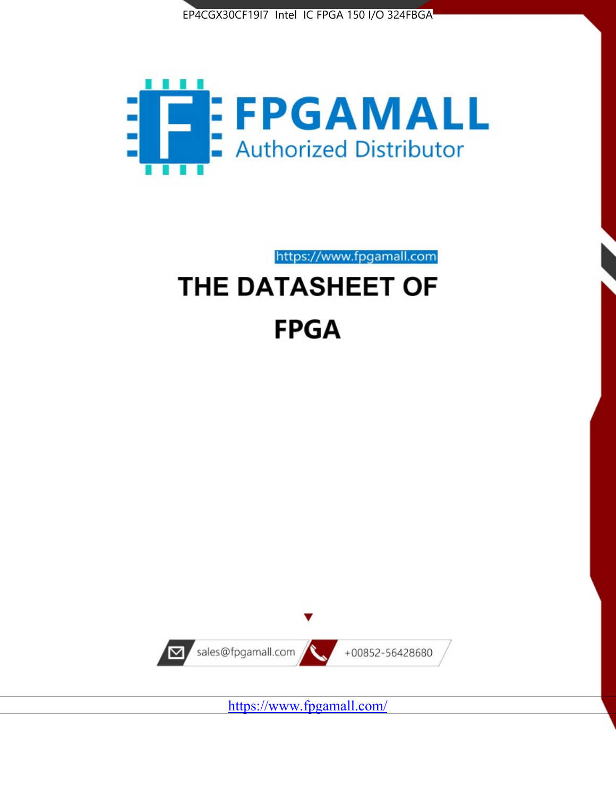



https://www.fpgamall.com

# THE DATASHEET OF **FPGA**



<https://www.fpgamall.com/>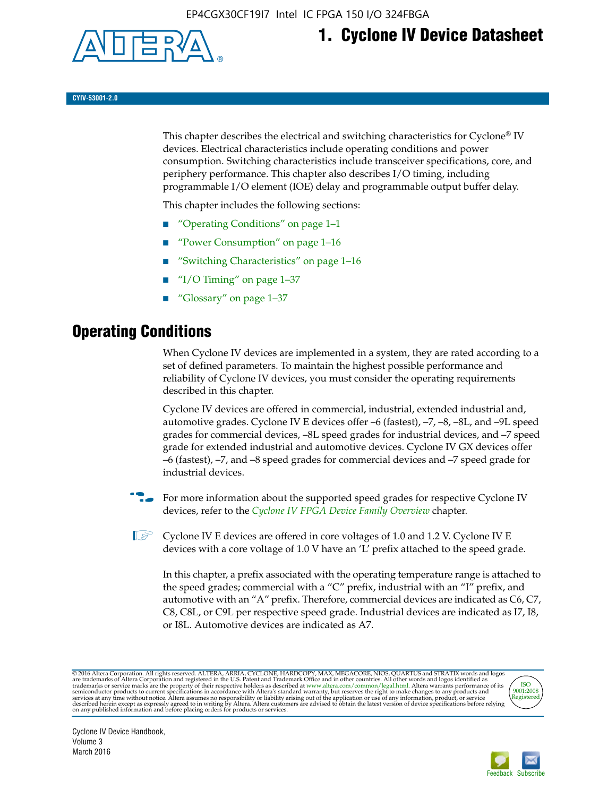

## **1. Cyclone IV Device Datasheet**

**CYIV-53001-2.0**

This chapter describes the electrical and switching characteristics for Cyclone<sup>®</sup> IV devices. Electrical characteristics include operating conditions and power consumption. Switching characteristics include transceiver specifications, core, and periphery performance. This chapter also describes I/O timing, including programmable I/O element (IOE) delay and programmable output buffer delay.

This chapter includes the following sections:

- "Operating Conditions" on page 1–1
- "Power Consumption" on page 1–16
- "Switching Characteristics" on page 1–16
- "I/O Timing" on page  $1-37$
- "Glossary" on page 1–37

## **Operating Conditions**

When Cyclone IV devices are implemented in a system, they are rated according to a set of defined parameters. To maintain the highest possible performance and reliability of Cyclone IV devices, you must consider the operating requirements described in this chapter.

Cyclone IV devices are offered in commercial, industrial, extended industrial and, automotive grades. Cyclone IV E devices offer –6 (fastest), –7, –8, –8L, and –9L speed grades for commercial devices, –8L speed grades for industrial devices, and –7 speed grade for extended industrial and automotive devices. Cyclone IV GX devices offer –6 (fastest), –7, and –8 speed grades for commercial devices and –7 speed grade for industrial devices.

**For more information about the supported speed grades for respective Cyclone IV** devices, refer to the *[Cyclone IV FPGA Device Family Overview](http://www.altera.com/literature/hb/cyclone-iv/cyiv-51001.pdf)* chapter.

 $\mathbb{I} \rightarrow \mathbb{C}$  Cyclone IV E devices are offered in core voltages of 1.0 and 1.2 V. Cyclone IV E devices with a core voltage of 1.0 V have an 'L' prefix attached to the speed grade.

In this chapter, a prefix associated with the operating temperature range is attached to the speed grades; commercial with a "C" prefix, industrial with an "I" prefix, and automotive with an "A" prefix. Therefore, commercial devices are indicated as C6, C7, C8, C8L, or C9L per respective speed grade. Industrial devices are indicated as I7, I8, or I8L. Automotive devices are indicated as A7.

@2016 Altera Corporation. All rights reserved. ALTERA, ARRIA, CYCLONE, HARDCOPY, MAX, MEGACORE, NIOS, QUARTUS and STRATIX words and logos are trademarks of Altera Corporation and registered in the U.S. Patent and Trademark



Cyclone IV Device Handbook, Volume 3 March 2016

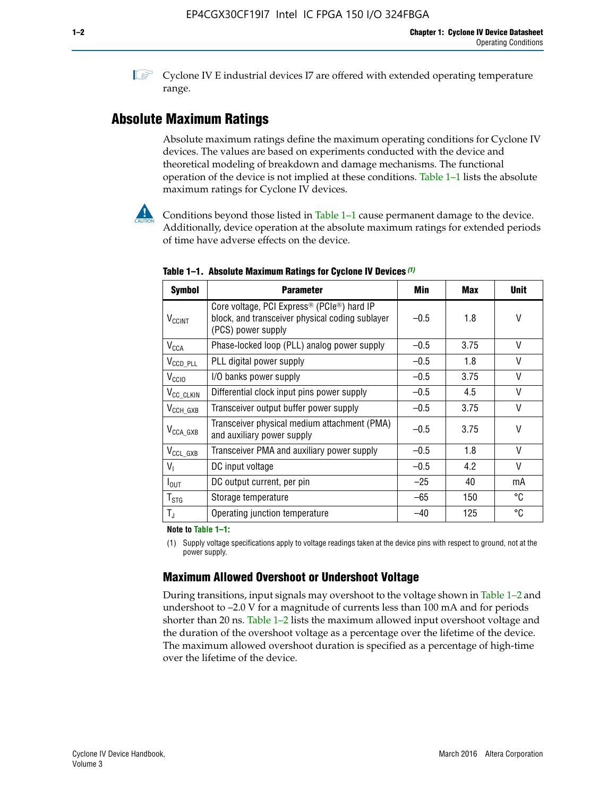**1 Cyclone IV E industrial devices I7 are offered with extended operating temperature** range.

## **Absolute Maximum Ratings**

Absolute maximum ratings define the maximum operating conditions for Cyclone IV devices. The values are based on experiments conducted with the device and theoretical modeling of breakdown and damage mechanisms. The functional operation of the device is not implied at these conditions. Table 1–1 lists the absolute maximum ratings for Cyclone IV devices.



Conditions beyond those listed in Table  $1-1$  cause permanent damage to the device. Additionally, device operation at the absolute maximum ratings for extended periods of time have adverse effects on the device.

| <b>Symbol</b>              | <b>Parameter</b>                                                                                                                | Min    | Max  | <b>Unit</b>  |
|----------------------------|---------------------------------------------------------------------------------------------------------------------------------|--------|------|--------------|
| <b>V<sub>CCINT</sub></b>   | Core voltage, PCI Express <sup>®</sup> (PCIe®) hard IP<br>block, and transceiver physical coding sublayer<br>(PCS) power supply | $-0.5$ | 1.8  | V            |
| <b>V<sub>CCA</sub></b>     | Phase-locked loop (PLL) analog power supply                                                                                     | $-0.5$ | 3.75 | $\vee$       |
| $V_{\text{CCD\_PLL}}$      | PLL digital power supply                                                                                                        | $-0.5$ | 1.8  | V            |
| $V_{\text{CGIO}}$          | I/O banks power supply                                                                                                          | $-0.5$ | 3.75 | $\vee$       |
| V <sub>CC_CLKIN</sub>      | Differential clock input pins power supply                                                                                      | $-0.5$ | 4.5  | $\vee$       |
| $V_{\text{CCH_GXB}}$       | Transceiver output buffer power supply                                                                                          | $-0.5$ | 3.75 | V            |
| $V_{\text{CCA\_GXB}}$      | Transceiver physical medium attachment (PMA)<br>and auxiliary power supply                                                      | $-0.5$ | 3.75 | $\vee$       |
| $V_{CCL_GXB}$              | Transceiver PMA and auxiliary power supply                                                                                      | $-0.5$ | 1.8  | $\mathsf{V}$ |
| $V_{1}$                    | DC input voltage                                                                                                                | $-0.5$ | 4.2  | $\vee$       |
| $I_{\text{OUT}}$           | DC output current, per pin                                                                                                      | $-25$  | 40   | mA           |
| ${\mathsf T}_{\text{STG}}$ | Storage temperature                                                                                                             | $-65$  | 150  | °C           |
| $T_{\rm J}$                | Operating junction temperature                                                                                                  | $-40$  | 125  | °C           |

**Table 1–1. Absolute Maximum Ratings for Cyclone IV Devices** *(1)*

**Note to Table 1–1:**

(1) Supply voltage specifications apply to voltage readings taken at the device pins with respect to ground, not at the power supply.

## **Maximum Allowed Overshoot or Undershoot Voltage**

During transitions, input signals may overshoot to the voltage shown in Table 1–2 and undershoot to –2.0 V for a magnitude of currents less than 100 mA and for periods shorter than 20 ns. Table 1–2 lists the maximum allowed input overshoot voltage and the duration of the overshoot voltage as a percentage over the lifetime of the device. The maximum allowed overshoot duration is specified as a percentage of high-time over the lifetime of the device.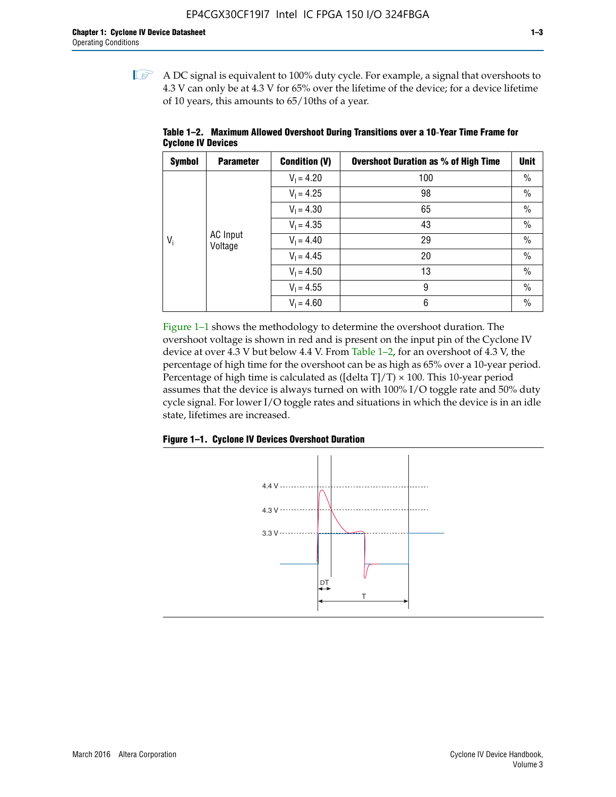$\mathbb{I}$  A DC signal is equivalent to 100% duty cycle. For example, a signal that overshoots to 4.3 V can only be at 4.3 V for 65% over the lifetime of the device; for a device lifetime of 10 years, this amounts to 65/10ths of a year.

| <b>Symbol</b> | <b>Parameter</b>    | <b>Condition (V)</b> | <b>Overshoot Duration as % of High Time</b> | Unit |  |              |    |      |
|---------------|---------------------|----------------------|---------------------------------------------|------|--|--------------|----|------|
|               |                     | $V_1 = 4.20$         | 100                                         | $\%$ |  |              |    |      |
|               |                     | $V_1 = 4.25$         | 98                                          | $\%$ |  |              |    |      |
|               | AC Input<br>Voltage | $V_1 = 4.30$         | 65                                          | $\%$ |  |              |    |      |
|               |                     | $V_1 = 4.35$         | 43                                          | $\%$ |  |              |    |      |
| $V_i$         |                     |                      |                                             |      |  | $V_1 = 4.40$ | 29 | $\%$ |
|               |                     | $V_1 = 4.45$         | 20                                          | $\%$ |  |              |    |      |
|               |                     | $V_1 = 4.50$         | 13                                          | $\%$ |  |              |    |      |
|               |                     | $V_1 = 4.55$         | 9                                           | $\%$ |  |              |    |      |
|               |                     | $V_1 = 4.60$         | 6                                           | $\%$ |  |              |    |      |

**Table 1–2. Maximum Allowed Overshoot During Transitions over a 10**-**Year Time Frame for Cyclone IV Devices**

Figure 1–1 shows the methodology to determine the overshoot duration. The overshoot voltage is shown in red and is present on the input pin of the Cyclone IV device at over 4.3 V but below 4.4 V. From Table 1–2, for an overshoot of 4.3 V, the percentage of high time for the overshoot can be as high as 65% over a 10-year period. Percentage of high time is calculated as ([delta  $T$ ]/T)  $\times$  100. This 10-year period assumes that the device is always turned on with 100% I/O toggle rate and 50% duty cycle signal. For lower I/O toggle rates and situations in which the device is in an idle state, lifetimes are increased.



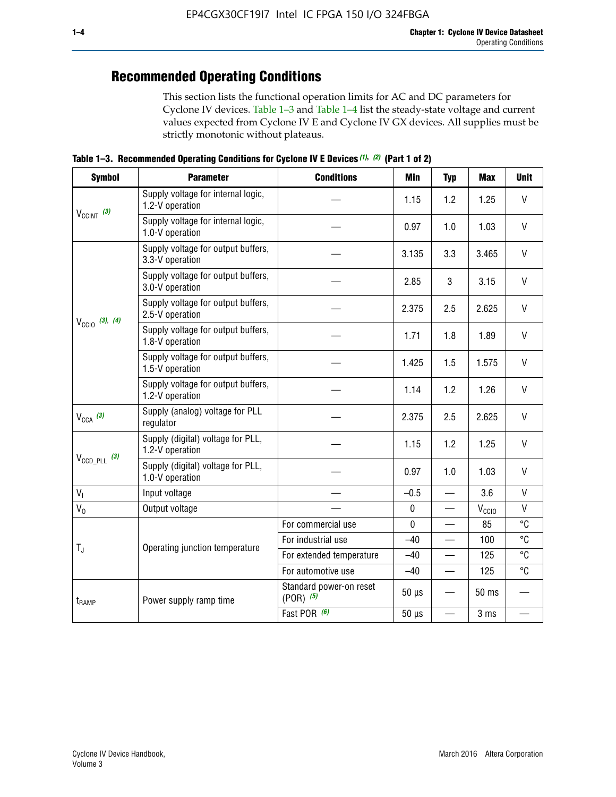## **Recommended Operating Conditions**

This section lists the functional operation limits for AC and DC parameters for Cyclone IV devices. Table 1–3 and Table 1–4 list the steady-state voltage and current values expected from Cyclone IV E and Cyclone IV GX devices. All supplies must be strictly monotonic without plateaus.

**Table 1–3. Recommended Operating Conditions for Cyclone IV E Devices** *(1)***,** *(2)* **(Part 1 of 2)**

| <b>Symbol</b>                                                                                                                                                                                                                                                                                                                                                                                                                                                                                                                                                                                                                                                                                                                                                                                                                                                                                                                                                                                                                                                                                                                                                | <b>Parameter</b>                                      | <b>Conditions</b> | Min   | <b>Typ</b>                                                                                                             | <b>Max</b>   | <b>Unit</b>  |
|--------------------------------------------------------------------------------------------------------------------------------------------------------------------------------------------------------------------------------------------------------------------------------------------------------------------------------------------------------------------------------------------------------------------------------------------------------------------------------------------------------------------------------------------------------------------------------------------------------------------------------------------------------------------------------------------------------------------------------------------------------------------------------------------------------------------------------------------------------------------------------------------------------------------------------------------------------------------------------------------------------------------------------------------------------------------------------------------------------------------------------------------------------------|-------------------------------------------------------|-------------------|-------|------------------------------------------------------------------------------------------------------------------------|--------------|--------------|
|                                                                                                                                                                                                                                                                                                                                                                                                                                                                                                                                                                                                                                                                                                                                                                                                                                                                                                                                                                                                                                                                                                                                                              | Supply voltage for internal logic,<br>1.2-V operation |                   | 1.15  | 1.2                                                                                                                    | 1.25         | V            |
|                                                                                                                                                                                                                                                                                                                                                                                                                                                                                                                                                                                                                                                                                                                                                                                                                                                                                                                                                                                                                                                                                                                                                              | Supply voltage for internal logic,<br>1.0-V operation |                   | 0.97  | 1.0                                                                                                                    | 1.03         | $\mathsf{V}$ |
|                                                                                                                                                                                                                                                                                                                                                                                                                                                                                                                                                                                                                                                                                                                                                                                                                                                                                                                                                                                                                                                                                                                                                              | Supply voltage for output buffers,<br>3.3-V operation |                   | 3.135 | 3.3                                                                                                                    | 3.465        | $\vee$       |
| $V_{CClNT}$ (3)<br>Supply voltage for output buffers,<br>3<br>2.85<br>3.0-V operation<br>Supply voltage for output buffers,<br>2.375<br>2.5<br>2.5-V operation<br>$V_{\text{CCIO}}$ (3), (4)<br>Supply voltage for output buffers,<br>1.8<br>1.71<br>1.8-V operation<br>Supply voltage for output buffers,<br>1.425<br>1.5<br>1.5-V operation<br>Supply voltage for output buffers,<br>1.14<br>1.2<br>1.2-V operation<br>Supply (analog) voltage for PLL<br>$V_{CCA}$ (3)<br>2.375<br>2.5<br>regulator<br>Supply (digital) voltage for PLL,<br>1.15<br>1.2<br>1.2-V operation<br>$V_{\text{CCD\_PLL}}$ (3)<br>Supply (digital) voltage for PLL,<br>0.97<br>1.0<br>1.0-V operation<br>$V_{I}$<br>Input voltage<br>$-0.5$<br>$\equiv$<br>$V_0$<br>$\pmb{0}$<br>Output voltage<br>$\mathbf 0$<br>85<br>For commercial use<br>For industrial use<br>$-40$<br>$T_{\rm J}$<br>Operating junction temperature<br>For extended temperature<br>$-40$<br>For automotive use<br>$-40$<br>$\qquad \qquad$<br>Standard power-on reset<br>$50 \mu s$<br>$(POR)$ (5)<br>Power supply ramp time<br>$t_{\rm{RAMP}}$<br>Fast POR (6)<br>$50 \mu s$<br>$\overline{\phantom{0}}$ | 3.15                                                  | V                 |       |                                                                                                                        |              |              |
|                                                                                                                                                                                                                                                                                                                                                                                                                                                                                                                                                                                                                                                                                                                                                                                                                                                                                                                                                                                                                                                                                                                                                              |                                                       |                   |       | 2.625<br>1.89<br>1.575<br>1.26<br>2.625<br>1.25<br>1.03<br>3.6<br>$V_{\rm CClO}$<br>100<br>125<br>125<br>50 ms<br>3 ms | $\vee$       |              |
|                                                                                                                                                                                                                                                                                                                                                                                                                                                                                                                                                                                                                                                                                                                                                                                                                                                                                                                                                                                                                                                                                                                                                              |                                                       |                   |       | $\mathsf{V}$                                                                                                           |              |              |
|                                                                                                                                                                                                                                                                                                                                                                                                                                                                                                                                                                                                                                                                                                                                                                                                                                                                                                                                                                                                                                                                                                                                                              |                                                       |                   |       |                                                                                                                        |              | V            |
|                                                                                                                                                                                                                                                                                                                                                                                                                                                                                                                                                                                                                                                                                                                                                                                                                                                                                                                                                                                                                                                                                                                                                              |                                                       |                   |       |                                                                                                                        |              | V            |
|                                                                                                                                                                                                                                                                                                                                                                                                                                                                                                                                                                                                                                                                                                                                                                                                                                                                                                                                                                                                                                                                                                                                                              |                                                       |                   |       | $\vee$                                                                                                                 |              |              |
|                                                                                                                                                                                                                                                                                                                                                                                                                                                                                                                                                                                                                                                                                                                                                                                                                                                                                                                                                                                                                                                                                                                                                              |                                                       |                   |       |                                                                                                                        |              | V            |
|                                                                                                                                                                                                                                                                                                                                                                                                                                                                                                                                                                                                                                                                                                                                                                                                                                                                                                                                                                                                                                                                                                                                                              |                                                       |                   |       |                                                                                                                        |              | $\vee$       |
|                                                                                                                                                                                                                                                                                                                                                                                                                                                                                                                                                                                                                                                                                                                                                                                                                                                                                                                                                                                                                                                                                                                                                              |                                                       |                   |       |                                                                                                                        | $\mathsf{V}$ |              |
|                                                                                                                                                                                                                                                                                                                                                                                                                                                                                                                                                                                                                                                                                                                                                                                                                                                                                                                                                                                                                                                                                                                                                              |                                                       |                   |       |                                                                                                                        |              | V            |
|                                                                                                                                                                                                                                                                                                                                                                                                                                                                                                                                                                                                                                                                                                                                                                                                                                                                                                                                                                                                                                                                                                                                                              |                                                       |                   |       |                                                                                                                        |              | °C           |
|                                                                                                                                                                                                                                                                                                                                                                                                                                                                                                                                                                                                                                                                                                                                                                                                                                                                                                                                                                                                                                                                                                                                                              |                                                       |                   |       |                                                                                                                        |              | °C           |
|                                                                                                                                                                                                                                                                                                                                                                                                                                                                                                                                                                                                                                                                                                                                                                                                                                                                                                                                                                                                                                                                                                                                                              |                                                       |                   | °C    |                                                                                                                        |              |              |
|                                                                                                                                                                                                                                                                                                                                                                                                                                                                                                                                                                                                                                                                                                                                                                                                                                                                                                                                                                                                                                                                                                                                                              |                                                       |                   |       | °C                                                                                                                     |              |              |
|                                                                                                                                                                                                                                                                                                                                                                                                                                                                                                                                                                                                                                                                                                                                                                                                                                                                                                                                                                                                                                                                                                                                                              |                                                       |                   |       |                                                                                                                        |              |              |
|                                                                                                                                                                                                                                                                                                                                                                                                                                                                                                                                                                                                                                                                                                                                                                                                                                                                                                                                                                                                                                                                                                                                                              |                                                       |                   |       |                                                                                                                        |              |              |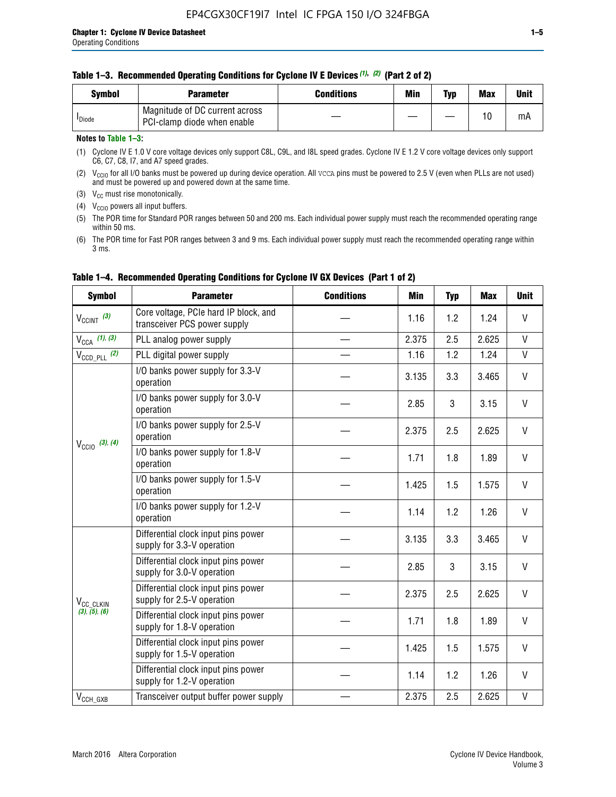#### **Table 1–3. Recommended Operating Conditions for Cyclone IV E Devices** *(1)***,** *(2)* **(Part 2 of 2)**

| Svmbol             | <b>Parameter</b>                                              | <b>Conditions</b> | Min | Typ | <b>Max</b> | Unit |
|--------------------|---------------------------------------------------------------|-------------------|-----|-----|------------|------|
| <sup>I</sup> Diode | Magnitude of DC current across<br>PCI-clamp diode when enable |                   |     | —   | 10         | mA   |

#### **Notes to Table 1–3:**

(1) Cyclone IV E 1.0 V core voltage devices only support C8L, C9L, and I8L speed grades. Cyclone IV E 1.2 V core voltage devices only support C6, C7, C8, I7, and A7 speed grades.

(2)  $V_{CCIO}$  for all I/O banks must be powered up during device operation. All vcca pins must be powered to 2.5 V (even when PLLs are not used) and must be powered up and powered down at the same time.

(3)  $V_{CC}$  must rise monotonically.

(4)  $V_{\text{CCIO}}$  powers all input buffers.

(5) The POR time for Standard POR ranges between 50 and 200 ms. Each individual power supply must reach the recommended operating range within 50 ms.

(6) The POR time for Fast POR ranges between 3 and 9 ms. Each individual power supply must reach the recommended operating range within 3 ms.

| <b>Symbol</b>                                                                                                                                                                                                                                                                                                                                                                                                                                                                                                                                                                                                                                                                                                                                                                                                      | <b>Parameter</b>                                                      | <b>Conditions</b> | <b>Min</b>   | <b>Typ</b> | <b>Max</b> | <b>Unit</b>  |
|--------------------------------------------------------------------------------------------------------------------------------------------------------------------------------------------------------------------------------------------------------------------------------------------------------------------------------------------------------------------------------------------------------------------------------------------------------------------------------------------------------------------------------------------------------------------------------------------------------------------------------------------------------------------------------------------------------------------------------------------------------------------------------------------------------------------|-----------------------------------------------------------------------|-------------------|--------------|------------|------------|--------------|
| $V_{\text{CCINT}}$ (3)                                                                                                                                                                                                                                                                                                                                                                                                                                                                                                                                                                                                                                                                                                                                                                                             | Core voltage, PCIe hard IP block, and<br>transceiver PCS power supply |                   | 1.16         | 1.2        | 1.24       | V            |
| $V_{\text{CCA}}$ (1), (3)                                                                                                                                                                                                                                                                                                                                                                                                                                                                                                                                                                                                                                                                                                                                                                                          | PLL analog power supply                                               |                   | 2.375        | 2.5        | 2.625      | V            |
| $V_{\text{CCD\_PLL}}$ (2)                                                                                                                                                                                                                                                                                                                                                                                                                                                                                                                                                                                                                                                                                                                                                                                          | PLL digital power supply                                              |                   | 1.16         | 1.2        | 1.24       | V            |
|                                                                                                                                                                                                                                                                                                                                                                                                                                                                                                                                                                                                                                                                                                                                                                                                                    | I/O banks power supply for 3.3-V<br>operation                         |                   | 3.135        | 3.3        | 3.465      | V            |
| I/O banks power supply for 3.0-V<br>operation<br>I/O banks power supply for 2.5-V<br>operation<br>$V_{\text{CC10}}$ (3), (4)<br>I/O banks power supply for 1.8-V<br>operation<br>I/O banks power supply for 1.5-V<br>operation<br>I/O banks power supply for 1.2-V<br>operation<br>Differential clock input pins power<br>supply for 3.3-V operation<br>Differential clock input pins power<br>supply for 3.0-V operation<br>Differential clock input pins power<br>supply for 2.5-V operation<br>V <sub>CC</sub> CLKIN<br>(3), (5), (6)<br>Differential clock input pins power<br>supply for 1.8-V operation<br>Differential clock input pins power<br>supply for 1.5-V operation<br>Differential clock input pins power<br>supply for 1.2-V operation<br>Transceiver output buffer power supply<br>$V_{CCH_GXB}$ |                                                                       |                   | 2.85         | 3          | 3.15       | $\mathsf{V}$ |
|                                                                                                                                                                                                                                                                                                                                                                                                                                                                                                                                                                                                                                                                                                                                                                                                                    |                                                                       |                   | 2.375        | 2.5        | 2.625      | V            |
|                                                                                                                                                                                                                                                                                                                                                                                                                                                                                                                                                                                                                                                                                                                                                                                                                    |                                                                       |                   | 1.71         | 1.8        | 1.89       | V            |
|                                                                                                                                                                                                                                                                                                                                                                                                                                                                                                                                                                                                                                                                                                                                                                                                                    |                                                                       |                   | 1.425        | 1.5        | 1.575      | V            |
|                                                                                                                                                                                                                                                                                                                                                                                                                                                                                                                                                                                                                                                                                                                                                                                                                    | 1.14                                                                  | 1.2               | 1.26         | V          |            |              |
| 3.135<br>3.3<br>3<br>2.85<br>2.5<br>2.375<br>1.8<br>1.71<br>1.425<br>1.5<br>1.2<br>1.14<br>2.375<br>2.5                                                                                                                                                                                                                                                                                                                                                                                                                                                                                                                                                                                                                                                                                                            |                                                                       |                   |              |            | 3.465      | V            |
|                                                                                                                                                                                                                                                                                                                                                                                                                                                                                                                                                                                                                                                                                                                                                                                                                    |                                                                       | 3.15              | $\mathsf{V}$ |            |            |              |
|                                                                                                                                                                                                                                                                                                                                                                                                                                                                                                                                                                                                                                                                                                                                                                                                                    | 2.625                                                                 | $\mathsf{V}$      |              |            |            |              |
|                                                                                                                                                                                                                                                                                                                                                                                                                                                                                                                                                                                                                                                                                                                                                                                                                    |                                                                       |                   |              |            | 1.89       | V            |
|                                                                                                                                                                                                                                                                                                                                                                                                                                                                                                                                                                                                                                                                                                                                                                                                                    |                                                                       |                   |              |            | 1.575      | V            |
|                                                                                                                                                                                                                                                                                                                                                                                                                                                                                                                                                                                                                                                                                                                                                                                                                    |                                                                       |                   |              |            | 1.26       | V            |
|                                                                                                                                                                                                                                                                                                                                                                                                                                                                                                                                                                                                                                                                                                                                                                                                                    |                                                                       |                   |              |            | 2.625      | V            |

#### **Table 1–4. Recommended Operating Conditions for Cyclone IV GX Devices (Part 1 of 2)**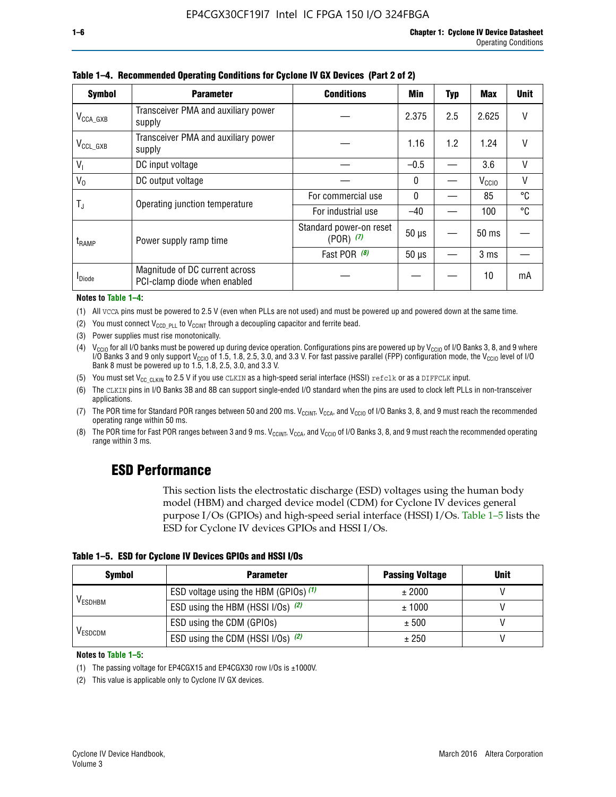| <b>Symbol</b>         | <b>Parameter</b>                                               | <b>Conditions</b>                        | <b>Min</b>   | <b>Typ</b>                       | Max               | <b>Unit</b> |
|-----------------------|----------------------------------------------------------------|------------------------------------------|--------------|----------------------------------|-------------------|-------------|
| $V_{\text{CCA\_GXB}}$ | Transceiver PMA and auxiliary power<br>supply                  |                                          | 2.375        | 2.5                              | 2.625             |             |
| $V_{CCL_GXB}$         | Transceiver PMA and auxiliary power<br>supply                  |                                          | 1.16         | 1.2                              | 1.24              | V           |
| $V_{1}$               | DC input voltage                                               |                                          | $-0.5$       |                                  | 3.6               | $\vee$      |
| $V_0$                 | DC output voltage                                              |                                          | 0            |                                  | V <sub>CCIO</sub> | V           |
|                       | Operating junction temperature                                 | For commercial use                       | $\mathbf{0}$ |                                  | 85                | °C          |
| T,                    |                                                                | For industrial use                       | $-40$        |                                  | 100               | °C          |
| $t_{\rm{RAMP}}$       | Power supply ramp time                                         | Standard power-on reset<br>$(POR)$ $(7)$ | $50 \mu s$   | $50$ ms<br>3 <sub>ms</sub><br>10 |                   |             |
|                       |                                                                | Fast POR $(8)$                           | $50 \mu s$   |                                  |                   |             |
| <b>I</b> Diode        | Magnitude of DC current across<br>PCI-clamp diode when enabled |                                          |              |                                  |                   | mA          |

**Table 1–4. Recommended Operating Conditions for Cyclone IV GX Devices (Part 2 of 2)**

**Notes to Table 1–4:**

- (1) All VCCA pins must be powered to 2.5 V (even when PLLs are not used) and must be powered up and powered down at the same time.
- (2) You must connect  $V_{CCD-PLL}$  to  $V_{CCINT}$  through a decoupling capacitor and ferrite bead.
- (3) Power supplies must rise monotonically.
- (4)  $V_{\text{CCIO}}$  for all I/O banks must be powered up during device operation. Configurations pins are powered up by V<sub>CCIO</sub> of I/O Banks 3, 8, and 9 where I/O Banks 3 and 9 only support V<sub>CCIO</sub> of 1.5, 1.8, 2.5, 3.0, and 3.3 V. For fast passive parallel (FPP) configuration mode, the V<sub>CCIO</sub> level of I/O<br>Bank 8 must be powered up to 1.5, 1.8, 2.5, 3.0, and 3.3 V.
- (5) You must set  $V_{CC_CCLKIN}$  to 2.5 V if you use CLKIN as a high-speed serial interface (HSSI) refclk or as a DIFFCLK input.
- (6) The CLKIN pins in I/O Banks 3B and 8B can support single-ended I/O standard when the pins are used to clock left PLLs in non-transceiver applications.
- (7) The POR time for Standard POR ranges between 50 and 200 ms.  $V_{\text{CCIA}}$ ,  $V_{\text{CCIA}}$ , and  $V_{\text{CCIO}}$  of I/O Banks 3, 8, and 9 must reach the recommended operating range within 50 ms.
- (8) The POR time for Fast POR ranges between 3 and 9 ms.  $V_{\text{CCH},T}$ ,  $V_{\text{CCA}}$ , and  $V_{\text{CCI}}$  of I/O Banks 3, 8, and 9 must reach the recommended operating range within 3 ms.

## **ESD Performance**

This section lists the electrostatic discharge (ESD) voltages using the human body model (HBM) and charged device model (CDM) for Cyclone IV devices general purpose I/Os (GPIOs) and high-speed serial interface (HSSI) I/Os. Table 1–5 lists the ESD for Cyclone IV devices GPIOs and HSSI I/Os.

| Table 1–5. ESD for Cyclone IV Devices GPIOs and HSSI I/Os |
|-----------------------------------------------------------|
|-----------------------------------------------------------|

| <b>Symbol</b>  | <b>Parameter</b>                      | <b>Passing Voltage</b> | <b>Unit</b> |
|----------------|---------------------------------------|------------------------|-------------|
|                | ESD voltage using the HBM (GPIOs) (1) | ± 2000                 |             |
| <b>VESDHBM</b> | ESD using the HBM (HSSI I/Os) (2)     | ± 1000                 |             |
|                | ESD using the CDM (GPIOs)             | ± 500                  |             |
| <b>VESDCDM</b> | ESD using the CDM (HSSI I/Os) (2)     | ± 250                  |             |

#### **Notes to Table 1–5:**

(1) The passing voltage for EP4CGX15 and EP4CGX30 row I/Os is ±1000V.

(2) This value is applicable only to Cyclone IV GX devices.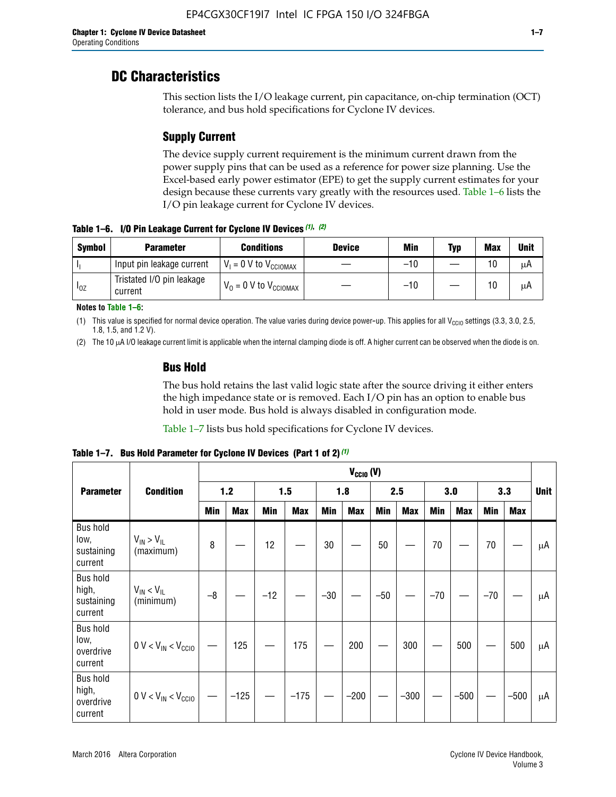## **DC Characteristics**

This section lists the I/O leakage current, pin capacitance, on-chip termination (OCT) tolerance, and bus hold specifications for Cyclone IV devices.

## **Supply Current**

The device supply current requirement is the minimum current drawn from the power supply pins that can be used as a reference for power size planning. Use the Excel-based early power estimator (EPE) to get the supply current estimates for your design because these currents vary greatly with the resources used. Table 1–6 lists the I/O pin leakage current for Cyclone IV devices.

**Table 1–6. I/O Pin Leakage Current for Cyclone IV Devices** *(1)***,** *(2)*

| <b>Symbol</b> | <b>Parameter</b>                     | <b>Conditions</b>            | <b>Device</b> | Min   | Typ | <b>Max</b> | <b>Unit</b> |
|---------------|--------------------------------------|------------------------------|---------------|-------|-----|------------|-------------|
|               | Input pin leakage current            | $V_1 = 0$ V to $V_{CGIOMAX}$ |               | $-10$ |     | 10         | μA          |
| $I_{0Z}$      | Tristated I/O pin leakage<br>current | $V_0 = 0 V to V_{CCIOMAX}$   |               | $-10$ |     | 10         | μA          |

**Notes to Table 1–6:**

(1) This value is specified for normal device operation. The value varies during device power-up. This applies for all V<sub>CCIO</sub> settings (3.3, 3.0, 2.5, 1.8, 1.5, and 1.2 V).

(2) The 10 µA I/O leakage current limit is applicable when the internal clamping diode is off. A higher current can be observed when the diode is on.

### **Bus Hold**

The bus hold retains the last valid logic state after the source driving it either enters the high impedance state or is removed. Each I/O pin has an option to enable bus hold in user mode. Bus hold is always disabled in configuration mode.

Table 1–7 lists bus hold specifications for Cyclone IV devices.

|                                                   |                                  | $V_{CCIO} (V)$ |            |       |            |            |            |            |            |       |            |       |            |             |
|---------------------------------------------------|----------------------------------|----------------|------------|-------|------------|------------|------------|------------|------------|-------|------------|-------|------------|-------------|
| <b>Parameter</b>                                  | <b>Condition</b>                 | $1.2$          |            | 1.5   |            | 1.8        |            | 2.5        |            | 3.0   |            | 3.3   |            | <b>Unit</b> |
|                                                   |                                  | <b>Min</b>     | <b>Max</b> | Min   | <b>Max</b> | <b>Min</b> | <b>Max</b> | <b>Min</b> | <b>Max</b> | Min   | <b>Max</b> | Min   | <b>Max</b> |             |
| <b>Bus hold</b><br>low,<br>sustaining<br>current  | $V_{IN}$ > $V_{IL}$<br>(maximum) | 8              |            | 12    |            | 30         |            | 50         |            | 70    |            | 70    |            | μA          |
| <b>Bus hold</b><br>high,<br>sustaining<br>current | $V_{IN}$ < $V_{IL}$<br>(minimum) | $-8$           |            | $-12$ |            | $-30$      |            | $-50$      |            | $-70$ |            | $-70$ |            | μA          |
| <b>Bus hold</b><br>low,<br>overdrive<br>current   | $0 V < V_{IN} < V_{CG10}$        |                | 125        |       | 175        |            | 200        |            | 300        |       | 500        |       | 500        | μA          |
| <b>Bus hold</b><br>high,<br>overdrive<br>current  | $0 V < V_{IN} < V_{CG10}$        |                | $-125$     |       | $-175$     |            | $-200$     |            | $-300$     |       | $-500$     |       | $-500$     | μA          |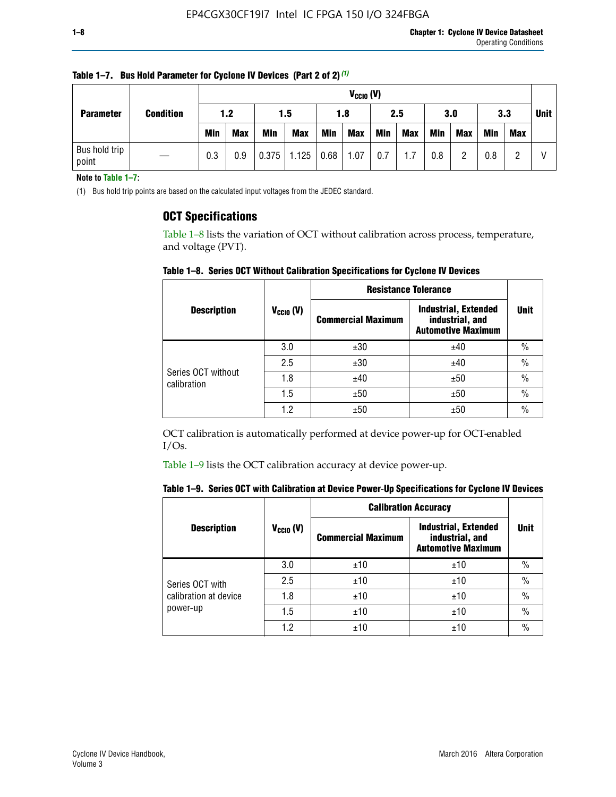| <b>Parameter</b>       |                  |            | $V_{CClO}$ (V) |            |                    |     |            |     |     |     |            |            |     |             |
|------------------------|------------------|------------|----------------|------------|--------------------|-----|------------|-----|-----|-----|------------|------------|-----|-------------|
|                        | <b>Condition</b> | 1.2        |                |            | 1.8<br>1.5         |     |            | 2.5 |     | 3.0 |            | 3.3        |     | <b>Unit</b> |
|                        |                  | <b>Min</b> | <b>Max</b>     | <b>Min</b> | <b>Max</b>         | Min | <b>Max</b> | Min | Max | Min | <b>Max</b> | <b>Min</b> | Max |             |
| Bus hold trip<br>point |                  | 0.3        | 0.9            |            | $0.375$ 1.125 0.68 |     | 1.07       | 0.7 | 1.7 | 0.8 | ŋ          | 0.8        |     |             |

**Table 1–7. Bus Hold Parameter for Cyclone IV Devices (Part 2 of 2)** *(1)*

**Note to Table 1–7:**

(1) Bus hold trip points are based on the calculated input voltages from the JEDEC standard.

### **OCT Specifications**

Table 1–8 lists the variation of OCT without calibration across process, temperature, and voltage (PVT).

**Table 1–8. Series OCT Without Calibration Specifications for Cyclone IV Devices**

|                                   |                       | <b>Resistance Tolerance</b> |                                                                             |               |
|-----------------------------------|-----------------------|-----------------------------|-----------------------------------------------------------------------------|---------------|
| <b>Description</b>                | $V_{\text{CCIO}}$ (V) | <b>Commercial Maximum</b>   | <b>Industrial, Extended</b><br>industrial, and<br><b>Automotive Maximum</b> | <b>Unit</b>   |
|                                   | 3.0                   | ±30                         | ±40                                                                         | $\frac{0}{0}$ |
|                                   | 2.5                   | ±30                         | ±40                                                                         | $\frac{0}{0}$ |
| Series OCT without<br>calibration | 1.8                   | ±40                         | ±50                                                                         | $\frac{0}{0}$ |
|                                   | 1.5                   | ±50                         | ±50                                                                         | $\frac{0}{0}$ |
|                                   | 1.2                   | ±50                         | ±50                                                                         | $\frac{0}{0}$ |

OCT calibration is automatically performed at device power-up for OCT-enabled I/Os.

Table 1–9 lists the OCT calibration accuracy at device power-up.

|  |  | Table 1–9. Series OCT with Calibration at Device Power-Up Specifications for Cyclone IV Devices |  |
|--|--|-------------------------------------------------------------------------------------------------|--|
|--|--|-------------------------------------------------------------------------------------------------|--|

|                                   |                | <b>Calibration Accuracy</b> |                                                                             |               |
|-----------------------------------|----------------|-----------------------------|-----------------------------------------------------------------------------|---------------|
| <b>Description</b>                | $V_{CGI0} (V)$ | <b>Commercial Maximum</b>   | <b>Industrial, Extended</b><br>industrial, and<br><b>Automotive Maximum</b> | <b>Unit</b>   |
|                                   | 3.0            | ±10                         | ±10                                                                         | $\%$          |
| Series OCT with                   | 2.5            | ±10                         | ±10                                                                         | $\%$          |
| calibration at device<br>power-up | 1.8            | ±10                         | ±10                                                                         | $\%$          |
|                                   | 1.5            | ±10                         | ±10                                                                         | $\%$          |
|                                   | 1.2            | ±10                         | ±10                                                                         | $\frac{0}{0}$ |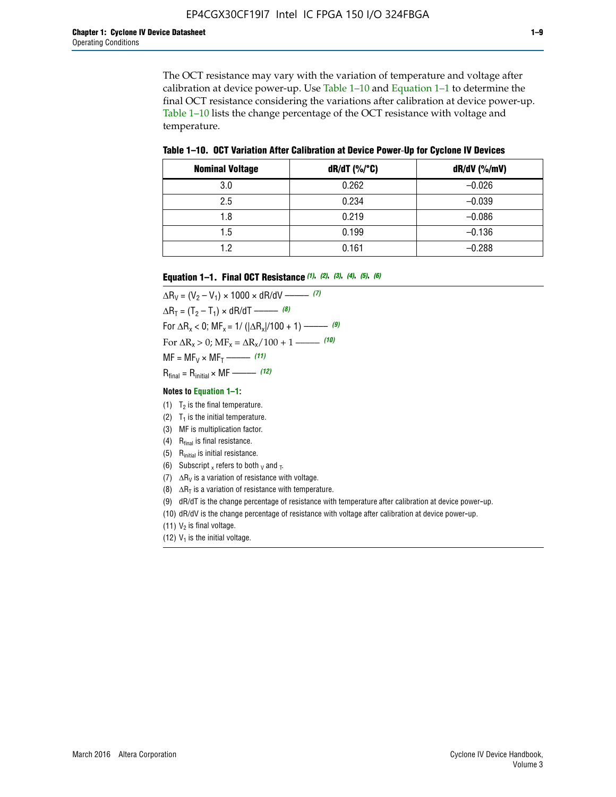The OCT resistance may vary with the variation of temperature and voltage after calibration at device power-up. Use Table 1–10 and Equation 1–1 to determine the final OCT resistance considering the variations after calibration at device power-up. Table 1–10 lists the change percentage of the OCT resistance with voltage and temperature.

**Table 1–10. OCT Variation After Calibration at Device Power**-**Up for Cyclone IV Devices**

| <b>Nominal Voltage</b> | $dR/dT$ (%/°C) | $dR/dV$ (%/mV) |
|------------------------|----------------|----------------|
| 3.0                    | 0.262          | $-0.026$       |
| 2.5                    | 0.234          | $-0.039$       |
| 1.8                    | 0.219          | $-0.086$       |
| 1.5                    | 0.199          | $-0.136$       |
| 1.2                    | 0.161          | $-0.288$       |

#### **Equation 1–1. Final OCT Resistance** *(1)***,** *(2)***,** *(3)***,** *(4)***,** *(5)***,** *(6)*

 $\Delta R_V = (V_2 - V_1) \times 1000 \times dR/dV$  ––––––––––––(7)  $\Delta R_T = (T_2 - T_1) \times dR/dT$  ––––––– (8) For  $\Delta R_x < 0$ ; MF<sub>x</sub> = 1/ ( $|\Delta R_x|/100 + 1$ ) –––––– (9) For  $\Delta R_x > 0$ ;  $\text{MF}_x = \Delta R_x / 100 + 1$  ——– (10)  $MF = MF_V \times MF_T$  –––––––––––(11) Rfinal = Rinitial × MF ––––– *(12)*

#### **Notes to Equation 1–1:**

- (1)  $T_2$  is the final temperature.
- (2)  $T_1$  is the initial temperature.
- (3) MF is multiplication factor.
- (4)  $R<sub>final</sub>$  is final resistance.
- (5) Rinitial is initial resistance.
- (6) Subscript x refers to both  $\sqrt{v}$  and  $\sqrt{v}$ .
- (7)  $\Delta R_V$  is a variation of resistance with voltage.
- (8)  $\Delta R_T$  is a variation of resistance with temperature.
- (9) dR/dT is the change percentage of resistance with temperature after calibration at device power-up.
- (10) dR/dV is the change percentage of resistance with voltage after calibration at device power-up.
- (11)  $V_2$  is final voltage.
- (12)  $V_1$  is the initial voltage.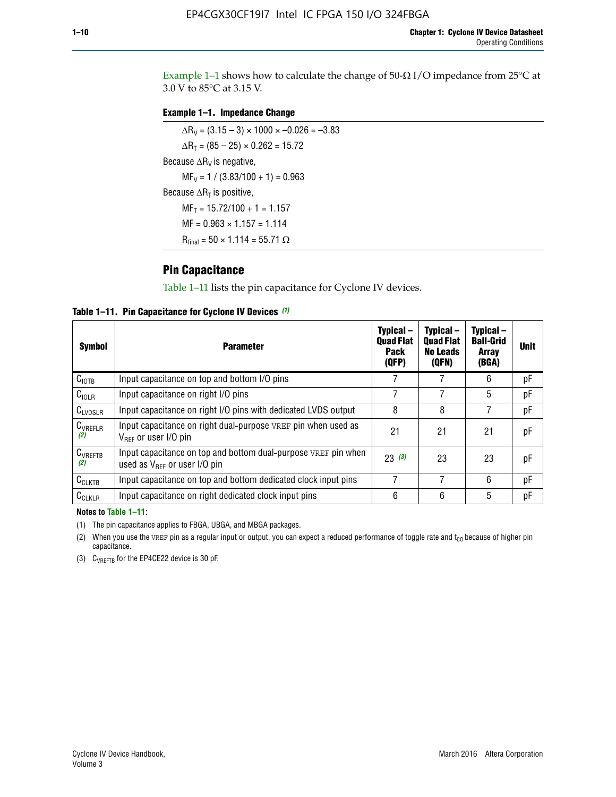Example 1-1 shows how to calculate the change of  $50$ - $\Omega$  I/O impedance from 25°C at 3.0 V to 85°C at 3.15 V.

#### **Example 1–1. Impedance Change**

 $\Delta R_V = (3.15 - 3) \times 1000 \times -0.026 = -3.83$  $\Delta R_T = (85 - 25) \times 0.262 = 15.72$ Because  $\Delta R_V$  is negative,  $MF_V = 1 / (3.83/100 + 1) = 0.963$ Because  $\Delta R_T$  is positive,  $MF_T = 15.72/100 + 1 = 1.157$  $MF = 0.963 \times 1.157 = 1.114$  $R_{final} = 50 \times 1.114 = 55.71 \Omega$ 

### **Pin Capacitance**

Table 1–11 lists the pin capacitance for Cyclone IV devices.

**Table 1–11. Pin Capacitance for Cyclone IV Devices** *(1)*

| <b>Symbol</b>       | <b>Parameter</b>                                                                                    | Typical-<br><b>Quad Flat</b><br>Pack<br>(QFP) | Typical-<br><b>Quad Flat</b><br><b>No Leads</b><br>(QFN) | Typical-<br><b>Ball-Grid</b><br>Array<br>(BGA) | <b>Unit</b> |
|---------------------|-----------------------------------------------------------------------------------------------------|-----------------------------------------------|----------------------------------------------------------|------------------------------------------------|-------------|
| C <sub>IOTB</sub>   | Input capacitance on top and bottom I/O pins                                                        |                                               |                                                          | 6                                              | рF          |
| $C_{IOLR}$          | Input capacitance on right I/O pins                                                                 |                                               |                                                          | 5                                              | рF          |
| $C_{LVDSLR}$        | Input capacitance on right I/O pins with dedicated LVDS output                                      | 8                                             | 8                                                        | 7                                              | рF          |
| $C_{VREFLR}$<br>(2) | Input capacitance on right dual-purpose VREF pin when used as<br>$V_{BFF}$ or user I/O pin          | 21                                            | 21                                                       | 21                                             | pF          |
| $C_{VREFTB}$<br>(2) | Input capacitance on top and bottom dual-purpose VREF pin when<br>used as $V_{BFF}$ or user I/O pin | 23(3)                                         | 23                                                       | 23                                             | рF          |
| $C_{CLKTB}$         | Input capacitance on top and bottom dedicated clock input pins                                      |                                               | 7                                                        | 6                                              | рF          |
| $C_{CLKLR}$         | Input capacitance on right dedicated clock input pins                                               | 6                                             | 6                                                        | 5                                              | рF          |

#### **Notes to Table 1–11:**

(1) The pin capacitance applies to FBGA, UBGA, and MBGA packages.

(2) When you use the VREF pin as a regular input or output, you can expect a reduced performance of toggle rate and  $t_{\rm CO}$  because of higher pin capacitance.

(3) CVREFTB for the EP4CE22 device is 30 pF.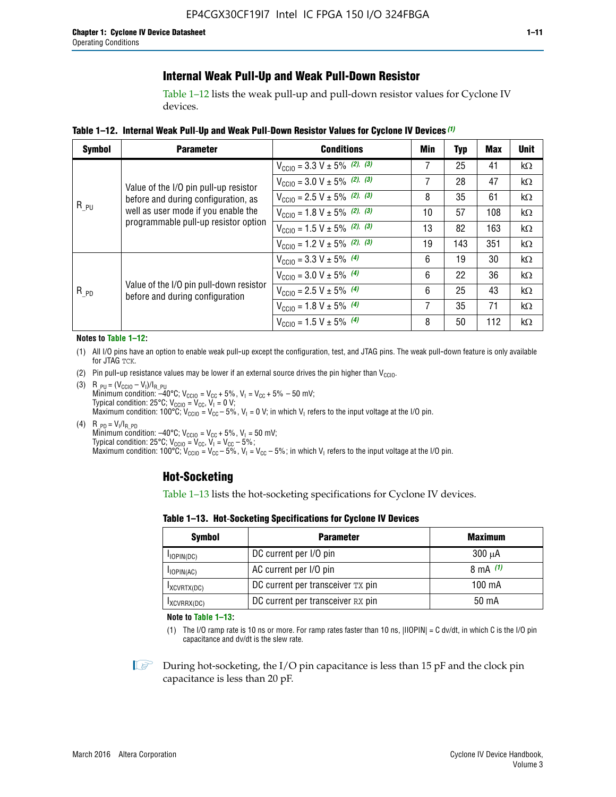### **Internal Weak Pull-Up and Weak Pull-Down Resistor**

Table 1–12 lists the weak pull-up and pull-down resistor values for Cyclone IV devices.

**Table 1–12. Internal Weak Pull**-**Up and Weak Pull**-**Down Resistor Values for Cyclone IV Devices** *(1)*

| <b>Symbol</b> | <b>Parameter</b>                                                            | <b>Conditions</b>                                  | Min | Typ | <b>Max</b> | <b>Unit</b> |
|---------------|-----------------------------------------------------------------------------|----------------------------------------------------|-----|-----|------------|-------------|
|               |                                                                             | $V_{\text{CC10}} = 3.3 \text{ V} \pm 5\%$ (2), (3) |     | 25  | 41         | kΩ          |
|               | Value of the I/O pin pull-up resistor                                       | $V_{\text{CC10}} = 3.0 \text{ V} \pm 5\%$ (2), (3) | 7   | 28  | 47         | kΩ          |
|               | before and during configuration, as                                         | $V_{\text{CC10}} = 2.5 V \pm 5\%$ (2), (3)         | 8   | 35  | 61         | kΩ          |
| $R_{PU}$      | well as user mode if you enable the<br>programmable pull-up resistor option | $V_{\text{CC10}} = 1.8 V \pm 5\%$ (2), (3)         | 10  | 57  | 108        | kΩ          |
|               |                                                                             | $V_{\text{CC10}} = 1.5 \text{ V} \pm 5\%$ (2), (3) | 13  | 82  | 163        | $k\Omega$   |
|               |                                                                             | $V_{\text{CGI0}} = 1.2 V \pm 5\%$ (2), (3)         | 19  | 143 | 351        | kΩ          |
|               |                                                                             | $V_{\text{CC10}} = 3.3 V \pm 5\%$ (4)              | 6   | 19  | 30         | kΩ          |
|               |                                                                             | $V_{\text{CC10}} = 3.0 V \pm 5\%$ (4)              | 6   | 22  | 36         | kΩ          |
| $R_{PD}$      | Value of the I/O pin pull-down resistor<br>before and during configuration  | $V_{\text{CC10}} = 2.5 V \pm 5\%$ (4)              | 6   | 25  | 43         | kΩ          |
|               |                                                                             | $V_{\text{CC10}} = 1.8 \text{ V} \pm 5\%$ (4)      | 7   | 35  | 71         | kΩ          |
|               |                                                                             | $V_{\text{CC10}} = 1.5 V \pm 5\%$ (4)              | 8   | 50  | 112        | kΩ          |

#### **Notes to Table 1–12:**

- (1) All I/O pins have an option to enable weak pull-up except the configuration, test, and JTAG pins. The weak pull-down feature is only available for JTAG TCK.
- (2) Pin pull-up resistance values may be lower if an external source drives the pin higher than  $V_{\text{CCIO}}$ .
- (3)  $R_{PU} = (V_{CC10} V_1)/I_{R_PU}$ Minimum condition: –40°C; V<sub>CCIO</sub> = V<sub>CC</sub> + 5%, V<sub>I</sub> = V<sub>CC</sub> + 5% – 50 mV; Typical condition: 25°C; V<sub>CCIO</sub> = V<sub>CC</sub>, V<sub>I</sub> = 0 V; Maximum condition: 100°C;  $V_{\text{CCIO}} = V_{\text{CC}} - 5\%$ ,  $V_1 = 0$  V; in which V<sub>I</sub> refers to the input voltage at the I/O pin.
- (4)  $R_{PD} = V_I/I_{R_PD}$ Minimum condition:  $-40^{\circ}$ C; V<sub>CCIO</sub> = V<sub>CC</sub> + 5%, V<sub>I</sub> = 50 mV; Typical condition: 25°C;  $V_{\text{CCIO}} = V_{\text{CC}}$ ,  $V_{\text{I}} = V_{\text{CC}} - 5\%$ ; Maximum condition: 100°C; V<sub>CClO</sub> = V<sub>CC</sub> – 5%, V<sub>I</sub> = V<sub>CC</sub> – 5%; in which V<sub>I</sub> refers to the input voltage at the I/O pin.

### **Hot-Socketing**

Table 1–13 lists the hot-socketing specifications for Cyclone IV devices.

**Table 1–13. Hot**-**Socketing Specifications for Cyclone IV Devices**

| <b>Symbol</b> | <b>Maximum</b>                    |             |
|---------------|-----------------------------------|-------------|
| $I$ IOPIN(DC) | DC current per I/O pin            | $300 \mu A$ |
| $I$ IOPIN(AC) | AC current per I/O pin            | 8 mA $(1)$  |
| IXCVRTX(DC)   | DC current per transceiver TX pin | 100 mA      |
| IXCVRRX(DC)   | DC current per transceiver RX pin | 50 mA       |

**Note to Table 1–13:**

(1) The I/O ramp rate is 10 ns or more. For ramp rates faster than 10 ns, |IIOPIN| = C dv/dt, in which C is the I/O pin capacitance and dv/dt is the slew rate.

 $\mathbb{I} \rightarrow \mathbb{I}$  During hot-socketing, the I/O pin capacitance is less than 15 pF and the clock pin capacitance is less than 20 pF.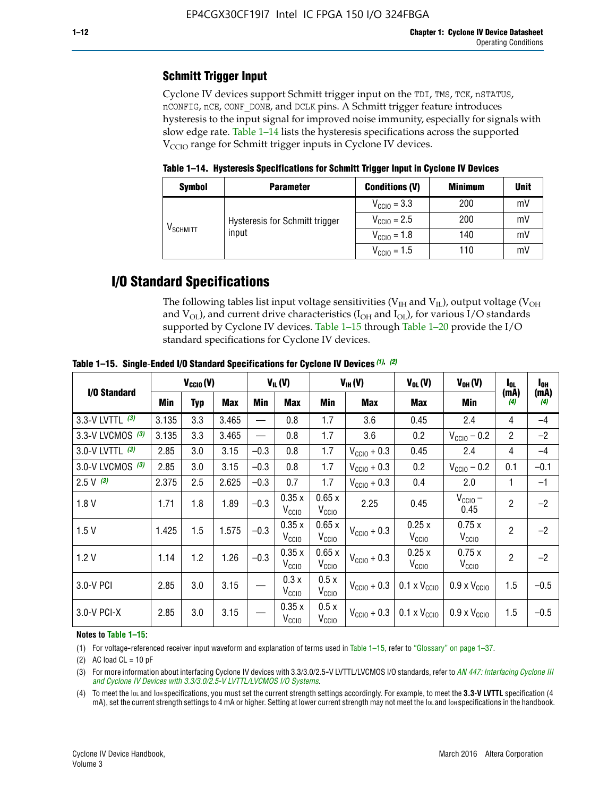## **Schmitt Trigger Input**

Cyclone IV devices support Schmitt trigger input on the TDI, TMS, TCK, nSTATUS, nCONFIG, nCE, CONF\_DONE, and DCLK pins. A Schmitt trigger feature introduces hysteresis to the input signal for improved noise immunity, especially for signals with slow edge rate. Table 1–14 lists the hysteresis specifications across the supported  $V<sub>CCIO</sub>$  range for Schmitt trigger inputs in Cyclone IV devices.

**Table 1–14. Hysteresis Specifications for Schmitt Trigger Input in Cyclone IV Devices**

| <b>Symbol</b>                  | <b>Parameter</b>               | <b>Conditions (V)</b>   | <b>Minimum</b> | <b>Unit</b> |
|--------------------------------|--------------------------------|-------------------------|----------------|-------------|
|                                |                                | $V_{\text{CGI0}} = 3.3$ | 200            | mV          |
|                                | Hysteresis for Schmitt trigger | $V_{\text{CGI0}} = 2.5$ | 200            | mV          |
| $\mathsf{V}_{\mathsf{SCHMIT}}$ | input                          | $V_{\text{CCIO}} = 1.8$ | 140            | mV          |
|                                |                                | $V_{\text{CC10}} = 1.5$ | 110            | mV          |

## **I/O Standard Specifications**

The following tables list input voltage sensitivities ( $V<sub>IH</sub>$  and  $V<sub>II</sub>$ ), output voltage ( $V<sub>OH</sub>$ and  $V_{OL}$ ), and current drive characteristics ( $I_{OH}$  and  $I_{OL}$ ), for various I/O standards supported by Cyclone IV devices. Table 1–15 through Table 1–20 provide the I/O standard specifications for Cyclone IV devices.

|                    | $V_{CClO}(V)$ |     | $V_{IL}(V)$ |        |                            | $V_{IH} (V)$               | $V_{OL}(V)$             | $V_{OH} (V)$                                    | l <sub>ol</sub>              | $I_{0H}$       |                          |
|--------------------|---------------|-----|-------------|--------|----------------------------|----------------------------|-------------------------|-------------------------------------------------|------------------------------|----------------|--------------------------|
| I/O Standard       | <b>Min</b>    | Typ | Max         | Min    | Max                        | Min                        | <b>Max</b>              | Max                                             | Min                          | (mA)<br>(4)    | (mA)<br>$\left(4\right)$ |
| 3.3-V LVTTL (3)    | 3.135         | 3.3 | 3.465       |        | 0.8                        | 1.7                        | 3.6                     | 0.45                                            | 2.4                          | 4              | $-4$                     |
| 3.3-V LVCMOS $(3)$ | 3.135         | 3.3 | 3.465       |        | 0.8                        | 1.7                        | 3.6                     | 0.2                                             | $V_{\text{CC10}} - 0.2$      | $\overline{2}$ | $-2$                     |
| 3.0-V LVTTL (3)    | 2.85          | 3.0 | 3.15        | $-0.3$ | 0.8                        | 1.7                        | $V_{\text{CC10}} + 0.3$ | 0.45                                            | 2.4                          | 4              | $-4$                     |
| 3.0-V LVCMOS (3)   | 2.85          | 3.0 | 3.15        | $-0.3$ | 0.8                        | 1.7                        | $V_{\text{CC10}} + 0.3$ | 0.2                                             | $V_{\text{CC10}} - 0.2$      | 0.1            | $-0.1$                   |
| $2.5 V$ (3)        | 2.375         | 2.5 | 2.625       | $-0.3$ | 0.7                        | 1.7                        | $V_{\text{CGI0}} + 0.3$ | 0.4                                             | 2.0                          | 1              | $-1$                     |
| 1.8V               | 1.71          | 1.8 | 1.89        | $-0.3$ | 0.35x<br>V <sub>CCIO</sub> | 0.65x<br>V <sub>CCIO</sub> | 2.25                    | 0.45                                            | $V_{CGIO}$ –<br>0.45         | $\overline{2}$ | $-2$                     |
| 1.5V               | 1.425         | 1.5 | 1.575       | $-0.3$ | 0.35x<br>V <sub>CCIO</sub> | 0.65x<br>V <sub>CCIO</sub> | $V_{\text{CC10}} + 0.3$ | 0.25x<br>V <sub>CCIO</sub>                      | 0.75x<br>V <sub>CCIO</sub>   | $\overline{2}$ | $-2$                     |
| 1.2V               | 1.14          | 1.2 | 1.26        | $-0.3$ | 0.35x<br>V <sub>CCIO</sub> | 0.65x<br>V <sub>CCIO</sub> | $V_{\text{CC10}} + 0.3$ | 0.25x<br>V <sub>CCIO</sub>                      | 0.75x<br>V <sub>CCIO</sub>   | $\overline{2}$ | $-2$                     |
| 3.0-V PCI          | 2.85          | 3.0 | 3.15        |        | 0.3x<br>V <sub>CCIO</sub>  | 0.5x<br>V <sub>CCIO</sub>  | $V_{\text{CCI0}} + 0.3$ | $0.1 \times V_{\text{CC10}}$                    | $0.9 \times V_{\text{CC10}}$ | 1.5            | $-0.5$                   |
| $3.0 - V$ PCI-X    | 2.85          | 3.0 | 3.15        |        | 0.35x<br>V <sub>CCIO</sub> | 0.5x<br>V <sub>CCIO</sub>  |                         | $V_{\text{CC10}} + 0.3$ 0.1 x $V_{\text{CC10}}$ | $0.9 \times V_{\text{CC10}}$ | 1.5            | $-0.5$                   |

**Table 1–15. Single**-**Ended I/O Standard Specifications for Cyclone IV Devices** *(1)***,** *(2)*

#### **Notes to Table 1–15:**

(1) For voltage-referenced receiver input waveform and explanation of terms used in Table 1–15, refer to "Glossary" on page 1–37.

(2) AC load  $CL = 10$  pF

(3) For more information about interfacing Cyclone IV devices with 3.3/3.0/2.5-V LVTTL/LVCMOS I/O standards, refer to *[AN 447: Interfacing Cyclone III](http://www.altera.com/literature/an/an447.pdf)  [and Cyclone IV Devices with 3.3/3.0/2.5-V LVTTL/LVCMOS I/O Systems](http://www.altera.com/literature/an/an447.pdf)*.

(4) To meet the IOL and IOH specifications, you must set the current strength settings accordingly. For example, to meet the **3.3-V LVTTL** specification (4 mA), set the current strength settings to 4 mA or higher. Setting at lower current strength may not meet the lou and lon specifications in the handbook.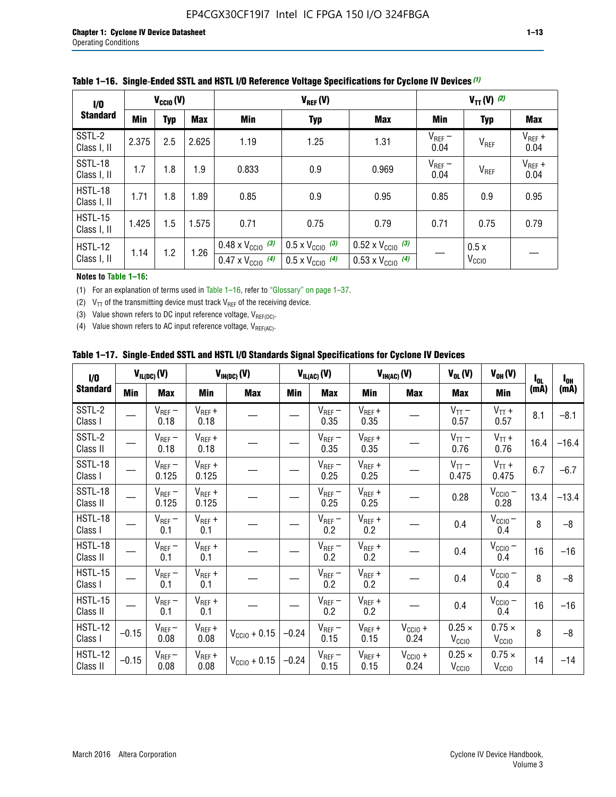| 1/0                           | $V_{\text{CC10}}(V)$ |            |            |                                                                        | $V_{TT} (V)$ (2)                                                     |                                                                        |                     |                           |                     |
|-------------------------------|----------------------|------------|------------|------------------------------------------------------------------------|----------------------------------------------------------------------|------------------------------------------------------------------------|---------------------|---------------------------|---------------------|
| <b>Standard</b>               | <b>Min</b>           | <b>Typ</b> | <b>Max</b> | Min                                                                    | <b>Typ</b>                                                           | <b>Max</b>                                                             | Min                 | <b>Typ</b>                | Max                 |
| SSTL-2<br>Class I, II         | 2.375                | 2.5        | 2.625      | 1.19                                                                   | 1.25                                                                 | 1.31                                                                   | $V_{REF}$ –<br>0.04 | V <sub>REF</sub>          | $V_{REF}$ +<br>0.04 |
| SSTL-18<br>Class I, II        | 1.7                  | 1.8        | 1.9        | 0.833                                                                  | 0.9                                                                  | 0.969                                                                  | $V_{REF}$ –<br>0.04 | V <sub>REF</sub>          | $V_{REF}$ +<br>0.04 |
| HSTL-18<br>Class I, II        | 1.71                 | 1.8        | 1.89       | 0.85                                                                   | 0.9                                                                  | 0.95                                                                   | 0.85                | 0.9                       | 0.95                |
| <b>HSTL-15</b><br>Class I, II | 1.425                | 1.5        | 1.575      | 0.71                                                                   | 0.75                                                                 | 0.79                                                                   | 0.71                | 0.75                      | 0.79                |
| HSTL-12<br>Class I, II        | 1.14                 | 1.2        | 1.26       | $0.48 \times V_{\text{CC10}}$ (3)<br>$0.47 \times V_{\text{CC10}}$ (4) | $0.5 \times V_{\text{CC10}}$ (3)<br>$0.5 \times V_{\text{CC10}}$ (4) | $0.52 \times V_{\text{CC10}}$ (3)<br>$0.53 \times V_{\text{CC10}}$ (4) |                     | 0.5x<br>V <sub>CCIO</sub> |                     |

|  |  |  | Table 1–16. Single-Ended SSTL and HSTL I/O Reference Voltage Specifications for Cyclone IV Devices (1) |  |
|--|--|--|--------------------------------------------------------------------------------------------------------|--|
|--|--|--|--------------------------------------------------------------------------------------------------------|--|

#### **Notes to Table 1–16:**

(1) For an explanation of terms used in Table 1–16, refer to "Glossary" on page 1–37.

(2)  $V_{TT}$  of the transmitting device must track  $V_{REF}$  of the receiving device.

(3) Value shown refers to DC input reference voltage,  $V_{REF(DC)}$ .

(4) Value shown refers to AC input reference voltage,  $V_{REF(AC)}$ .

|  | Table 1–17.  Single-Ended SSTL and HSTL I/O Standards Signal Specifications for Cyclone IV Devices |  |  |  |  |  |
|--|----------------------------------------------------------------------------------------------------|--|--|--|--|--|
|--|----------------------------------------------------------------------------------------------------|--|--|--|--|--|

| I/O                        |            | $V_{IL(DC)}(V)$      |                                      | $V_{IH(DC)}(V)$   |         | $V_{IL(AC)}(V)$     |                     | $V_{IH(AC)}(V)$      | $V_{OL}(V)$                        | $V_{OH} (V)$                       | $I_{0L}$ | $I_{0H}$ |
|----------------------------|------------|----------------------|--------------------------------------|-------------------|---------|---------------------|---------------------|----------------------|------------------------------------|------------------------------------|----------|----------|
| <b>Standard</b>            | <b>Min</b> | Max                  | <b>Min</b>                           | <b>Max</b>        | Min     | Max                 | Min                 | <b>Max</b>           | Max                                | Min                                | (mA)     | (mA)     |
| SSTL-2<br>Class I          |            | $V_{REF}$ –<br>0.18  | $V_{REF} +$<br>0.18                  |                   |         | $V_{REF}$ –<br>0.35 | $V_{REF} +$<br>0.35 |                      | $V_{TT}$ –<br>0.57                 | $V_{TT}$ +<br>0.57                 | 8.1      | $-8.1$   |
| SSTL-2<br>Class II         |            | $V_{REF}$ –<br>0.18  | $V_{REF} +$<br>0.18                  |                   |         | $V_{REF}$ –<br>0.35 | $V_{REF} +$<br>0.35 |                      | $V_{TT}$ –<br>0.76                 | $V_{TT}$ +<br>0.76                 | 16.4     | $-16.4$  |
| <b>SSTL-18</b><br>Class I  |            | $V_{REF}$ –<br>0.125 | $V_{REF}$ +<br>0.125                 |                   |         | $V_{REF}$ –<br>0.25 | $V_{REF} +$<br>0.25 |                      | $V_{TT}$ –<br>0.475                | $V_{TT}$ +<br>0.475                | 6.7      | $-6.7$   |
| SSTL-18<br>Class II        |            | $V_{REF}$ –<br>0.125 | $V_{REF}$ +<br>0.125                 |                   |         | $V_{REF}$ –<br>0.25 | $V_{REF}$ +<br>0.25 |                      | 0.28                               | $V_{CC10} -$<br>0.28               | 13.4     | $-13.4$  |
| HSTL-18<br>Class I         |            | $V_{REF}$ –<br>0.1   | $\mathsf{V}_{\mathsf{REF}}$ +<br>0.1 |                   |         | $V_{REF}$ –<br>0.2  | $V_{REF}$ +<br>0.2  |                      | 0.4                                | $V_{\text{CCIO}}-$<br>0.4          | 8        | $-8$     |
| HSTL-18<br>Class II        |            | $V_{REF}$ –<br>0.1   | $V_{REF}$ +<br>0.1                   |                   |         | $V_{REF}$ –<br>0.2  | $V_{REF} +$<br>0.2  |                      | 0.4                                | $V_{CC10}$ –<br>0.4                | 16       | $-16$    |
| HSTL-15<br>Class I         |            | $V_{REF}$ –<br>0.1   | $V_{REF}$ +<br>0.1                   |                   |         | $V_{REF}$ –<br>0.2  | $V_{REF}$ +<br>0.2  |                      | 0.4                                | $V_{CC10}$ –<br>0.4                | 8        | $-8$     |
| HSTL-15<br>Class II        |            | $V_{REF}$ –<br>0.1   | $V_{REF} +$<br>0.1                   |                   |         | $V_{REF}$ –<br>0.2  | $V_{REF} +$<br>0.2  |                      | 0.4                                | $V_{CC10}$ –<br>0.4                | 16       | $-16$    |
| <b>HSTL-12</b><br>Class I  | $-0.15$    | $V_{REF}-$<br>0.08   | $V_{REF} +$<br>0.08                  | $V_{CGI0} + 0.15$ | $-0.24$ | $V_{REF}$ –<br>0.15 | $V_{REF} +$<br>0.15 | $V_{CClO}$ +<br>0.24 | $0.25 \times$<br>$V_{\rm CClO}$    | $0.75 \times$<br>V <sub>CCIO</sub> | 8        | $-8$     |
| <b>HSTL-12</b><br>Class II | $-0.15$    | $V_{REF}-$<br>0.08   | $V_{REF} +$<br>0.08                  | $V_{CGI0} + 0.15$ | $-0.24$ | $V_{REF}$ –<br>0.15 | $V_{REF} +$<br>0.15 | $V_{CCIO}$ +<br>0.24 | $0.25 \times$<br>V <sub>CCIO</sub> | $0.75 \times$<br>V <sub>CCIO</sub> | 14       | $-14$    |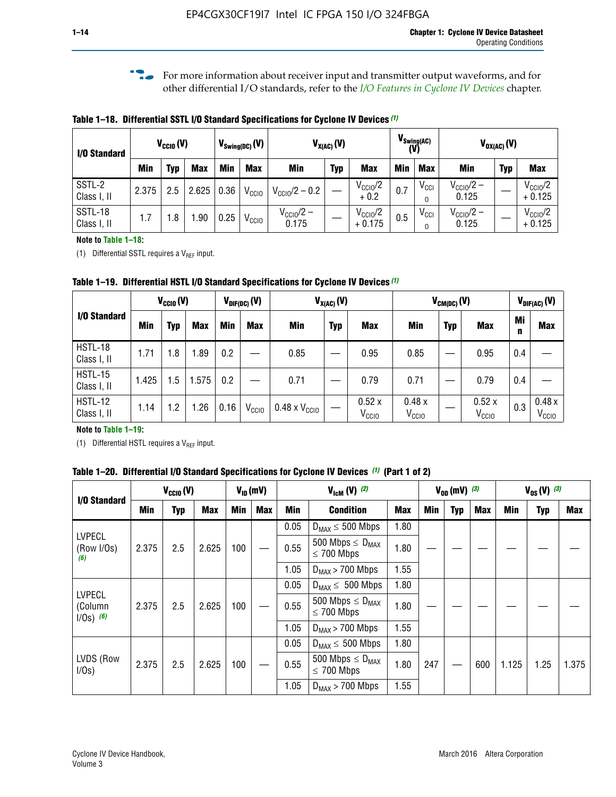**f For more information about receiver input and transmitter output waveforms, and for** other differential I/O standards, refer to the *[I/O Features in Cyclone IV Devices](http://www.altera.com/literature/hb/cyclone-iv/cyiv-51006.pdf)* chapter*.*

**Table 1–18. Differential SSTL I/O Standard Specifications for Cyclone IV Devices** *(1)*

| I/O Standard           |       | $V_{CCl0}(V)$ |            |      | $V_{\text{Swing(DC)}}(V)$ |                                | $V_{X(AC)}(V)$ |                                 |            | $V_{\text{Swing(AC)}}$<br>(V) |                                | $V_{OX(AC)}(V)$ |                                 |
|------------------------|-------|---------------|------------|------|---------------------------|--------------------------------|----------------|---------------------------------|------------|-------------------------------|--------------------------------|-----------------|---------------------------------|
|                        | Min   | Typ           | <b>Max</b> | Min  | <b>Max</b>                | <b>Min</b>                     | <b>Typ</b>     | <b>Max</b>                      | <b>Min</b> | <b>Max</b>                    | Min                            | <b>Typ</b>      | <b>Max</b>                      |
| SSTL-2<br>Class I, II  | 2.375 | 2.5           | 2.625      | 0.36 | V <sub>CCIO</sub>         | $V_{\text{CC10}}/2 - 0.2$      |                | $V_{\text{CC1O}}/2$<br>$+0.2$   | 0.7        | $V_{\rm CCI}$                 | $V_{\text{CC10}}/2 -$<br>0.125 |                 | $V_{\text{CC10}}/2$<br>$+0.125$ |
| SSTL-18<br>Class I, II | 1.7   | .8            | .90        | 0.25 | V <sub>CCIO</sub>         | $V_{\text{CC10}}/2 -$<br>0.175 |                | $V_{\text{CC10}}/2$<br>$+0.175$ | 0.5        | $V_{\rm CCI}$                 | $V_{\text{CC10}}/2 -$<br>0.125 |                 | $V_{\text{CC10}}/2$<br>$+0.125$ |

#### **Note to Table 1–18:**

(1) Differential SSTL requires a  $V_{REF}$  input.

**Table 1–19. Differential HSTL I/O Standard Specifications for Cyclone IV Devices** *(1)*

|                               | $V_{CClO}(V)$ |     |            |         | $V_{\text{DIF(DC)}}(V)$ |                               | $V_{X(AC)}(V)$ |                            |                            | $V_{CM(DC)}(V)$ |                            |         | $V_{\text{DIF(AC)}}(V)$    |
|-------------------------------|---------------|-----|------------|---------|-------------------------|-------------------------------|----------------|----------------------------|----------------------------|-----------------|----------------------------|---------|----------------------------|
| I/O Standard                  | Min           | Typ | <b>Max</b> | Min     | <b>Max</b>              | Min                           | <b>Typ</b>     | <b>Max</b>                 | Min                        | <b>Typ</b>      | <b>Max</b>                 | Mi<br>n | <b>Max</b>                 |
| HSTL-18<br>Class I, II        | 1.71          | 1.8 | .89        | 0.2     |                         | 0.85                          |                | 0.95                       | 0.85                       |                 | 0.95                       | 0.4     |                            |
| <b>HSTL-15</b><br>Class I, II | 1.425         | 1.5 | .575       | $0.2\,$ |                         | 0.71                          |                | 0.79                       | 0.71                       |                 | 0.79                       | 0.4     |                            |
| <b>HSTL-12</b><br>Class I, II | 1.14          | 1.2 | 1.26       | 0.16    | V <sub>CCIO</sub>       | $0.48 \times V_{\text{CC10}}$ |                | 0.52x<br>V <sub>CCIO</sub> | 0.48x<br>V <sub>CCIO</sub> |                 | 0.52x<br>V <sub>CCIO</sub> | 0.3     | 0.48x<br>V <sub>CCIO</sub> |

#### **Note to Table 1–19:**

(1) Differential HSTL requires a  $V_{REF}$  input.

**Table 1–20. Differential I/O Standard Specifications for Cyclone IV Devices** *(1)* **(Part 1 of 2)**

| I/O Standard                       |       | $V_{CCl0} (V)$ |            |            | $V_{ID}$ (mV) |      | $V_{\text{lcm}}(V)^{(2)}$                  |            |     | $V_{0D}$ (mV) $(3)$ |     |       |                            |       |
|------------------------------------|-------|----------------|------------|------------|---------------|------|--------------------------------------------|------------|-----|---------------------|-----|-------|----------------------------|-------|
|                                    | Min   | Typ            | <b>Max</b> | <b>Min</b> | Max           | Min  | <b>Condition</b>                           | <b>Max</b> | Min | Typ                 | Max | Min   | <b>Typ</b>                 | Max   |
|                                    |       |                |            |            |               | 0.05 | $D_{MAX} \leq 500$ Mbps                    | 1.80       |     |                     |     |       |                            |       |
| <b>LVPECL</b><br>(Row I/Os)<br>(6) | 2.375 | 2.5            | 2.625      | 100        |               | 0.55 | 500 Mbps $\leq D_{MAX}$<br>$\leq$ 700 Mbps | 1.80       |     |                     |     |       | $V_{0S} (V)^{(3)}$<br>1.25 |       |
|                                    |       |                |            |            |               | 1.05 | $D_{MAX}$ > 700 Mbps                       | 1.55       |     |                     |     |       |                            |       |
| <b>LVPECL</b>                      |       |                |            |            |               | 0.05 | $D_{MAX} \leq 500$ Mbps                    | 1.80       |     |                     |     |       |                            |       |
| (Column<br>$1/Os)$ (6)             | 2.375 | 2.5            | 2.625      | 100        |               | 0.55 | 500 Mbps $\leq D_{MAX}$<br>$\leq$ 700 Mbps | 1.80       |     |                     |     |       |                            |       |
|                                    |       |                |            |            |               | 1.05 | $D_{MAX}$ > 700 Mbps                       | 1.55       |     |                     |     |       |                            |       |
|                                    |       |                |            |            |               | 0.05 | $D_{MAX} \leq 500$ Mbps                    | 1.80       |     |                     |     |       |                            |       |
| LVDS (Row<br>I/Os)                 | 2.375 | 2.5            | 2.625      | 100        |               | 0.55 | 500 Mbps $\leq D_{MAX}$<br>$\leq 700$ Mbps | 1.80       | 247 |                     | 600 | 1.125 |                            | 1.375 |
|                                    |       |                |            |            |               | 1.05 | $D_{MAX}$ > 700 Mbps                       | 1.55       |     |                     |     |       |                            |       |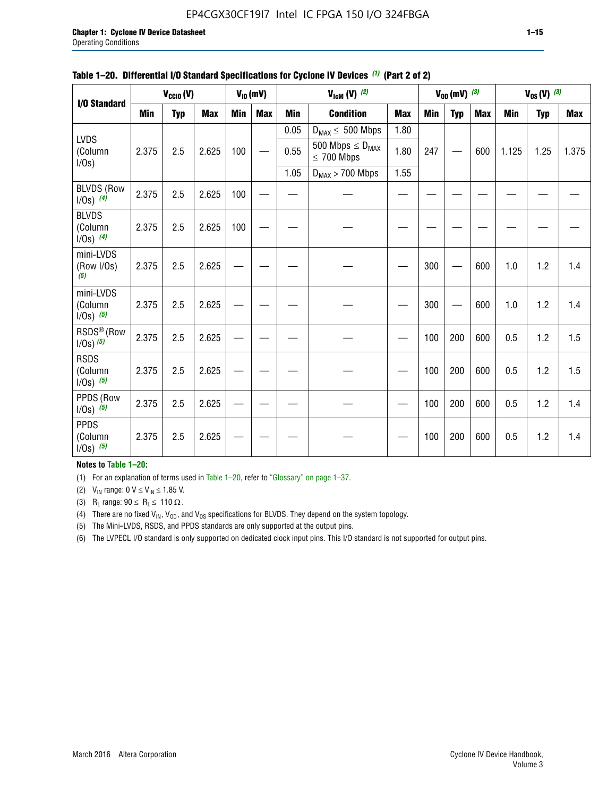#### EP4CGX30CF19I7 Intel IC FPGA 150 I/O 324FBGA

|                                          |            | $V_{\text{CCIO}}(V)$ |            |     | $V_{ID}(mV)$ |            | $V_{\text{ICM}}(V)$ (2)                    |            |     | $V_{0D}$ (mV) $(3)$ |            |       | $V_{0S} (V)$ (3) |            |
|------------------------------------------|------------|----------------------|------------|-----|--------------|------------|--------------------------------------------|------------|-----|---------------------|------------|-------|------------------|------------|
| I/O Standard                             | <b>Min</b> | <b>Typ</b>           | <b>Max</b> | Min | <b>Max</b>   | <b>Min</b> | <b>Condition</b>                           | <b>Max</b> | Min | <b>Typ</b>          | <b>Max</b> | Min   | <b>Typ</b>       | <b>Max</b> |
|                                          |            |                      |            |     |              | 0.05       | $D_{MAX} \leq 500$ Mbps                    | 1.80       |     |                     |            |       |                  |            |
| LVDS<br>(Column<br>I/Os                  | 2.375      | 2.5                  | 2.625      | 100 |              | 0.55       | 500 Mbps $\leq D_{MAX}$<br>$\leq 700$ Mbps | 1.80       | 247 |                     | 600        | 1.125 | 1.25             | 1.375      |
|                                          |            |                      |            |     |              | 1.05       | $D_{MAX}$ > 700 Mbps                       | 1.55       |     |                     |            |       |                  |            |
| <b>BLVDS (Row</b><br>$1/0s)$ (4)         | 2.375      | 2.5                  | 2.625      | 100 |              |            |                                            |            |     |                     |            |       |                  |            |
| <b>BLVDS</b><br>(Column<br>$1/0s)$ (4)   | 2.375      | 2.5                  | 2.625      | 100 |              |            |                                            |            |     |                     |            |       |                  |            |
| mini-LVDS<br>(Row I/Os)<br>(5)           | 2.375      | 2.5                  | 2.625      |     |              |            |                                            |            | 300 |                     | 600        | 1.0   | 1.2              | 1.4        |
| mini-LVDS<br>(Column<br>$1/0s)$ $(5)$    | 2.375      | 2.5                  | 2.625      |     |              |            |                                            |            | 300 |                     | 600        | 1.0   | 1.2              | 1.4        |
| RSDS <sup>®</sup> (Row<br>$1/0s$ ) $(5)$ | 2.375      | 2.5                  | 2.625      |     |              |            |                                            |            | 100 | 200                 | 600        | 0.5   | 1.2              | 1.5        |
| <b>RSDS</b><br>(Column<br>$1/Os)$ (5)    | 2.375      | 2.5                  | 2.625      |     |              |            |                                            |            | 100 | 200                 | 600        | 0.5   | 1.2              | 1.5        |
| PPDS (Row<br>$1/0s)$ (5)                 | 2.375      | 2.5                  | 2.625      |     |              |            |                                            |            | 100 | 200                 | 600        | 0.5   | 1.2              | 1.4        |
| <b>PPDS</b><br>(Column<br>$1/0s)$ (5)    | 2.375      | 2.5                  | 2.625      |     |              |            |                                            |            | 100 | 200                 | 600        | 0.5   | 1.2              | 1.4        |

#### **Table 1–20. Differential I/O Standard Specifications for Cyclone IV Devices** *(1)* **(Part 2 of 2)**

**Notes to Table 1–20:**

(1) For an explanation of terms used in Table 1–20, refer to "Glossary" on page 1–37.

(2)  $V_{IN}$  range: 0  $V \le V_{IN} \le 1.85$  V.

(3) R<sub>L</sub> range:  $90 \le R_L \le 110 \Omega$ .

(4) There are no fixed  $V_{IN}$ ,  $V_{OD}$ , and  $V_{OS}$  specifications for BLVDS. They depend on the system topology.

(5) The Mini-LVDS, RSDS, and PPDS standards are only supported at the output pins.

(6) The LVPECL I/O standard is only supported on dedicated clock input pins. This I/O standard is not supported for output pins.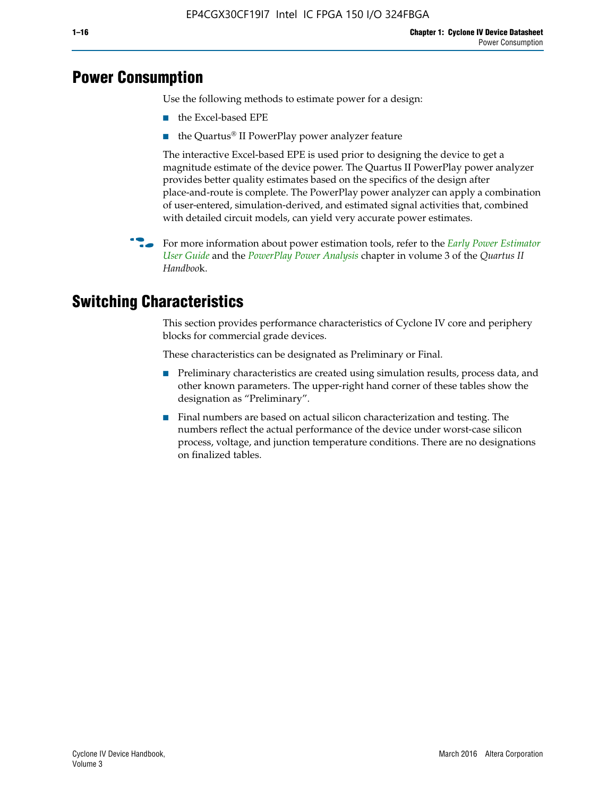## **Power Consumption**

Use the following methods to estimate power for a design:

- the Excel-based EPE
- the Quartus® II PowerPlay power analyzer feature

The interactive Excel-based EPE is used prior to designing the device to get a magnitude estimate of the device power. The Quartus II PowerPlay power analyzer provides better quality estimates based on the specifics of the design after place-and-route is complete. The PowerPlay power analyzer can apply a combination of user-entered, simulation-derived, and estimated signal activities that, combined with detailed circuit models, can yield very accurate power estimates.

f For more information about power estimation tools, refer to the *[Early Power Estimator](http://www.altera.com/literature/ug/ug_epe.pdf
)  [User Guide](http://www.altera.com/literature/ug/ug_epe.pdf
)* and the *[PowerPlay Power Analysis](http://www.altera.com/literature/hb/qts/qts_qii53013.pdf)* chapter in volume 3 of the *Quartus II Handboo*k.

## **Switching Characteristics**

This section provides performance characteristics of Cyclone IV core and periphery blocks for commercial grade devices.

These characteristics can be designated as Preliminary or Final.

- Preliminary characteristics are created using simulation results, process data, and other known parameters. The upper-right hand corner of these tables show the designation as "Preliminary".
- Final numbers are based on actual silicon characterization and testing. The numbers reflect the actual performance of the device under worst-case silicon process, voltage, and junction temperature conditions. There are no designations on finalized tables.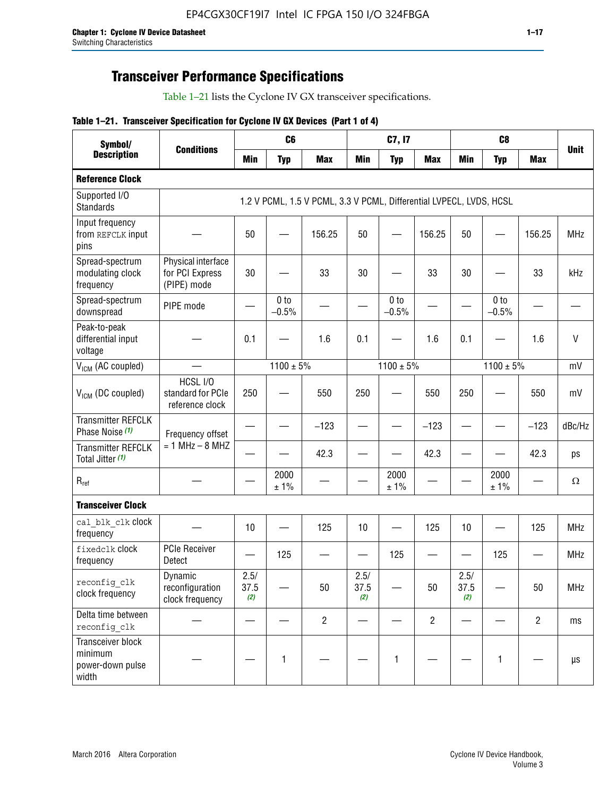## **Transceiver Performance Specifications**

Table 1–21 lists the Cyclone IV GX transceiver specifications.

#### **Table 1–21. Transceiver Specification for Cyclone IV GX Devices (Part 1 of 4)**

| Symbol/                                                   |                                                      |                          | C <sub>6</sub>             |                                                                     |                                | C7, I7                     |                                |                     | C <sub>8</sub>           |                |             |
|-----------------------------------------------------------|------------------------------------------------------|--------------------------|----------------------------|---------------------------------------------------------------------|--------------------------------|----------------------------|--------------------------------|---------------------|--------------------------|----------------|-------------|
| <b>Description</b>                                        | <b>Conditions</b>                                    | <b>Min</b>               | <b>Typ</b>                 | <b>Max</b>                                                          | <b>Min</b>                     | <b>Typ</b>                 | <b>Max</b>                     | <b>Min</b>          | <b>Typ</b>               | <b>Max</b>     | <b>Unit</b> |
| <b>Reference Clock</b>                                    |                                                      |                          |                            |                                                                     |                                |                            |                                |                     |                          |                |             |
| Supported I/O<br><b>Standards</b>                         |                                                      |                          |                            | 1.2 V PCML, 1.5 V PCML, 3.3 V PCML, Differential LVPECL, LVDS, HCSL |                                |                            |                                |                     |                          |                |             |
| Input frequency<br>from REFCLK input<br>pins              |                                                      | 50                       |                            | 156.25                                                              | 50                             |                            | 156.25                         | 50                  |                          | 156.25         | <b>MHz</b>  |
| Spread-spectrum<br>modulating clock<br>frequency          | Physical interface<br>for PCI Express<br>(PIPE) mode | 30                       |                            | 33                                                                  | 30                             |                            | 33                             | 30                  |                          | 33             | kHz         |
| Spread-spectrum<br>downspread                             | PIPE mode                                            |                          | 0 <sub>to</sub><br>$-0.5%$ |                                                                     |                                | 0 <sub>to</sub><br>$-0.5%$ |                                |                     | 0 to<br>$-0.5%$          |                |             |
| Peak-to-peak<br>differential input<br>voltage             |                                                      | 0.1                      |                            | 1.6                                                                 | 0.1                            |                            | 1.6                            | 0.1                 |                          | 1.6            | V           |
| V <sub>ICM</sub> (AC coupled)                             |                                                      |                          | $1100 \pm 5\%$             |                                                                     |                                | $1100 \pm 5\%$             |                                |                     | $1100 \pm 5\%$           |                | mV          |
| V <sub>ICM</sub> (DC coupled)                             | HCSL I/O<br>standard for PCIe<br>reference clock     | 250                      |                            | 550                                                                 | 250                            |                            | 550                            | 250                 |                          | 550            | mV          |
| <b>Transmitter REFCLK</b><br>Phase Noise (1)              | Frequency offset                                     |                          |                            | $-123$                                                              | $\overline{\phantom{0}}$       |                            | $-123$                         | —                   |                          | $-123$         | dBc/Hz      |
| <b>Transmitter REFCLK</b><br>Total Jitter (1)             | $= 1$ MHz $- 8$ MHZ                                  |                          |                            | 42.3                                                                |                                |                            | 42.3                           |                     |                          | 42.3           | ps          |
| $R_{ref}$                                                 |                                                      |                          | 2000<br>± 1%               |                                                                     |                                | 2000<br>± 1%               |                                |                     | 2000<br>± 1%             |                | $\Omega$    |
| <b>Transceiver Clock</b>                                  |                                                      |                          |                            |                                                                     |                                |                            |                                |                     |                          |                |             |
| cal blk clk clock<br>frequency                            |                                                      | 10                       |                            | 125                                                                 | 10                             |                            | 125                            | 10                  | $\overline{\phantom{0}}$ | 125            | MHz         |
| fixedclk Clock<br>frequency                               | <b>PCIe Receiver</b><br>Detect                       | $\overline{\phantom{0}}$ | 125                        |                                                                     | $\qquad \qquad \longleftarrow$ | 125                        | $\qquad \qquad \longleftarrow$ | —                   | 125                      |                | <b>MHz</b>  |
| reconfig_clk<br>clock frequency                           | Dynamic<br>reconfiguration<br>clock frequency        | 2.5/<br>37.5<br>(2)      |                            | 50                                                                  | 2.5/<br>37.5<br>(2)            |                            | 50                             | 2.5/<br>37.5<br>(2) |                          | 50             | <b>MHz</b>  |
| Delta time between<br>reconfig clk                        |                                                      |                          |                            | $\overline{2}$                                                      |                                |                            | $\overline{c}$                 |                     |                          | $\overline{2}$ | ms          |
| Transceiver block<br>minimum<br>power-down pulse<br>width |                                                      |                          | 1                          |                                                                     |                                | 1                          |                                |                     | $\mathbf{1}$             |                | μs          |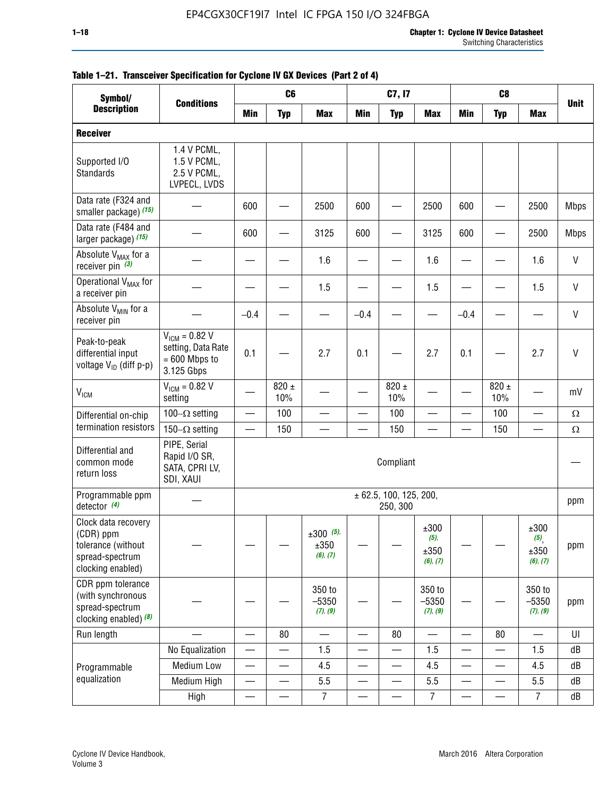| Symbol/                                                                                        | <b>Conditions</b>                                                         |                          | C <sub>6</sub>   |                                    |                          | C7, I7                                 |                                     |                          | C <sub>8</sub>           |                                                |              |
|------------------------------------------------------------------------------------------------|---------------------------------------------------------------------------|--------------------------|------------------|------------------------------------|--------------------------|----------------------------------------|-------------------------------------|--------------------------|--------------------------|------------------------------------------------|--------------|
| <b>Description</b>                                                                             |                                                                           | <b>Min</b>               | <b>Typ</b>       | <b>Max</b>                         | <b>Min</b>               | <b>Typ</b>                             | <b>Max</b>                          | <b>Min</b>               | <b>Typ</b>               | <b>Max</b>                                     | <b>Unit</b>  |
| <b>Receiver</b>                                                                                |                                                                           |                          |                  |                                    |                          |                                        |                                     |                          |                          |                                                |              |
| Supported I/O<br>Standards                                                                     | 1.4 V PCML,<br>1.5 V PCML,<br>2.5 V PCML,<br>LVPECL, LVDS                 |                          |                  |                                    |                          |                                        |                                     |                          |                          |                                                |              |
| Data rate (F324 and<br>smaller package) (15)                                                   |                                                                           | 600                      |                  | 2500                               | 600                      |                                        | 2500                                | 600                      |                          | 2500                                           | <b>Mbps</b>  |
| Data rate (F484 and<br>larger package) (15)                                                    |                                                                           | 600                      |                  | 3125                               | 600                      |                                        | 3125                                | 600                      |                          | 2500                                           | <b>Mbps</b>  |
| Absolute V <sub>MAX</sub> for a<br>receiver pin $(3)$                                          |                                                                           |                          |                  | 1.6                                |                          |                                        | 1.6                                 |                          |                          | 1.6                                            | $\mathsf{V}$ |
| Operational V <sub>MAX</sub> for<br>a receiver pin                                             |                                                                           |                          |                  | 1.5                                |                          |                                        | 1.5                                 |                          |                          | 1.5                                            | $\mathsf{V}$ |
| Absolute V <sub>MIN</sub> for a<br>receiver pin                                                |                                                                           | $-0.4$                   |                  |                                    | $-0.4$                   |                                        |                                     | $-0.4$                   |                          |                                                | $\mathsf{V}$ |
| Peak-to-peak<br>differential input<br>voltage V <sub>ID</sub> (diff p-p)                       | $V_{ICM} = 0.82 V$<br>setting, Data Rate<br>$= 600$ Mbps to<br>3.125 Gbps | 0.1                      |                  | 2.7                                | 0.1                      |                                        | 2.7                                 | 0.1                      |                          | 2.7                                            | V            |
| $\rm V_{IGM}$                                                                                  | $V_{IGM} = 0.82 V$<br>setting                                             |                          | $820 \pm$<br>10% |                                    |                          | 820 $\pm$<br>10%                       |                                     |                          | $820 \pm$<br>10%         |                                                | mV           |
| Differential on-chip                                                                           | 100 $-\Omega$ setting                                                     | $\overline{\phantom{0}}$ | 100              |                                    |                          | 100                                    | —                                   | $\qquad \qquad$          | 100                      | —                                              | $\Omega$     |
| termination resistors                                                                          | 150 $-\Omega$ setting                                                     |                          | 150              |                                    |                          | 150                                    |                                     |                          | 150                      |                                                | $\Omega$     |
| Differential and<br>common mode<br>return loss                                                 | PIPE, Serial<br>Rapid I/O SR,<br>SATA, CPRI LV,<br>SDI, XAUI              |                          |                  |                                    |                          | Compliant                              |                                     |                          |                          |                                                |              |
| Programmable ppm<br>detector $(4)$                                                             |                                                                           |                          |                  |                                    |                          | $\pm$ 62.5, 100, 125, 200,<br>250, 300 |                                     |                          |                          |                                                | ppm          |
| Clock data recovery<br>(CDR) ppm<br>tolerance (without<br>spread-spectrum<br>clocking enabled) |                                                                           |                          |                  | $\pm 300$ (5),<br>±350<br>(6), (7) |                          |                                        | ±300<br>$(5)$ ,<br>±350<br>(6), (7) |                          |                          | ±300<br>$(5)$ <sub>,</sub><br>±350<br>(6), (7) | ppm          |
| CDR ppm tolerance<br>(with synchronous<br>spread-spectrum<br>clocking enabled) (8)             |                                                                           |                          |                  | 350 to<br>$-5350$<br>(7), (9)      |                          |                                        | 350 to<br>$-5350$<br>(7), (9)       |                          |                          | 350 to<br>$-5350$<br>(7), (9)                  | ppm          |
| Run length                                                                                     |                                                                           |                          | 80               |                                    |                          | 80                                     |                                     |                          | 80                       |                                                | UI           |
|                                                                                                | No Equalization                                                           | $\overline{\phantom{0}}$ |                  | 1.5                                |                          |                                        | 1.5                                 | —                        |                          | 1.5                                            | ${\sf dB}$   |
| Programmable                                                                                   | Medium Low                                                                | $\overline{\phantom{0}}$ | —                | 4.5                                | $\overline{\phantom{0}}$ | —                                      | 4.5                                 | $\overline{\phantom{0}}$ | $\overline{\phantom{a}}$ | 4.5                                            | dB           |
| equalization                                                                                   | Medium High                                                               |                          | $\qquad \qquad$  | 5.5                                |                          | $\overline{\phantom{0}}$               | 5.5                                 | $\overline{\phantom{0}}$ | $\overline{\phantom{0}}$ | 5.5                                            | dB           |
|                                                                                                | High                                                                      | —                        | $\qquad \qquad$  | $\overline{7}$                     | —                        |                                        | $\overline{7}$                      |                          |                          | $\overline{7}$                                 | dB           |

#### **Table 1–21. Transceiver Specification for Cyclone IV GX Devices (Part 2 of 4)**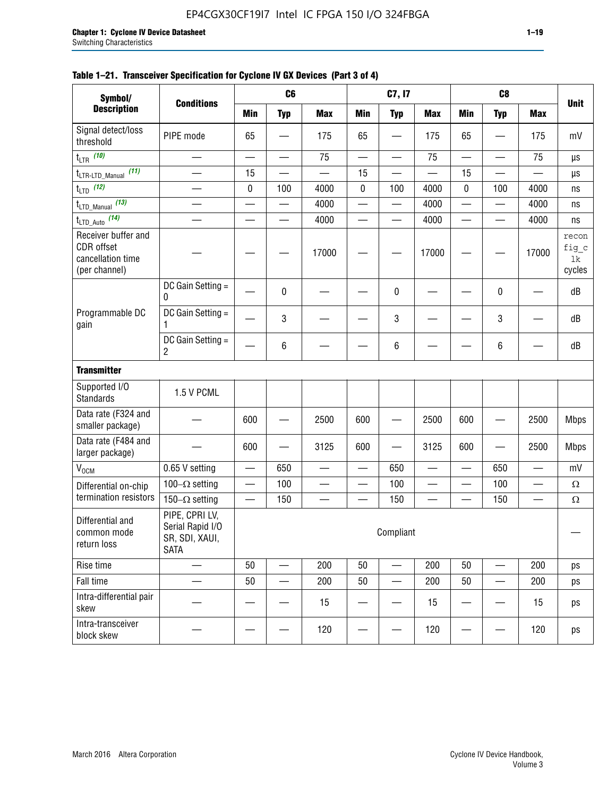| Symbol/                                                                                                                            |                                     |                          | C <sub>6</sub>           |                          |                          | C7, I7                   |                          |                          | C <sub>8</sub>           |                          |                                |
|------------------------------------------------------------------------------------------------------------------------------------|-------------------------------------|--------------------------|--------------------------|--------------------------|--------------------------|--------------------------|--------------------------|--------------------------|--------------------------|--------------------------|--------------------------------|
| <b>Description</b>                                                                                                                 | <b>Conditions</b>                   | <b>Min</b>               | <b>Typ</b>               | <b>Max</b>               | <b>Min</b>               | <b>Typ</b>               | <b>Max</b>               | <b>Min</b>               | <b>Typ</b>               | <b>Max</b>               | <b>Unit</b>                    |
| Signal detect/loss<br>threshold                                                                                                    | PIPE mode                           | 65                       |                          | 175                      | 65                       |                          | 175                      | 65                       |                          | 175                      | mV                             |
| $t_{LTR}$ (10)                                                                                                                     | $\overline{\phantom{0}}$            | $\overline{\phantom{0}}$ | $\overline{\phantom{0}}$ | 75                       | $\overline{\phantom{0}}$ | $\overline{\phantom{0}}$ | 75                       | $\overline{\phantom{0}}$ | $\overline{\phantom{0}}$ | 75                       | $\mu s$                        |
| (11)<br>t <sub>LTR-LTD_Manual</sub>                                                                                                |                                     | 15                       |                          |                          | 15                       |                          |                          | 15                       |                          |                          | μs                             |
| $t_{LTD}$ (12)                                                                                                                     | $\overline{\phantom{0}}$            | 0                        | 100                      | 4000                     | 0                        | 100                      | 4000                     | 0                        | 100                      | 4000                     | ns                             |
| $t_{\text{LTD\_Manual}}$ (13)                                                                                                      | $\overline{\phantom{0}}$            | $\overline{\phantom{0}}$ | $\overline{\phantom{0}}$ | 4000                     | $\overline{\phantom{0}}$ | —                        | 4000                     | —                        | $\overline{\phantom{0}}$ | 4000                     | ns                             |
| $t_{\text{LTD\_Auto}}$ (14)                                                                                                        |                                     |                          |                          | 4000                     |                          |                          | 4000                     |                          |                          | 4000                     | ns                             |
| Receiver buffer and<br>CDR offset<br>cancellation time<br>(per channel)                                                            |                                     |                          |                          | 17000                    |                          |                          | 17000                    |                          |                          | 17000                    | recon<br>fig_c<br>1k<br>cycles |
|                                                                                                                                    | DC Gain Setting =<br>0              |                          | 0                        |                          |                          | 0                        |                          |                          | 0                        |                          | dB                             |
| Programmable DC<br>gain                                                                                                            | DC Gain Setting =<br>1              |                          | 3                        |                          |                          | 3                        |                          |                          | 3                        |                          | dB                             |
|                                                                                                                                    | DC Gain Setting =<br>$\overline{c}$ |                          | 6                        |                          |                          | 6                        |                          |                          | 6                        |                          | dB                             |
| <b>Transmitter</b>                                                                                                                 |                                     |                          |                          |                          |                          |                          |                          |                          |                          |                          |                                |
| Supported I/O<br><b>Standards</b>                                                                                                  | 1.5 V PCML                          |                          |                          |                          |                          |                          |                          |                          |                          |                          |                                |
| Data rate (F324 and<br>smaller package)                                                                                            |                                     | 600                      |                          | 2500                     | 600                      |                          | 2500                     | 600                      |                          | 2500                     | <b>Mbps</b>                    |
| Data rate (F484 and<br>larger package)                                                                                             |                                     | 600                      |                          | 3125                     | 600                      |                          | 3125                     | 600                      |                          | 2500                     | <b>Mbps</b>                    |
| $V_{OCM}$                                                                                                                          | 0.65 V setting                      | $\overline{\phantom{0}}$ | 650                      | $\overline{\phantom{0}}$ | $\overline{\phantom{0}}$ | 650                      | $\overline{\phantom{0}}$ | $\overline{\phantom{0}}$ | 650                      | $\overline{\phantom{0}}$ | mV                             |
| Differential on-chip                                                                                                               | $100-\Omega$ setting                |                          | 100                      | $\overline{\phantom{0}}$ |                          | 100                      |                          | —                        | 100                      | $\overline{\phantom{0}}$ | $\Omega$                       |
| termination resistors                                                                                                              | $150-\Omega$ setting                |                          | 150                      | —                        |                          | 150                      |                          | —                        | 150                      | —                        | $\Omega$                       |
| PIPE, CPRI LV,<br>Differential and<br>Serial Rapid I/O<br>Compliant<br>common mode<br>SR, SDI, XAUI,<br>return loss<br><b>SATA</b> |                                     |                          |                          |                          |                          |                          |                          |                          |                          |                          |                                |
| Rise time                                                                                                                          | $\overline{\phantom{0}}$            | 50                       | $\overline{\phantom{0}}$ | 200                      | 50                       | —                        | 200                      | 50                       |                          | 200                      | ps                             |
| Fall time                                                                                                                          |                                     | 50                       |                          | 200                      | 50                       | —                        | 200                      | 50                       |                          | 200                      | ps                             |
| Intra-differential pair<br>skew                                                                                                    |                                     |                          |                          | 15                       |                          |                          | 15                       |                          |                          | 15                       | ps                             |
| Intra-transceiver<br>block skew                                                                                                    |                                     |                          |                          | 120                      |                          |                          | 120                      |                          |                          | 120                      | ps                             |

#### **Table 1–21. Transceiver Specification for Cyclone IV GX Devices (Part 3 of 4)**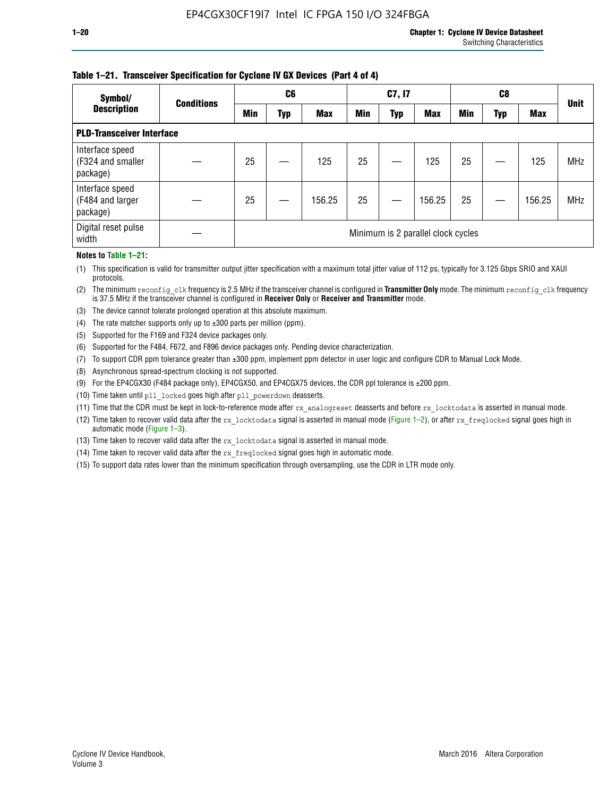#### **Table 1–21. Transceiver Specification for Cyclone IV GX Devices (Part 4 of 4)**

| Symbol/                                          | <b>Conditions</b> |                                    | C <sub>6</sub> |            |            | C7, I7 |            |            | C8  |            | <b>Unit</b> |
|--------------------------------------------------|-------------------|------------------------------------|----------------|------------|------------|--------|------------|------------|-----|------------|-------------|
| <b>Description</b>                               |                   | <b>Min</b>                         | Typ            | <b>Max</b> | <b>Min</b> | Typ    | <b>Max</b> | <b>Min</b> | Typ | <b>Max</b> |             |
| <b>PLD-Transceiver Interface</b>                 |                   |                                    |                |            |            |        |            |            |     |            |             |
| Interface speed<br>(F324 and smaller<br>package) |                   | 25                                 |                | 125        | 25         |        | 125        | 25         |     | 125        | <b>MHz</b>  |
| Interface speed<br>(F484 and larger<br>package)  |                   | 25                                 |                | 156.25     | 25         |        | 156.25     | 25         |     | 156.25     | <b>MHz</b>  |
| Digital reset pulse<br>width                     |                   | Minimum is 2 parallel clock cycles |                |            |            |        |            |            |     |            |             |

#### **Notes to Table 1–21:**

(1) This specification is valid for transmitter output jitter specification with a maximum total jitter value of 112 ps, typically for 3.125 Gbps SRIO and XAUI protocols.

(2) The minimum reconfig\_clk frequency is 2.5 MHz if the transceiver channel is configured in **Transmitter Only** mode. The minimum reconfig\_clk frequency is 37.5 MHz if the transceiver channel is configured in **Receiver Only** or **Receiver and Transmitter** mode.

- (3) The device cannot tolerate prolonged operation at this absolute maximum.
- (4) The rate matcher supports only up to  $\pm 300$  parts per million (ppm).
- (5) Supported for the F169 and F324 device packages only.
- (6) Supported for the F484, F672, and F896 device packages only. Pending device characterization.
- (7) To support CDR ppm tolerance greater than ±300 ppm, implement ppm detector in user logic and configure CDR to Manual Lock Mode.
- (8) Asynchronous spread-spectrum clocking is not supported.
- (9) For the EP4CGX30 (F484 package only), EP4CGX50, and EP4CGX75 devices, the CDR ppl tolerance is ±200 ppm.
- (10) Time taken until pll\_locked goes high after pll\_powerdown deasserts.
- (11) Time that the CDR must be kept in lock-to-reference mode after rx analogreset deasserts and before rx locktodata is asserted in manual mode.

(12) Time taken to recover valid data after the rx locktodata signal is asserted in manual mode (Figure 1–2), or after rx freqlocked signal goes high in automatic mode (Figure 1–3).

(13) Time taken to recover valid data after the rx locktodata signal is asserted in manual mode.

- (14) Time taken to recover valid data after the rx\_freqlocked signal goes high in automatic mode.
- (15) To support data rates lower than the minimum specification through oversampling, use the CDR in LTR mode only.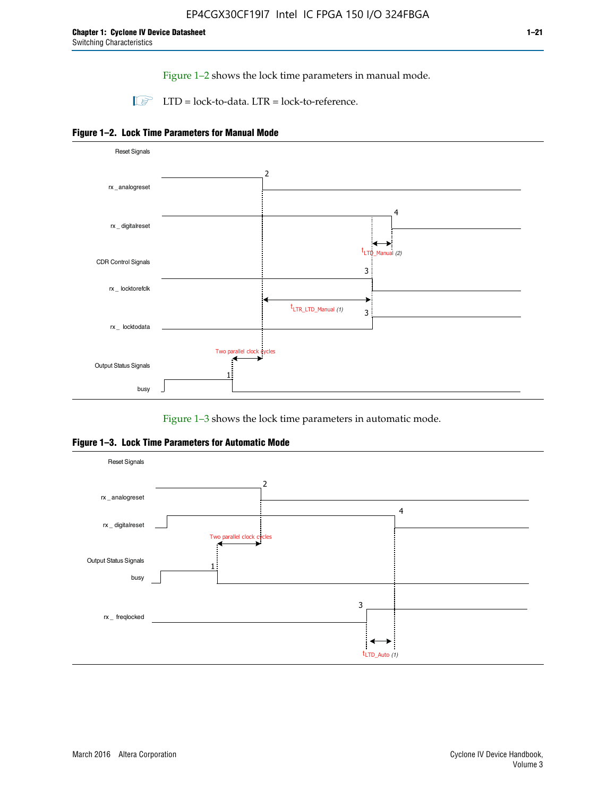Figure 1–2 shows the lock time parameters in manual mode.

 $\Box$  LTD = lock-to-data. LTR = lock-to-reference.





Figure 1–3 shows the lock time parameters in automatic mode.

**Figure 1–3. Lock Time Parameters for Automatic Mode**

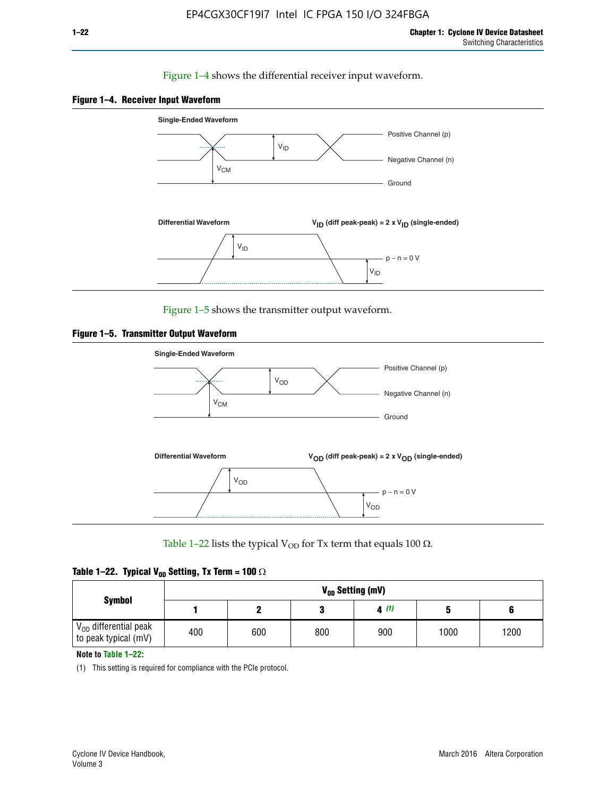#### Figure 1–4 shows the differential receiver input waveform.





Figure 1–5 shows the transmitter output waveform.





Table 1–22 lists the typical V<sub>OD</sub> for Tx term that equals 100  $\Omega$ .

| Table 1–22. Typical V <sub>0D</sub> Setting, Tx Term = 100 $\Omega$ |  |  |  |  |  |  |  |
|---------------------------------------------------------------------|--|--|--|--|--|--|--|
|---------------------------------------------------------------------|--|--|--|--|--|--|--|

|                                                        |     |     |     | V <sub>op</sub> Setting (mV) |      |      |
|--------------------------------------------------------|-----|-----|-----|------------------------------|------|------|
| <b>Symbol</b>                                          |     |     |     | 4(1)                         |      |      |
| $\rm V_{OD}$ differential peak<br>to peak typical (mV) | 400 | 600 | 800 | 900                          | 1000 | 1200 |

**Note to Table 1–22:**

(1) This setting is required for compliance with the PCIe protocol.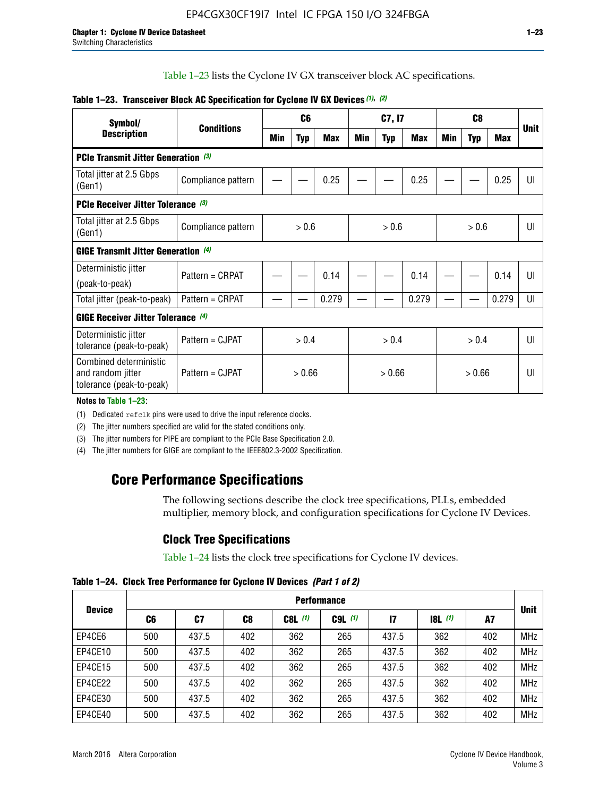Table 1–23 lists the Cyclone IV GX transceiver block AC specifications.

| Symbol/                                                                 |                                           |        | C <sub>6</sub> |            |            | C7, I7     |            |            | C <sub>8</sub> |       |             |
|-------------------------------------------------------------------------|-------------------------------------------|--------|----------------|------------|------------|------------|------------|------------|----------------|-------|-------------|
| <b>Description</b>                                                      | <b>Conditions</b>                         | Min    | <b>Typ</b>     | <b>Max</b> | <b>Min</b> | <b>Typ</b> | <b>Max</b> | <b>Min</b> | <b>Typ</b>     | Max   | <b>Unit</b> |
| <b>PCIe Transmit Jitter Generation</b> (3)                              |                                           |        |                |            |            |            |            |            |                |       |             |
| Total jitter at 2.5 Gbps<br>(Gen1)                                      | Compliance pattern                        |        |                | 0.25       |            |            | 0.25       |            |                | 0.25  | UI          |
|                                                                         | <b>PCIe Receiver Jitter Tolerance</b> (3) |        |                |            |            |            |            |            |                |       |             |
| Total jitter at 2.5 Gbps<br>(Gen1)                                      | Compliance pattern                        |        | > 0.6          |            |            | > 0.6      |            |            | > 0.6          |       | UI          |
| GIGE Transmit Jitter Generation (4)                                     |                                           |        |                |            |            |            |            |            |                |       |             |
| Deterministic jitter                                                    | Pattern = CRPAT                           |        |                | 0.14       |            |            | 0.14       |            |                | 0.14  | UI          |
| (peak-to-peak)                                                          |                                           |        |                |            |            |            |            |            |                |       |             |
| Total jitter (peak-to-peak)                                             | Pattern = CRPAT                           |        |                | 0.279      |            |            | 0.279      |            |                | 0.279 | UI          |
| <b>GIGE Receiver Jitter Tolerance</b> (4)                               |                                           |        |                |            |            |            |            |            |                |       |             |
| Deterministic jitter<br>tolerance (peak-to-peak)                        | Pattern = CJPAT                           |        | > 0.4          |            |            | > 0.4      |            |            | > 0.4          |       | UI          |
| Combined deterministic<br>and random jitter<br>tolerance (peak-to-peak) | Pattern = CJPAT                           | > 0.66 |                |            | > 0.66     |            |            | > 0.66     |                | UI    |             |

#### **Table 1–23. Transceiver Block AC Specification for Cyclone IV GX Devices** *(1)***,** *(2)*

#### **Notes to Table 1–23:**

(1) Dedicated refclk pins were used to drive the input reference clocks.

(2) The jitter numbers specified are valid for the stated conditions only.

(3) The jitter numbers for PIPE are compliant to the PCIe Base Specification 2.0.

(4) The jitter numbers for GIGE are compliant to the IEEE802.3-2002 Specification.

## **Core Performance Specifications**

The following sections describe the clock tree specifications, PLLs, embedded multiplier, memory block, and configuration specifications for Cyclone IV Devices.

### **Clock Tree Specifications**

Table 1–24 lists the clock tree specifications for Cyclone IV devices.

**Table 1–24. Clock Tree Performance for Cyclone IV Devices** *(Part 1 of 2)*

| <b>Device</b> |     | <b>Performance</b> |     |           |             |       |       |     |             |  |  |  |  |  |  |
|---------------|-----|--------------------|-----|-----------|-------------|-------|-------|-----|-------------|--|--|--|--|--|--|
|               | C6  | C7                 | C8  | $C8L$ (1) | $C9L$ $(1)$ | 17    | 8L(1) | A7  | <b>Unit</b> |  |  |  |  |  |  |
| EP4CE6        | 500 | 437.5              | 402 | 362       | 265         | 437.5 | 362   | 402 | <b>MHz</b>  |  |  |  |  |  |  |
| EP4CE10       | 500 | 437.5              | 402 | 362       | 265         | 437.5 | 362   | 402 | <b>MHz</b>  |  |  |  |  |  |  |
| EP4CE15       | 500 | 437.5              | 402 | 362       | 265         | 437.5 | 362   | 402 | <b>MHz</b>  |  |  |  |  |  |  |
| EP4CE22       | 500 | 437.5              | 402 | 362       | 265         | 437.5 | 362   | 402 | <b>MHz</b>  |  |  |  |  |  |  |
| EP4CE30       | 500 | 437.5              | 402 | 362       | 265         | 437.5 | 362   | 402 | <b>MHz</b>  |  |  |  |  |  |  |
| EP4CE40       | 500 | 437.5              | 402 | 362       | 265         | 437.5 | 362   | 402 | <b>MHz</b>  |  |  |  |  |  |  |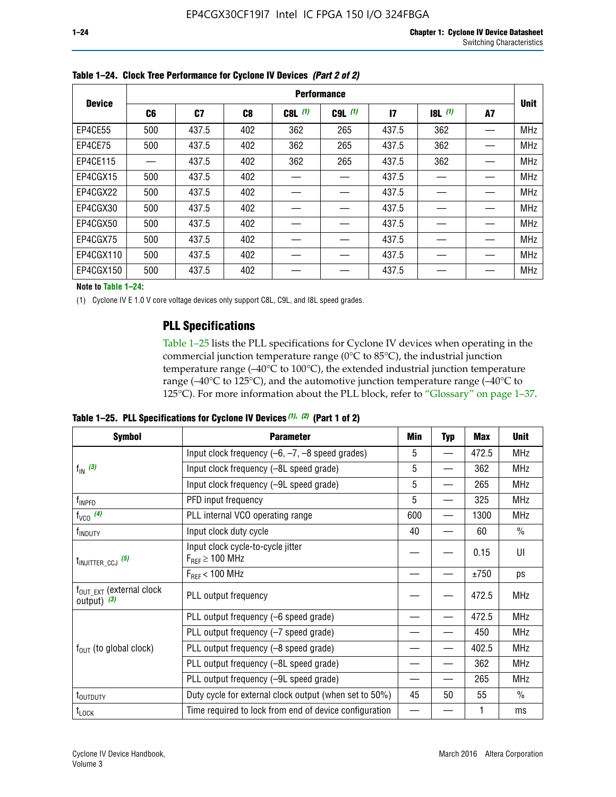|               |     | <b>Performance</b> |     |           |             |              |             |    |             |  |  |  |  |  |  |
|---------------|-----|--------------------|-----|-----------|-------------|--------------|-------------|----|-------------|--|--|--|--|--|--|
| <b>Device</b> | C6  | C <sub>7</sub>     | C8  | $C8L$ (1) | $C9L$ $(1)$ | $\mathbf{I}$ | $ 8 $ $(1)$ | A7 | <b>Unit</b> |  |  |  |  |  |  |
| EP4CE55       | 500 | 437.5              | 402 | 362       | 265         | 437.5        | 362         |    | <b>MHz</b>  |  |  |  |  |  |  |
| EP4CE75       | 500 | 437.5              | 402 | 362       | 265         | 437.5        | 362         |    | <b>MHz</b>  |  |  |  |  |  |  |
| EP4CE115      |     | 437.5              | 402 | 362       | 265         | 437.5        | 362         |    | <b>MHz</b>  |  |  |  |  |  |  |
| EP4CGX15      | 500 | 437.5              | 402 |           |             | 437.5        |             |    | <b>MHz</b>  |  |  |  |  |  |  |
| EP4CGX22      | 500 | 437.5              | 402 |           |             | 437.5        |             |    | <b>MHz</b>  |  |  |  |  |  |  |
| EP4CGX30      | 500 | 437.5              | 402 |           |             | 437.5        |             |    | <b>MHz</b>  |  |  |  |  |  |  |
| EP4CGX50      | 500 | 437.5              | 402 |           |             | 437.5        |             |    | <b>MHz</b>  |  |  |  |  |  |  |
| EP4CGX75      | 500 | 437.5              | 402 |           |             | 437.5        |             |    | <b>MHz</b>  |  |  |  |  |  |  |
| EP4CGX110     | 500 | 437.5              | 402 |           |             | 437.5        |             |    | <b>MHz</b>  |  |  |  |  |  |  |
| EP4CGX150     | 500 | 437.5              | 402 |           |             | 437.5        |             |    | <b>MHz</b>  |  |  |  |  |  |  |

**Table 1–24. Clock Tree Performance for Cyclone IV Devices** *(Part 2 of 2)*

**Note to Table 1–24:**

(1) Cyclone IV E 1.0 V core voltage devices only support C8L, C9L, and I8L speed grades.

### **PLL Specifications**

Table 1–25 lists the PLL specifications for Cyclone IV devices when operating in the commercial junction temperature range (0°C to 85°C), the industrial junction temperature range (–40°C to 100°C), the extended industrial junction temperature range (–40°C to 125°C), and the automotive junction temperature range (–40°C to 125°C). For more information about the PLL block, refer to "Glossary" on page 1–37.

|  |  | Table 1–25. PLL Specifications for Cyclone IV Devices $(1)$ , $(2)$ (Part 1 of 2) |  |
|--|--|-----------------------------------------------------------------------------------|--|
|--|--|-----------------------------------------------------------------------------------|--|

| <b>Symbol</b>                                         | <b>Parameter</b>                                            | Min | <b>Typ</b>               | Max   | <b>Unit</b>   |
|-------------------------------------------------------|-------------------------------------------------------------|-----|--------------------------|-------|---------------|
|                                                       | Input clock frequency $(-6, -7, -8)$ speed grades)          | 5   | —                        | 472.5 | <b>MHz</b>    |
| $f_{\text{IN}}$ (3)                                   | Input clock frequency (-8L speed grade)                     | 5   |                          | 362   | <b>MHz</b>    |
|                                                       | Input clock frequency (-9L speed grade)                     | 5   |                          | 265   | <b>MHz</b>    |
| f <sub>INPFD</sub>                                    | PFD input frequency                                         | 5   |                          | 325   | <b>MHz</b>    |
| $f_{VCO}$ (4)                                         | PLL internal VCO operating range                            | 600 | $\overline{\phantom{0}}$ | 1300  | <b>MHz</b>    |
| f <sub>INDUTY</sub>                                   | Input clock duty cycle                                      | 40  |                          | 60    | $\frac{0}{0}$ |
| $t_{\text{INJITTER\_CCJ}}$ (5)                        | Input clock cycle-to-cycle jitter<br>$F_{REF} \geq 100$ MHz |     |                          | 0.15  | UI            |
|                                                       | $F_{RFF}$ < 100 MHz                                         |     |                          | ±750  | ps            |
| $f_{\text{OUT EXT}}$ (external clock<br>output) $(3)$ | PLL output frequency                                        |     |                          | 472.5 | <b>MHz</b>    |
|                                                       | PLL output frequency (-6 speed grade)                       |     |                          | 472.5 | <b>MHz</b>    |
|                                                       | PLL output frequency (-7 speed grade)                       |     |                          | 450   | <b>MHz</b>    |
| $f_{OUT}$ (to global clock)                           | PLL output frequency (-8 speed grade)                       |     |                          | 402.5 | <b>MHz</b>    |
|                                                       | PLL output frequency (-8L speed grade)                      |     |                          | 362   | <b>MHz</b>    |
|                                                       | PLL output frequency (-9L speed grade)                      |     |                          | 265   | <b>MHz</b>    |
| $t_{\mbox{\scriptsize{OUTDUTY}}}$                     | Duty cycle for external clock output (when set to 50%)      | 45  | 50                       | 55    | $\frac{0}{0}$ |
| $t_{\textrm{LOCK}}$                                   | Time required to lock from end of device configuration      |     |                          |       | ms            |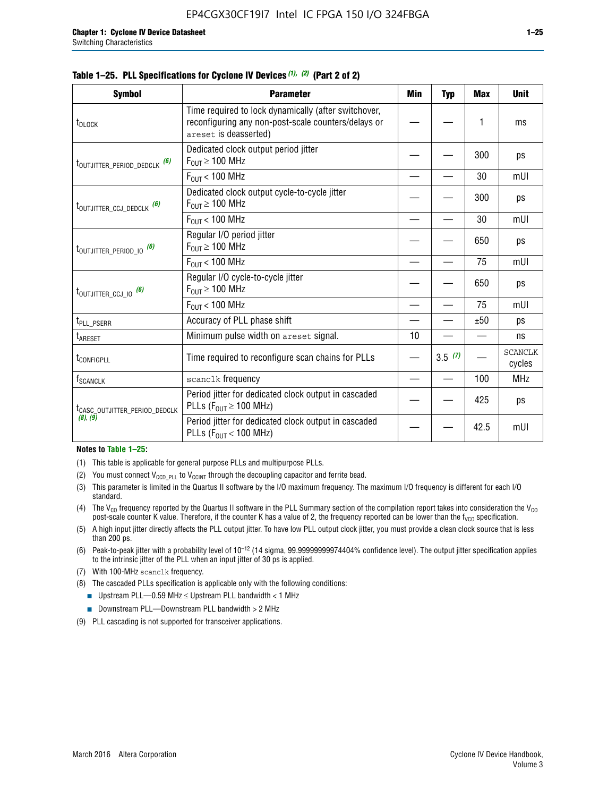|  |  | Table 1–25. PLL Specifications for Cyclone IV Devices (1), (2) (Part 2 of 2) |  |
|--|--|------------------------------------------------------------------------------|--|
|--|--|------------------------------------------------------------------------------|--|

| <b>Symbol</b>                             | <b>Parameter</b>                                                                                                                     | Min | <b>Typ</b> | <b>Max</b> | <b>Unit</b>              |
|-------------------------------------------|--------------------------------------------------------------------------------------------------------------------------------------|-----|------------|------------|--------------------------|
| t <sub>DLOCK</sub>                        | Time required to lock dynamically (after switchover,<br>reconfiguring any non-post-scale counters/delays or<br>areset is deasserted) |     |            | 1          | ms                       |
| t <sub>outjitter_period_dedclk</sub> (6)  | Dedicated clock output period jitter<br>$F_{OIII} \geq 100$ MHz                                                                      |     |            | 300        | ps                       |
|                                           | $F_{\text{OUT}}$ < 100 MHz                                                                                                           |     |            | 30         | mUI                      |
| t <sub>outjitter_ccj_dedclk</sub> (6)     | Dedicated clock output cycle-to-cycle jitter<br>$F_{OUT} \geq 100$ MHz                                                               |     |            | 300        | ps                       |
|                                           | $F_{\text{OUT}}$ < 100 MHz                                                                                                           |     |            | 30         | mUI                      |
| t <sub>outjitter_period_io</sub> (6)      | Regular I/O period jitter<br>$F_{OUT} \geq 100$ MHz                                                                                  |     |            | 650        | ps                       |
|                                           | $F_{OUT}$ < 100 MHz                                                                                                                  |     |            | 75         | mUI                      |
| t <sub>outjitter_ccj_io</sub> (6)         | Regular I/O cycle-to-cycle jitter<br>$F_{OUT} \geq 100$ MHz                                                                          |     |            | 650        | ps                       |
|                                           | $F_{\text{OUT}}$ < 100 MHz                                                                                                           |     |            | 75         | mUI                      |
| t <sub>PLL_PSERR</sub>                    | Accuracy of PLL phase shift                                                                                                          |     |            | ±50        | ps                       |
| t <sub>ARESET</sub>                       | Minimum pulse width on areset signal.                                                                                                | 10  |            |            | ns                       |
| t <sub>configpll</sub>                    | Time required to reconfigure scan chains for PLLs                                                                                    |     | 3.5(7)     |            | <b>SCANCLK</b><br>cycles |
| f <sub>SCANCLK</sub>                      | scanclk frequency                                                                                                                    |     |            | 100        | <b>MHz</b>               |
| t <sub>CASC_OUTJITTER_PERIOD_DEDCLK</sub> | Period jitter for dedicated clock output in cascaded<br>PLLs ( $F_{OUT} \ge 100$ MHz)                                                |     |            | 425        | ps                       |
| (8), (9)                                  | Period jitter for dedicated clock output in cascaded<br>PLLs ( $F_{OUT}$ < 100 MHz)                                                  |     |            | 42.5       | mUI                      |

#### **Notes to Table 1–25:**

- (1) This table is applicable for general purpose PLLs and multipurpose PLLs.
- (2) You must connect  $V_{CCD-PLL}$  to  $V_{CCINT}$  through the decoupling capacitor and ferrite bead.
- (3) This parameter is limited in the Quartus II software by the I/O maximum frequency. The maximum I/O frequency is different for each I/O standard.
- (4) The  $V_{CO}$  frequency reported by the Quartus II software in the PLL Summary section of the compilation report takes into consideration the  $V_{CO}$ post-scale counter K value. Therefore, if the counter K has a value of 2, the frequency reported can be lower than the f<sub>VCO</sub> specification.
- (5) A high input jitter directly affects the PLL output jitter. To have low PLL output clock jitter, you must provide a clean clock source that is less than 200 ps.
- (6) Peak-to-peak jitter with a probability level of 10–12 (14 sigma, 99.99999999974404% confidence level). The output jitter specification applies to the intrinsic jitter of the PLL when an input jitter of 30 ps is applied.
- (7) With 100-MHz scanclk frequency.
- (8) The cascaded PLLs specification is applicable only with the following conditions:
	- **■** Upstream PLL—0.59 MHz  $\leq$  Upstream PLL bandwidth  $<$  1 MHz
	- Downstream PLL—Downstream PLL bandwidth > 2 MHz
- (9) PLL cascading is not supported for transceiver applications.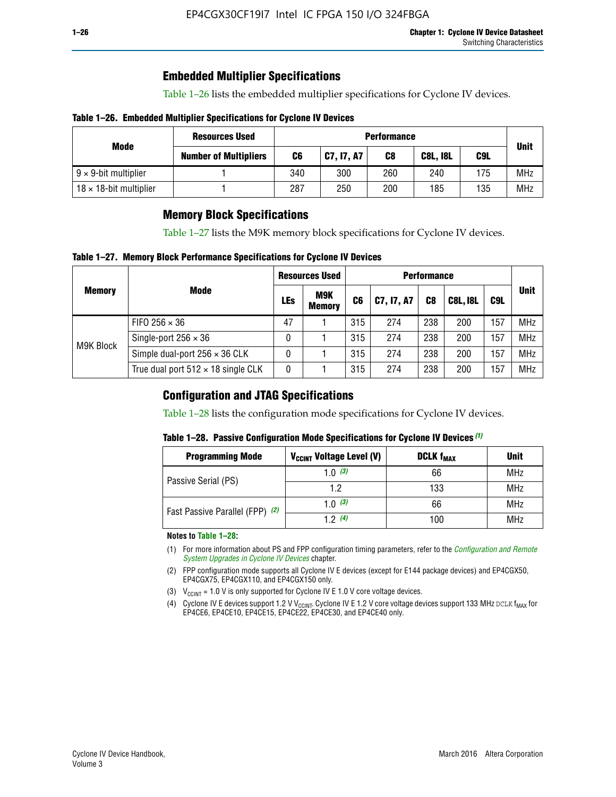## **Embedded Multiplier Specifications**

Table 1–26 lists the embedded multiplier specifications for Cyclone IV devices.

#### **Table 1–26. Embedded Multiplier Specifications for Cyclone IV Devices**

|                                | <b>Resources Used</b>        | <b>Performance</b> |            |     |             |     |            |  |  |
|--------------------------------|------------------------------|--------------------|------------|-----|-------------|-----|------------|--|--|
| Mode                           | <b>Number of Multipliers</b> | C6                 | C7, I7, A7 | C8  | <b>Unit</b> |     |            |  |  |
| $9 \times 9$ -bit multiplier   |                              | 340                | 300        | 260 | 240         | 175 | <b>MHz</b> |  |  |
| $18 \times 18$ -bit multiplier |                              | 287                | 250        | 200 | 185         | 135 | <b>MHz</b> |  |  |

### **Memory Block Specifications**

Table 1–27 lists the M9K memory block specifications for Cyclone IV devices.

#### **Table 1–27. Memory Block Performance Specifications for Cyclone IV Devices**

|               |                                           |            | <b>Resources Used</b> |                |            |                |                 |     |             |
|---------------|-------------------------------------------|------------|-----------------------|----------------|------------|----------------|-----------------|-----|-------------|
| <b>Memory</b> | <b>Mode</b>                               | <b>LEs</b> | M9K<br><b>Memory</b>  | C <sub>6</sub> | C7, I7, A7 | C <sub>8</sub> | <b>C8L, I8L</b> | C9L | <b>Unit</b> |
| M9K Block     | FIFO 256 $\times$ 36                      | 47         |                       | 315            | 274        | 238            | 200             | 157 | <b>MHz</b>  |
|               | Single-port $256 \times 36$               | 0          |                       | 315            | 274        | 238            | 200             | 157 | <b>MHz</b>  |
|               | Simple dual-port $256 \times 36$ CLK      | 0          |                       | 315            | 274        | 238            | 200             | 157 | <b>MHz</b>  |
|               | True dual port $512 \times 18$ single CLK | 0          |                       | 315            | 274        | 238            | 200             | 157 | <b>MHz</b>  |

### **Configuration and JTAG Specifications**

Table 1–28 lists the configuration mode specifications for Cyclone IV devices.

#### **Table 1–28. Passive Configuration Mode Specifications for Cyclone IV Devices** *(1)*

| <b>Programming Mode</b>         | V <sub>CCINT</sub> Voltage Level (V) | <b>DCLK f<sub>MAX</sub></b> | <b>Unit</b> |
|---------------------------------|--------------------------------------|-----------------------------|-------------|
| Passive Serial (PS)             | 1.0 $(3)$                            | 66                          | <b>MHz</b>  |
|                                 | 1.2                                  | 133                         | MHz         |
| Fast Passive Parallel (FPP) (2) | 1.0 $(3)$                            | 66                          | MHz         |
|                                 | 12(4)                                | 100                         | MHz         |

#### **Notes to Table 1–28:**

- (1) For more information about PS and FPP configuration timing parameters, refer to the *[Configuration and Remote](http://www.altera.com/literature/hb/cyclone-iv/cyiv-51008.pdf)  [System Upgrades in Cyclone IV Devices](http://www.altera.com/literature/hb/cyclone-iv/cyiv-51008.pdf)* chapter.
- (2) FPP configuration mode supports all Cyclone IV E devices (except for E144 package devices) and EP4CGX50, EP4CGX75, EP4CGX110, and EP4CGX150 only.
- (3)  $V_{CCMT}$  = 1.0 V is only supported for Cyclone IV E 1.0 V core voltage devices.
- (4) Cyclone IV E devices support 1.2 V V<sub>CCINT</sub>. Cyclone IV E 1.2 V core voltage devices support 133 MHz DCLK f<sub>MAX</sub> for EP4CE6, EP4CE10, EP4CE15, EP4CE22, EP4CE30, and EP4CE40 only.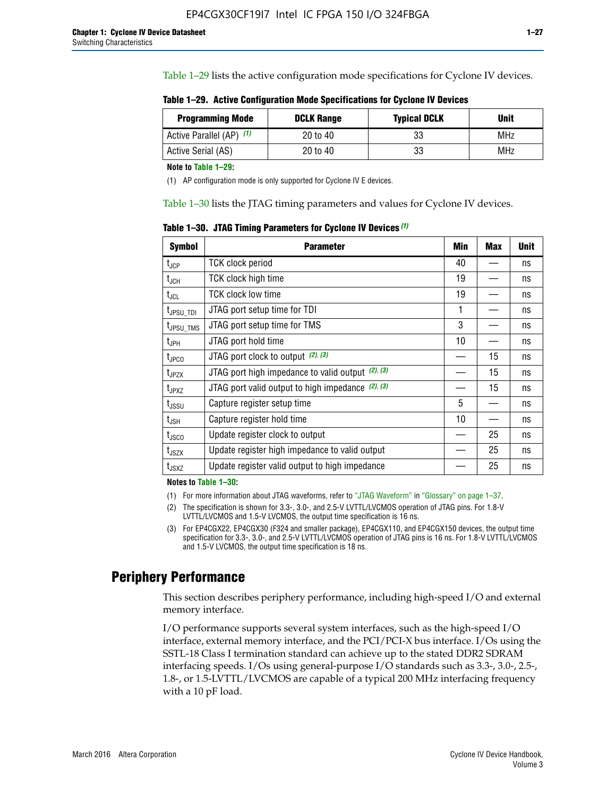Table 1–29 lists the active configuration mode specifications for Cyclone IV devices.

**Table 1–29. Active Configuration Mode Specifications for Cyclone IV Devices**

| <b>Programming Mode</b>  | <b>DCLK Range</b> | <b>Typical DCLK</b> | Unit |
|--------------------------|-------------------|---------------------|------|
| Active Parallel (AP) (1) | 20 to 40          | 33                  | MHz  |
| Active Serial (AS)       | 20 to 40          | 33                  | MHz  |

**Note to Table 1–29:**

(1) AP configuration mode is only supported for Cyclone IV E devices.

Table 1–30 lists the JTAG timing parameters and values for Cyclone IV devices.

**Table 1–30. JTAG Timing Parameters for Cyclone IV Devices** *(1)*

| Symbol                       | <b>Parameter</b>                                       | <b>Min</b> | <b>Max</b> | <b>Unit</b> |
|------------------------------|--------------------------------------------------------|------------|------------|-------------|
| t <sub>JCP</sub>             | <b>TCK clock period</b>                                | 40         |            | ns          |
| t <sub>JCH</sub>             | <b>TCK clock high time</b>                             | 19         |            | ns          |
| $t_{JCL}$                    | TCK clock low time                                     | 19         |            | ns          |
| t <sub>JPSU_TDI</sub>        | JTAG port setup time for TDI                           | 1          |            | ns          |
| t <sub>JPSU_TMS</sub>        | JTAG port setup time for TMS                           | 3          |            | ns          |
| t <sub>JPH</sub>             | JTAG port hold time                                    | 10         |            | ns          |
| t <sub>JPCO</sub>            | JTAG port clock to output $(2)$ , $(3)$                |            | 15         | ns          |
| t <sub>JPZX</sub>            | JTAG port high impedance to valid output $(2)$ , $(3)$ |            | 15         | ns          |
| t <sub>JPXZ</sub>            | JTAG port valid output to high impedance $(2)$ , $(3)$ |            | 15         | ns          |
| ${\rm t}_{\rm JSSU}$         | Capture register setup time                            | 5          |            | ns          |
| $\mathsf{t}_{\mathsf{JSH}}$  | Capture register hold time                             | 10         |            | ns          |
| t <sub>usco</sub>            | Update register clock to output                        |            | 25         | ns          |
| $t_{\footnotesize \rm JSZX}$ | Update register high impedance to valid output         |            | 25         | ns          |
| t <sub>JSXZ</sub>            | Update register valid output to high impedance         |            | 25         | ns          |

**Notes to Table 1–30:**

(1) For more information about JTAG waveforms, refer to "JTAG Waveform" in "Glossary" on page 1–37.

(2) The specification is shown for 3.3-, 3.0-, and 2.5-V LVTTL/LVCMOS operation of JTAG pins. For 1.8-V LVTTL/LVCMOS and 1.5-V LVCMOS, the output time specification is 16 ns.

(3) For EP4CGX22, EP4CGX30 (F324 and smaller package), EP4CGX110, and EP4CGX150 devices, the output time specification for 3.3-, 3.0-, and 2.5-V LVTTL/LVCMOS operation of JTAG pins is 16 ns. For 1.8-V LVTTL/LVCMOS and 1.5-V LVCMOS, the output time specification is 18 ns.

## **Periphery Performance**

This section describes periphery performance, including high-speed I/O and external memory interface.

I/O performance supports several system interfaces, such as the high-speed I/O interface, external memory interface, and the PCI/PCI-X bus interface. I/Os using the SSTL-18 Class I termination standard can achieve up to the stated DDR2 SDRAM interfacing speeds. I/Os using general-purpose I/O standards such as 3.3-, 3.0-, 2.5-, 1.8-, or 1.5-LVTTL/LVCMOS are capable of a typical 200 MHz interfacing frequency with a 10 pF load.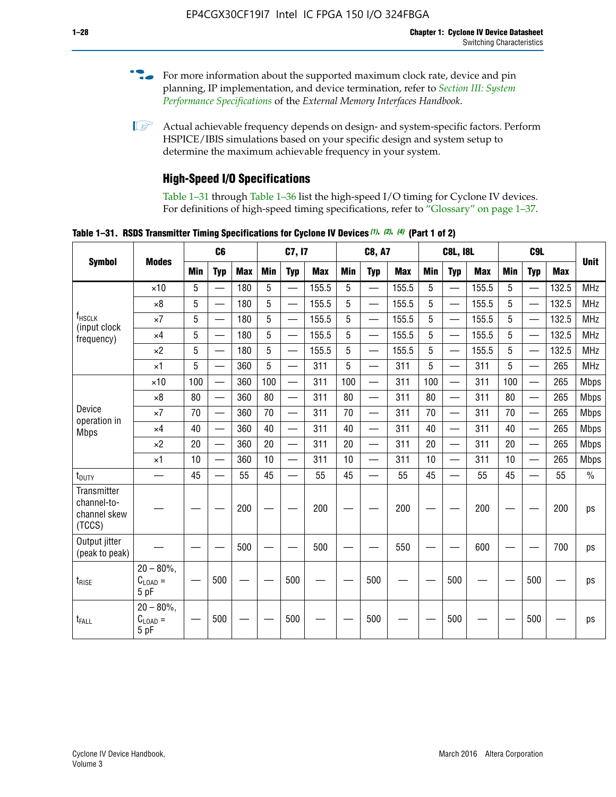- For more information about the supported maximum clock rate, device and pin planning, IP implementation, and device termination, refer to *[Section III: System](http://www.altera.com/literature/hb/external-memory/emi_intro_specs.pdf)  [Performance Specifications](http://www.altera.com/literature/hb/external-memory/emi_intro_specs.pdf)* of the *External Memory Interfaces Handbook*.
- **1 Actual achievable frequency depends on design- and system-specific factors. Perform** HSPICE/IBIS simulations based on your specific design and system setup to determine the maximum achievable frequency in your system.

## **High-Speed I/O Specifications**

Table 1–31 through Table 1–36 list the high-speed I/O timing for Cyclone IV devices. For definitions of high-speed timing specifications, refer to "Glossary" on page 1–37.

**Table 1–31. RSDS Transmitter Timing Specifications for Cyclone IV Devices** *(1)***,** *(2)***,** *(4)* **(Part 1 of 2)**

|                                                      |                                                     |                 | C6                       |            | C7, I7     |                          |            | <b>C8, A7</b> |                          | <b>C8L, I8L</b> |            |                          | C <sub>9</sub> L |            |                          |            |               |
|------------------------------------------------------|-----------------------------------------------------|-----------------|--------------------------|------------|------------|--------------------------|------------|---------------|--------------------------|-----------------|------------|--------------------------|------------------|------------|--------------------------|------------|---------------|
| <b>Symbol</b>                                        | <b>Modes</b>                                        | Min             | <b>Typ</b>               | <b>Max</b> | <b>Min</b> | <b>Typ</b>               | <b>Max</b> | <b>Min</b>    | <b>Typ</b>               | <b>Max</b>      | <b>Min</b> | <b>Typ</b>               | <b>Max</b>       | <b>Min</b> | <b>Typ</b>               | <b>Max</b> | <b>Unit</b>   |
|                                                      | $\times$ 10                                         | 5               | —                        | 180        | 5          | ÷,                       | 155.5      | 5             | $\overline{\phantom{0}}$ | 155.5           | 5          |                          | 155.5            | 5          |                          | 132.5      | <b>MHz</b>    |
|                                                      | $\times 8$                                          | 5               |                          | 180        | 5          |                          | 155.5      | 5             | $\overline{\phantom{0}}$ | 155.5           | 5          |                          | 155.5            | 5          |                          | 132.5      | <b>MHz</b>    |
| f <sub>HSCLK</sub>                                   | $\times 7$                                          | 5               |                          | 180        | 5          |                          | 155.5      | 5             | $\overline{\phantom{0}}$ | 155.5           | 5          |                          | 155.5            | 5          |                          | 132.5      | <b>MHz</b>    |
| (input clock<br>frequency)                           | $\times$ 4                                          | 5               |                          | 180        | 5          | $\overline{\phantom{0}}$ | 155.5      | 5             | $\qquad \qquad$          | 155.5           | 5          |                          | 155.5            | 5          | $\overline{\phantom{0}}$ | 132.5      | <b>MHz</b>    |
|                                                      | $\times 2$                                          | 5               |                          | 180        | 5          |                          | 155.5      | 5             | $\equiv$                 | 155.5           | 5          | $\overline{\phantom{0}}$ | 155.5            | 5          | $\overline{\phantom{0}}$ | 132.5      | <b>MHz</b>    |
|                                                      | $\times$ 1                                          | 5               |                          | 360        | 5          |                          | 311        | 5             | $\overline{\phantom{0}}$ | 311             | 5          | $\equiv$                 | 311              | 5          | $\equiv$                 | 265        | <b>MHz</b>    |
|                                                      | $\times$ 10                                         | 100             |                          | 360        | 100        |                          | 311        | 100           | $\equiv$                 | 311             | 100        |                          | 311              | 100        | $\overline{\phantom{0}}$ | 265        | <b>Mbps</b>   |
|                                                      | $\times 8$                                          | 80              |                          | 360        | 80         |                          | 311        | 80            | $\overline{\phantom{0}}$ | 311             | 80         |                          | 311              | 80         | $\overline{\phantom{0}}$ | 265        | <b>Mbps</b>   |
| Device<br>operation in                               | $\times 7$                                          | 70              |                          | 360        | 70         | $\overline{\phantom{0}}$ | 311        | 70            | $\overline{\phantom{0}}$ | 311             | 70         |                          | 311              | 70         | $\equiv$                 | 265        | <b>Mbps</b>   |
| <b>Mbps</b>                                          | $\times$ 4                                          | 40              | $\overline{\phantom{0}}$ | 360        | 40         |                          | 311        | 40            | $\overline{\phantom{0}}$ | 311             | 40         |                          | 311              | 40         | $\overline{\phantom{0}}$ | 265        | <b>Mbps</b>   |
|                                                      | $\times 2$                                          | 20              |                          | 360        | 20         | $\overline{\phantom{0}}$ | 311        | 20            | $\overline{\phantom{0}}$ | 311             | 20         | $\qquad \qquad$          | 311              | 20         |                          | 265        | <b>Mbps</b>   |
|                                                      | $\times$ 1                                          | 10              |                          | 360        | 10         |                          | 311        | 10            | $\overline{\phantom{0}}$ | 311             | 10         | $\overline{\phantom{0}}$ | 311              | 10         | $\overline{\phantom{0}}$ | 265        | <b>Mbps</b>   |
| t <sub>DUTY</sub>                                    | —                                                   | 45              |                          | 55         | 45         |                          | 55         | 45            | $\overline{\phantom{0}}$ | 55              | 45         |                          | 55               | 45         |                          | 55         | $\frac{0}{0}$ |
| Transmitter<br>channel-to-<br>channel skew<br>(TCCS) |                                                     |                 |                          | 200        |            |                          | 200        |               |                          | 200             |            |                          | 200              |            |                          | 200        | ps            |
| Output jitter<br>(peak to peak)                      |                                                     |                 |                          | 500        |            |                          | 500        |               |                          | 550             |            |                          | 600              |            |                          | 700        | ps            |
| t <sub>rise</sub>                                    | $20 - 80\%$<br>$\mathrm{C}_{\text{LOAD}}$ =<br>5 pF | $\qquad \qquad$ | 500                      |            |            | 500                      |            |               | 500                      |                 |            | 500                      |                  |            | 500                      |            | ps            |
| t <sub>FALL</sub>                                    | $20 - 80\%$<br>$C_{LOAD} =$<br>5 pF                 |                 | 500                      |            |            | 500                      |            |               | 500                      |                 |            | 500                      |                  |            | 500                      |            | ps            |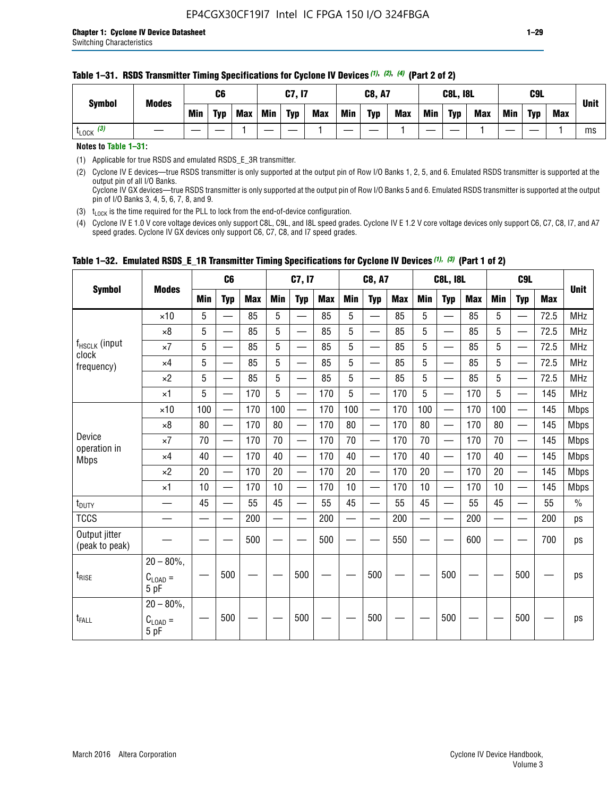#### **Table 1–31. RSDS Transmitter Timing Specifications for Cyclone IV Devices** *(1)***,** *(2)***,** *(4)* **(Part 2 of 2)**

**Notes to Table 1–31:**

(1) Applicable for true RSDS and emulated RSDS\_E\_3R transmitter.

(2) Cyclone IV E devices—true RSDS transmitter is only supported at the output pin of Row I/O Banks 1, 2, 5, and 6. Emulated RSDS transmitter is supported at the output pin of all I/O Banks. Cyclone IV GX devices—true RSDS transmitter is only supported at the output pin of Row I/O Banks 5 and 6. Emulated RSDS transmitter is supported at the output

pin of I/O Banks 3, 4, 5, 6, 7, 8, and 9.

(3)  $t_{\text{LOCK}}$  is the time required for the PLL to lock from the end-of-device configuration.

(4) Cyclone IV E 1.0 V core voltage devices only support C8L, C9L, and I8L speed grades. Cyclone IV E 1.2 V core voltage devices only support C6, C7, C8, I7, and A7 speed grades. Cyclone IV GX devices only support C6, C7, C8, and I7 speed grades.

| <b>Symbol</b>                   |                                              |     | C <sub>6</sub>           |     |            | C7, I7                   |            |                                                                                                                                                                                                                                | <b>C8, A7</b>                  |            |            | <b>C8L, I8L</b>          |            |            | C <sub>9</sub> L         |            | <b>Unit</b>   |
|---------------------------------|----------------------------------------------|-----|--------------------------|-----|------------|--------------------------|------------|--------------------------------------------------------------------------------------------------------------------------------------------------------------------------------------------------------------------------------|--------------------------------|------------|------------|--------------------------|------------|------------|--------------------------|------------|---------------|
|                                 | <b>Modes</b>                                 | Min | <b>Typ</b>               | Max | <b>Min</b> | <b>Typ</b>               | <b>Max</b> | <b>Min</b>                                                                                                                                                                                                                     | <b>Typ</b>                     | <b>Max</b> | <b>Min</b> | <b>Typ</b>               | <b>Max</b> | <b>Min</b> | <b>Typ</b>               | <b>Max</b> |               |
|                                 | $\times$ 10                                  | 5   | $\equiv$                 | 85  | 5          |                          | 85         | 5                                                                                                                                                                                                                              | $\overline{\phantom{0}}$       | 85         | 5          | $\overline{\phantom{0}}$ | 85         | 5          |                          | 72.5       | <b>MHz</b>    |
|                                 | $\times 8$                                   | 5   | $\equiv$                 | 85  | 5          | $\sim$                   | 85         | 5                                                                                                                                                                                                                              | —                              | 85         | 5          | $\overline{\phantom{0}}$ | 85         | 5          |                          | 72.5       | <b>MHz</b>    |
| f <sub>HSCLK</sub> (input       | $\times 7$                                   | 5   | $\overline{\phantom{0}}$ | 85  | 5          |                          | 85         | 5                                                                                                                                                                                                                              | —                              | 85         | 5          | —                        | 85         | 5          |                          | 72.5       | <b>MHz</b>    |
| clock<br>frequency)             | $\times$ 4                                   | 5   | —                        | 85  | 5          | $\overline{\phantom{a}}$ | 85         | 5                                                                                                                                                                                                                              | $\overline{\phantom{0}}$       | 85         | 5          | $\overline{\phantom{0}}$ | 85         | 5          |                          | 72.5       | <b>MHz</b>    |
|                                 | $\times 2$                                   | 5   | $\qquad \qquad$          | 85  | 5          | $\sim$                   | 85         | 5                                                                                                                                                                                                                              | $\overline{\phantom{0}}$       | 85         | 5          | $\overline{\phantom{0}}$ | 85         | 5          |                          | 72.5       | <b>MHz</b>    |
|                                 | $\times$ 1                                   | 5   | —                        | 170 | 5          |                          | 170        | 5                                                                                                                                                                                                                              | $\overline{\phantom{0}}$       | 170        | 5          | $\overline{\phantom{0}}$ | 170        | 5          |                          | 145        | <b>MHz</b>    |
|                                 | $\times$ 10                                  | 100 | $\overline{\phantom{0}}$ | 170 | 100        |                          | 170        | 100                                                                                                                                                                                                                            | $\overline{\phantom{0}}$       | 170        | 100        | $\overline{\phantom{0}}$ | 170        | 100        |                          | 145        | <b>Mbps</b>   |
|                                 | $\times 8$                                   | 80  | $\overline{\phantom{0}}$ | 170 | 80         | $\overline{\phantom{0}}$ | 170        | 80                                                                                                                                                                                                                             | $\overline{\phantom{0}}$       | 170        | 80         | $\overline{\phantom{0}}$ | 170        | 80         |                          | 145        | <b>Mbps</b>   |
| Device                          | $\times 7$                                   | 70  | $\qquad \qquad$          | 170 | 70         | —                        | 170        | 70                                                                                                                                                                                                                             | $\qquad \qquad \longleftarrow$ | 170        | 70         | $\overline{\phantom{0}}$ | 170        | 70         | $\hspace{0.05cm}$        | 145        | Mbps          |
| operation in<br><b>Mbps</b>     | $\times$ 4                                   | 40  | $\qquad \qquad$          | 170 | 40         | —                        | 170        | 40                                                                                                                                                                                                                             | $\overline{\phantom{0}}$       | 170        | 40         | $\overline{\phantom{0}}$ | 170        | 40         |                          | 145        | <b>Mbps</b>   |
|                                 | $\times 2$                                   | 20  | $\overline{\phantom{0}}$ | 170 | 20         | —<br>—                   | 170        | 20                                                                                                                                                                                                                             | $\overline{\phantom{0}}$       | 170        | 20         | $\overline{\phantom{0}}$ | 170        | 20         | $\overline{\phantom{0}}$ | 145        | <b>Mbps</b>   |
|                                 | $\times$ 1                                   | 10  | $\overline{\phantom{0}}$ | 170 | 10         | $\overline{\phantom{0}}$ | 170        | 10                                                                                                                                                                                                                             | $\overline{\phantom{0}}$       | 170        | 10         | $\overline{\phantom{0}}$ | 170        | 10         | $\overline{\phantom{0}}$ | 145        | <b>Mbps</b>   |
| $t_{\text{DUTY}}$               |                                              | 45  |                          | 55  | 45         |                          | 55         | 45                                                                                                                                                                                                                             |                                | 55         | 45         | $\overline{\phantom{0}}$ | 55         | 45         |                          | 55         | $\frac{0}{0}$ |
| <b>TCCS</b>                     |                                              |     |                          | 200 |            |                          | 200        | e de la provincia de la provincia de la provincia de la provincia de la provincia de la provincia de la provincia de la provincia de la provincia de la provincia de la provincia de la provincia de la provincia de la provin |                                | 200        |            | $\overline{\phantom{0}}$ | 200        |            |                          | 200        | ps            |
| Output jitter<br>(peak to peak) |                                              |     |                          | 500 |            |                          | 500        |                                                                                                                                                                                                                                |                                | 550        |            |                          | 600        |            |                          | 700        | ps            |
| $t_{\text{RISE}}$               | $20 - 80\%$ ,<br>$C_{\text{LOAD}} =$<br>5 pF |     | 500                      |     |            | 500                      |            |                                                                                                                                                                                                                                | 500                            |            |            | 500                      |            |            | 500                      |            | ps            |
| $t_{FALL}$                      | $20 - 80\%$ ,<br>$C_{LOAD} =$<br>5 pF        |     | 500                      |     |            | 500                      |            |                                                                                                                                                                                                                                | 500                            |            |            | 500                      |            |            | 500                      |            | ps            |

### **Table 1–32. Emulated RSDS\_E\_1R Transmitter Timing Specifications for Cyclone IV Devices** *(1), (3)* **(Part 1 of 2)**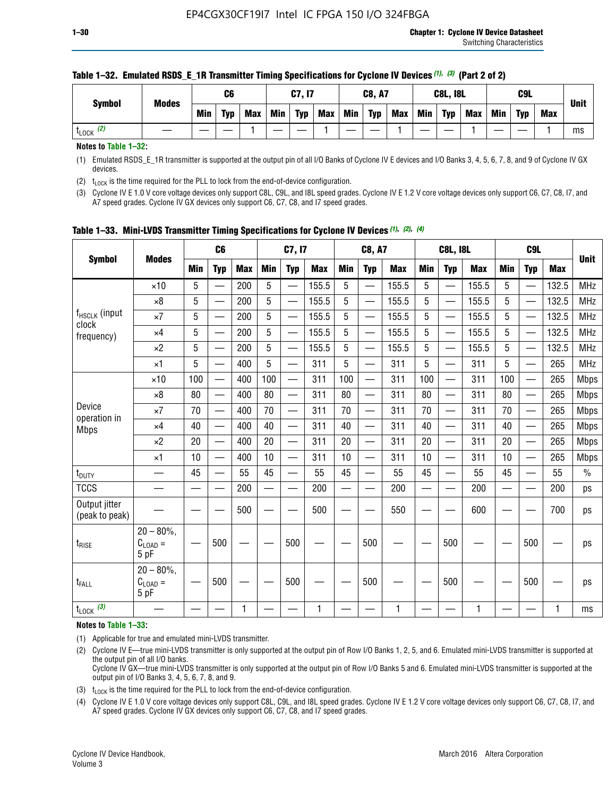| <b>Symbol</b>         | <b>Modes</b> |            | C <sub>6</sub> |     |            | C7, I7     |            |            | <b>C8, A7</b> |            |            | <b>C8L, I8L</b> |            |     | C <sub>9</sub> L |            | <b>Unit</b> |
|-----------------------|--------------|------------|----------------|-----|------------|------------|------------|------------|---------------|------------|------------|-----------------|------------|-----|------------------|------------|-------------|
|                       |              | <b>Min</b> | <b>Typ</b>     | Max | <b>Min</b> | <b>Typ</b> | <b>Max</b> | <b>Min</b> | <b>Typ</b>    | <b>Max</b> | <b>Min</b> | <b>Typ</b>      | <b>Max</b> | Min | <b>Typ</b>       | <b>Max</b> |             |
| $t_{\text{LOCK}}$ (2) |              |            |                |     |            |            |            |            |               |            |            |                 |            |     |                  |            | ms          |

#### **Table 1–32. Emulated RSDS\_E\_1R Transmitter Timing Specifications for Cyclone IV Devices** *(1), (3)* **(Part 2 of 2)**

**Notes to Table 1–32:**

(1) Emulated RSDS\_E\_1R transmitter is supported at the output pin of all I/O Banks of Cyclone IV E devices and I/O Banks 3, 4, 5, 6, 7, 8, and 9 of Cyclone IV GX devices.

(2)  $t_{\text{LOCK}}$  is the time required for the PLL to lock from the end-of-device configuration.

(3) Cyclone IV E 1.0 V core voltage devices only support C8L, C9L, and I8L speed grades. Cyclone IV E 1.2 V core voltage devices only support C6, C7, C8, I7, and A7 speed grades. Cyclone IV GX devices only support C6, C7, C8, and I7 speed grades.

| <b>Symbol</b>                      |                                            |            | C <sub>6</sub>                                |            |                          | C7, I7     |            |            | <b>C8, A7</b>            |              |            | <b>C8L, I8L</b>          |            |            | C <sub>9L</sub>          |            |             |
|------------------------------------|--------------------------------------------|------------|-----------------------------------------------|------------|--------------------------|------------|------------|------------|--------------------------|--------------|------------|--------------------------|------------|------------|--------------------------|------------|-------------|
|                                    | <b>Modes</b>                               | <b>Min</b> | <b>Typ</b>                                    | <b>Max</b> | <b>Min</b>               | <b>Typ</b> | <b>Max</b> | <b>Min</b> | <b>Typ</b>               | <b>Max</b>   | <b>Min</b> | <b>Typ</b>               | <b>Max</b> | <b>Min</b> | <b>Typ</b>               | <b>Max</b> | <b>Unit</b> |
|                                    | $\times$ 10                                | 5          | $\overline{\phantom{0}}$                      | 200        | 5                        | —          | 155.5      | 5          | $\overline{\phantom{0}}$ | 155.5        | 5          | $\overline{\phantom{0}}$ | 155.5      | 5          | <u>—</u>                 | 132.5      | <b>MHz</b>  |
|                                    | $\times 8$                                 | 5          |                                               | 200        | 5                        |            | 155.5      | 5          | e.                       | 155.5        | 5          |                          | 155.5      | 5          |                          | 132.5      | <b>MHz</b>  |
| f <sub>HSCLK</sub> (input<br>clock | $\times 7$                                 | 5          | $\qquad \qquad \overbrace{\qquad \qquad }^{}$ | 200        | 5                        | —          | 155.5      | 5          | —                        | 155.5        | 5          | —                        | 155.5      | 5          | —                        | 132.5      | <b>MHz</b>  |
| frequency)                         | $\times$ 4                                 | 5          | $\overline{\phantom{0}}$                      | 200        | 5                        | —          | 155.5      | 5          | $\overline{\phantom{0}}$ | 155.5        | 5          |                          | 155.5      | 5          | —                        | 132.5      | MHz         |
|                                    | $\times 2$                                 | 5          | $\overline{\phantom{0}}$                      | 200        | 5                        | —          | 155.5      | 5          | —<br>——                  | 155.5        | 5          |                          | 155.5      | 5          | $\overline{\phantom{0}}$ | 132.5      | <b>MHz</b>  |
|                                    | $\times$ 1                                 | 5          | $\overline{\phantom{0}}$                      | 400        | 5                        | —          | 311        | 5          | —                        | 311          | 5          | $\overline{\phantom{0}}$ | 311        | 5          |                          | 265        | MHz         |
|                                    | $\times$ 10                                | 100        | $\overline{\phantom{0}}$                      | 400        | 100                      |            | 311        | 100        | $\overline{\phantom{0}}$ | 311          | 100        |                          | 311        | 100        |                          | 265        | <b>Mbps</b> |
|                                    | $\times 8$                                 | 80         | $\overline{\phantom{0}}$                      | 400        | 80                       | $\equiv$   | 311        | 80         | $\overline{\phantom{0}}$ | 311          | 80         | $\overline{\phantom{0}}$ | 311        | 80         |                          | 265        | <b>Mbps</b> |
| Device                             | $\times 7$                                 | 70         |                                               | 400        | 70                       |            | 311        | 70         | $\overline{\phantom{0}}$ | 311          | 70         |                          | 311        | 70         |                          | 265        | <b>Mbps</b> |
| operation in<br><b>Mbps</b>        | $\times 4$                                 | 40         | $\overline{\phantom{0}}$                      | 400        | 40                       | —          | 311        | 40         | $\overline{\phantom{0}}$ | 311          | 40         | $\overline{\phantom{0}}$ | 311        | 40         |                          | 265        | <b>Mbps</b> |
|                                    | $\times 2$                                 | 20         |                                               | 400        | 20                       |            | 311        | 20         | $\overline{\phantom{0}}$ | 311          | 20         |                          | 311        | 20         |                          | 265        | <b>Mbps</b> |
|                                    | $\times$ 1                                 | 10         |                                               | 400        | 10                       | —          | 311        | 10         | —                        | 311          | 10         | —                        | 311        | 10         |                          | 265        | <b>Mbps</b> |
| t <sub>DUTY</sub>                  |                                            | 45         |                                               | 55         | 45                       |            | 55         | 45         | —                        | 55           | 45         | —                        | 55         | 45         |                          | 55         | $\%$        |
| <b>TCCS</b>                        |                                            |            |                                               | 200        | $\overline{\phantom{0}}$ | —          | 200        | —          | $\overline{\phantom{0}}$ | 200          |            | —                        | 200        | —          |                          | 200        | ps          |
| Output jitter<br>(peak to peak)    |                                            |            |                                               | 500        |                          |            | 500        |            |                          | 550          |            |                          | 600        |            |                          | 700        | ps          |
| $t_{\text{RISE}}$                  | $20 - 80\%$ ,<br>$C_{LOAD} =$<br>5 pF      |            | 500                                           |            |                          | 500        |            |            | 500                      |              |            | 500                      |            |            | 500                      |            | ps          |
| t <sub>FALL</sub>                  | $20 - 80\%$<br>$C_{\text{LOAD}} =$<br>5 pF |            | 500                                           |            |                          | 500        |            |            | 500                      |              |            | 500                      |            |            | 500                      |            | ps          |
| $t_{\text{LOCK}}$ (3)              |                                            |            |                                               | 1          |                          |            | 1          |            |                          | $\mathbf{1}$ |            |                          | 1          |            |                          | 1          | ms          |

|  |  |  |  | Table 1-33. Mini-LVDS Transmitter Timing Specifications for Cyclone IV Devices (1), (2), (4) |  |  |  |  |  |
|--|--|--|--|----------------------------------------------------------------------------------------------|--|--|--|--|--|
|--|--|--|--|----------------------------------------------------------------------------------------------|--|--|--|--|--|

**Notes to Table 1–33:**

(1) Applicable for true and emulated mini-LVDS transmitter.

(2) Cyclone IV E—true mini-LVDS transmitter is only supported at the output pin of Row I/O Banks 1, 2, 5, and 6. Emulated mini-LVDS transmitter is supported at the output pin of all I/O banks.

Cyclone IV GX—true mini-LVDS transmitter is only supported at the output pin of Row I/O Banks 5 and 6. Emulated mini-LVDS transmitter is supported at the output pin of I/O Banks 3, 4, 5, 6, 7, 8, and 9.

(3)  $t_{\text{LOCK}}$  is the time required for the PLL to lock from the end-of-device configuration.

(4) Cyclone IV E 1.0 V core voltage devices only support C8L, C9L, and I8L speed grades. Cyclone IV E 1.2 V core voltage devices only support C6, C7, C8, I7, and A7 speed grades. Cyclone IV GX devices only support C6, C7, C8, and I7 speed grades.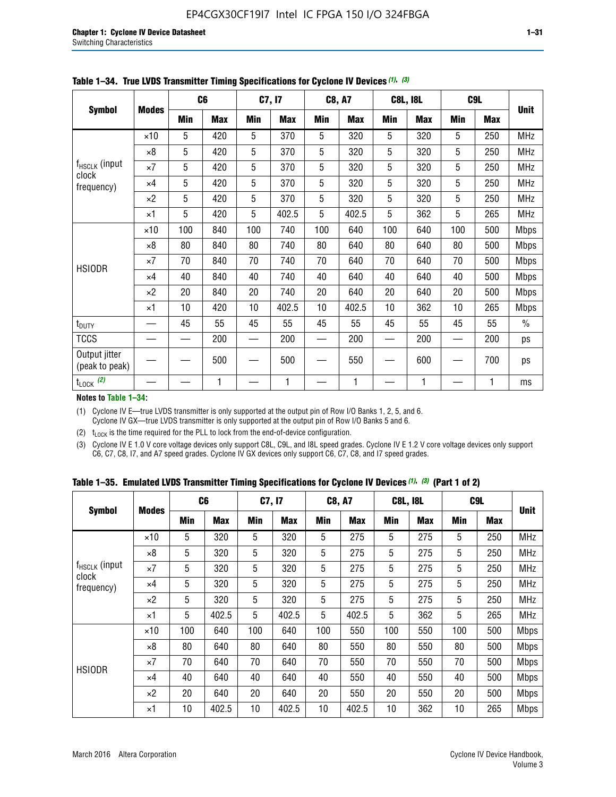|                                 |              |     | C <sub>6</sub> |     | C7, I7     |            | <b>C8, A7</b> |     | <b>C8L, I8L</b> |            | C <sub>9</sub> L |               |
|---------------------------------|--------------|-----|----------------|-----|------------|------------|---------------|-----|-----------------|------------|------------------|---------------|
| <b>Symbol</b>                   | <b>Modes</b> | Min | <b>Max</b>     | Min | <b>Max</b> | <b>Min</b> | <b>Max</b>    | Min | <b>Max</b>      | <b>Min</b> | <b>Max</b>       | <b>Unit</b>   |
|                                 | $\times$ 10  | 5   | 420            | 5   | 370        | 5          | 320           | 5   | 320             | 5          | 250              | <b>MHz</b>    |
|                                 | $\times 8$   | 5   | 420            | 5   | 370        | 5          | 320           | 5   | 320             | 5          | 250              | <b>MHz</b>    |
| f <sub>HSCLK</sub> (input       | $\times 7$   | 5   | 420            | 5   | 370        | 5          | 320           | 5   | 320             | 5          | 250              | <b>MHz</b>    |
| clock<br>frequency)             | $\times$ 4   | 5   | 420            | 5   | 370        | 5          | 320           | 5   | 320             | 5          | 250              | <b>MHz</b>    |
|                                 | $\times 2$   | 5   | 420            | 5   | 370        | 5          | 320           | 5   | 320             | 5          | 250              | <b>MHz</b>    |
|                                 | $\times$ 1   | 5   | 420            | 5   | 402.5      | 5          | 402.5         | 5   | 362             | 5          | 265              | <b>MHz</b>    |
|                                 | $\times$ 10  | 100 | 840            | 100 | 740        | 100        | 640           | 100 | 640             | 100        | 500              | <b>Mbps</b>   |
|                                 | $\times 8$   | 80  | 840            | 80  | 740        | 80         | 640           | 80  | 640             | 80         | 500              | <b>Mbps</b>   |
| <b>HSIODR</b>                   | $\times 7$   | 70  | 840            | 70  | 740        | 70         | 640           | 70  | 640             | 70         | 500              | <b>Mbps</b>   |
|                                 | $\times$ 4   | 40  | 840            | 40  | 740        | 40         | 640           | 40  | 640             | 40         | 500              | <b>Mbps</b>   |
|                                 | $\times 2$   | 20  | 840            | 20  | 740        | 20         | 640           | 20  | 640             | 20         | 500              | <b>Mbps</b>   |
|                                 | $\times$ 1   | 10  | 420            | 10  | 402.5      | 10         | 402.5         | 10  | 362             | 10         | 265              | <b>Mbps</b>   |
| t <sub>DUTY</sub>               |              | 45  | 55             | 45  | 55         | 45         | 55            | 45  | 55              | 45         | 55               | $\frac{0}{0}$ |
| <b>TCCS</b>                     |              |     | 200            |     | 200        |            | 200           |     | 200             |            | 200              | ps            |
| Output jitter<br>(peak to peak) |              |     | 500            |     | 500        |            | 550           |     | 600             |            | 700              | ps            |
| $t_{\text{LOCK}}$ (2)           |              |     | 1              |     | 1          |            | 1             |     | 1               |            | 1                | ms            |

**Table 1–34. True LVDS Transmitter Timing Specifications for Cyclone IV Devices** *(1)***,** *(3)*

**Notes to Table 1–34:**

(1) Cyclone IV E—true LVDS transmitter is only supported at the output pin of Row I/O Banks 1, 2, 5, and 6. Cyclone IV GX—true LVDS transmitter is only supported at the output pin of Row I/O Banks 5 and 6.

(2)  $t_{\text{LOCK}}$  is the time required for the PLL to lock from the end-of-device configuration.

(3) Cyclone IV E 1.0 V core voltage devices only support C8L, C9L, and I8L speed grades. Cyclone IV E 1.2 V core voltage devices only support C6, C7, C8, I7, and A7 speed grades. Cyclone IV GX devices only support C6, C7, C8, and I7 speed grades.

|  |  |  |  | Table 1–35. Emulated LVDS Transmitter Timing Specifications for Cyclone IV Devices <sup>(1),</sup> <sup>(3)</sup> (Part 1 of 2) |  |  |
|--|--|--|--|---------------------------------------------------------------------------------------------------------------------------------|--|--|
|--|--|--|--|---------------------------------------------------------------------------------------------------------------------------------|--|--|

| <b>Symbol</b>               |              | C <sub>6</sub> |            | C7, I7     |            | <b>C8, A7</b> |            | <b>C8L, I8L</b> |            | C <sub>9</sub> L |            |             |
|-----------------------------|--------------|----------------|------------|------------|------------|---------------|------------|-----------------|------------|------------------|------------|-------------|
|                             | <b>Modes</b> | Min            | <b>Max</b> | <b>Min</b> | <b>Max</b> | <b>Min</b>    | <b>Max</b> | <b>Min</b>      | <b>Max</b> | <b>Min</b>       | <b>Max</b> | <b>Unit</b> |
|                             | $\times$ 10  | 5              | 320        | 5          | 320        | 5             | 275        | 5               | 275        | 5                | 250        | <b>MHz</b>  |
|                             | $\times 8$   | 5              | 320        | 5          | 320        | 5             | 275        | 5               | 275        | 5                | 250        | <b>MHz</b>  |
| $f_{HSCLK}$ (input<br>clock | $\times 7$   | 5              | 320        | 5          | 320        | 5             | 275        | 5               | 275        | 5                | 250        | <b>MHz</b>  |
| frequency)                  | $\times$ 4   | 5              | 320        | 5          | 320        | 5             | 275        | 5               | 275        | 5                | 250        | <b>MHz</b>  |
|                             | $\times 2$   | 5              | 320        | 5          | 320        | 5             | 275        | 5               | 275        | 5                | 250        | <b>MHz</b>  |
|                             | $\times$ 1   | 5              | 402.5      | 5          | 402.5      | 5             | 402.5      | 5               | 362        | 5                | 265        | <b>MHz</b>  |
|                             | $\times$ 10  | 100            | 640        | 100        | 640        | 100           | 550        | 100             | 550        | 100              | 500        | <b>Mbps</b> |
|                             | $\times 8$   | 80             | 640        | 80         | 640        | 80            | 550        | 80              | 550        | 80               | 500        | <b>Mbps</b> |
| <b>HSIODR</b>               | $\times 7$   | 70             | 640        | 70         | 640        | 70            | 550        | 70              | 550        | 70               | 500        | <b>Mbps</b> |
|                             | $\times$ 4   | 40             | 640        | 40         | 640        | 40            | 550        | 40              | 550        | 40               | 500        | <b>Mbps</b> |
|                             | $\times 2$   | 20             | 640        | 20         | 640        | 20            | 550        | 20              | 550        | 20               | 500        | <b>Mbps</b> |
|                             | $\times$ 1   | 10             | 402.5      | 10         | 402.5      | 10            | 402.5      | 10              | 362        | 10               | 265        | <b>Mbps</b> |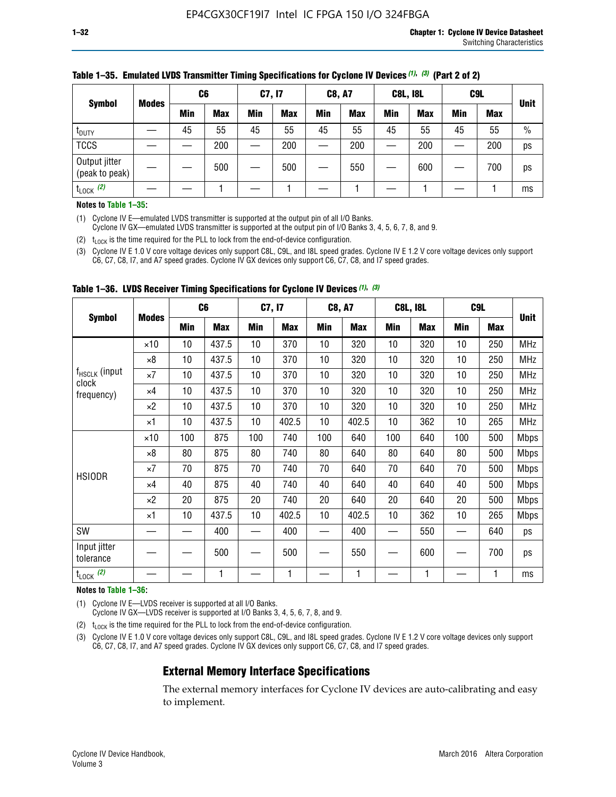| <b>Symbol</b>                   |              | C <sub>6</sub> |            | C7, I7     |            | <b>C8, A7</b> |            | <b>C8L, I8L</b> |            |         | C <sub>9</sub> L |               |
|---------------------------------|--------------|----------------|------------|------------|------------|---------------|------------|-----------------|------------|---------|------------------|---------------|
|                                 | <b>Modes</b> | Min            | <b>Max</b> | <b>Min</b> | <b>Max</b> | <b>Min</b>    | <b>Max</b> | Min             | <b>Max</b> | Min     | <b>Max</b>       | <b>Unit</b>   |
| t <sub>DUTY</sub>               |              | 45             | 55         | 45         | 55         | 45            | 55         | 45              | 55         | 45      | 55               | $\frac{0}{0}$ |
| <b>TCCS</b>                     |              |                | 200        |            | 200        |               | 200        |                 | 200        | —<br>—— | 200              | ps            |
| Output jitter<br>(peak to peak) |              |                | 500        |            | 500        |               | 550        |                 | 600        |         | 700              | ps            |
| $t_{\text{LOCK}}$ (2)           |              |                |            |            |            |               |            |                 |            |         |                  | ms            |

#### **Table 1–35. Emulated LVDS Transmitter Timing Specifications for Cyclone IV Devices** *(1)***,** *(3)* **(Part 2 of 2)**

#### **Notes to Table 1–35:**

(1) Cyclone IV E—emulated LVDS transmitter is supported at the output pin of all I/O Banks.

Cyclone IV GX—emulated LVDS transmitter is supported at the output pin of I/O Banks 3, 4, 5, 6, 7, 8, and 9.

(2)  $t_{\text{LOCK}}$  is the time required for the PLL to lock from the end-of-device configuration.

(3) Cyclone IV E 1.0 V core voltage devices only support C8L, C9L, and I8L speed grades. Cyclone IV E 1.2 V core voltage devices only support C6, C7, C8, I7, and A7 speed grades. Cyclone IV GX devices only support C6, C7, C8, and I7 speed grades.

|                                    |              |     | C <sub>6</sub> | C7, I7 |       | <b>C8, A7</b> |            |     | <b>C8L, I8L</b> | C <sub>9</sub> L |     |             |
|------------------------------------|--------------|-----|----------------|--------|-------|---------------|------------|-----|-----------------|------------------|-----|-------------|
| <b>Symbol</b>                      | <b>Modes</b> | Min | <b>Max</b>     | Min    | Max   | Min           | <b>Max</b> | Min | <b>Max</b>      | Min              | Max | <b>Unit</b> |
|                                    | $\times$ 10  | 10  | 437.5          | 10     | 370   | 10            | 320        | 10  | 320             | 10               | 250 | MHz         |
|                                    | ×8           | 10  | 437.5          | 10     | 370   | 10            | 320        | 10  | 320             | 10               | 250 | <b>MHz</b>  |
| f <sub>HSCLK</sub> (input<br>clock | ×7           | 10  | 437.5          | 10     | 370   | 10            | 320        | 10  | 320             | 10               | 250 | <b>MHz</b>  |
| frequency)                         | $\times 4$   | 10  | 437.5          | 10     | 370   | 10            | 320        | 10  | 320             | 10               | 250 | <b>MHz</b>  |
|                                    | $\times 2$   | 10  | 437.5          | 10     | 370   | 10            | 320        | 10  | 320             | 10               | 250 | <b>MHz</b>  |
|                                    | ×1           | 10  | 437.5          | 10     | 402.5 | 10            | 402.5      | 10  | 362             | 10               | 265 | <b>MHz</b>  |
|                                    | $\times$ 10  | 100 | 875            | 100    | 740   | 100           | 640        | 100 | 640             | 100              | 500 | <b>Mbps</b> |
|                                    | $\times 8$   | 80  | 875            | 80     | 740   | 80            | 640        | 80  | 640             | 80               | 500 | <b>Mbps</b> |
| <b>HSIODR</b>                      | ×7           | 70  | 875            | 70     | 740   | 70            | 640        | 70  | 640             | 70               | 500 | <b>Mbps</b> |
|                                    | $\times 4$   | 40  | 875            | 40     | 740   | 40            | 640        | 40  | 640             | 40               | 500 | <b>Mbps</b> |
|                                    | $\times 2$   | 20  | 875            | 20     | 740   | 20            | 640        | 20  | 640             | 20               | 500 | <b>Mbps</b> |
|                                    | ×1           | 10  | 437.5          | 10     | 402.5 | 10            | 402.5      | 10  | 362             | 10               | 265 | <b>Mbps</b> |
| SW                                 |              |     | 400            |        | 400   |               | 400        |     | 550             |                  | 640 | ps          |
| Input jitter<br>tolerance          |              |     | 500            |        | 500   |               | 550        |     | 600             |                  | 700 | ps          |
| $t_{\text{LOCK}}$ (2)              |              |     | 1              |        | 1     |               | 1          |     | 1               |                  | 1   | ms          |

**Table 1–36. LVDS Receiver Timing Specifications for Cyclone IV Devices** *(1)***,** *(3)*

#### **Notes to Table 1–36:**

(1) Cyclone IV E—LVDS receiver is supported at all I/O Banks.

Cyclone IV GX—LVDS receiver is supported at I/O Banks 3, 4, 5, 6, 7, 8, and 9.

(2)  $t_{\text{LOCK}}$  is the time required for the PLL to lock from the end-of-device configuration.

(3) Cyclone IV E 1.0 V core voltage devices only support C8L, C9L, and I8L speed grades. Cyclone IV E 1.2 V core voltage devices only support C6, C7, C8, I7, and A7 speed grades. Cyclone IV GX devices only support C6, C7, C8, and I7 speed grades.

#### **External Memory Interface Specifications**

The external memory interfaces for Cyclone IV devices are auto-calibrating and easy to implement.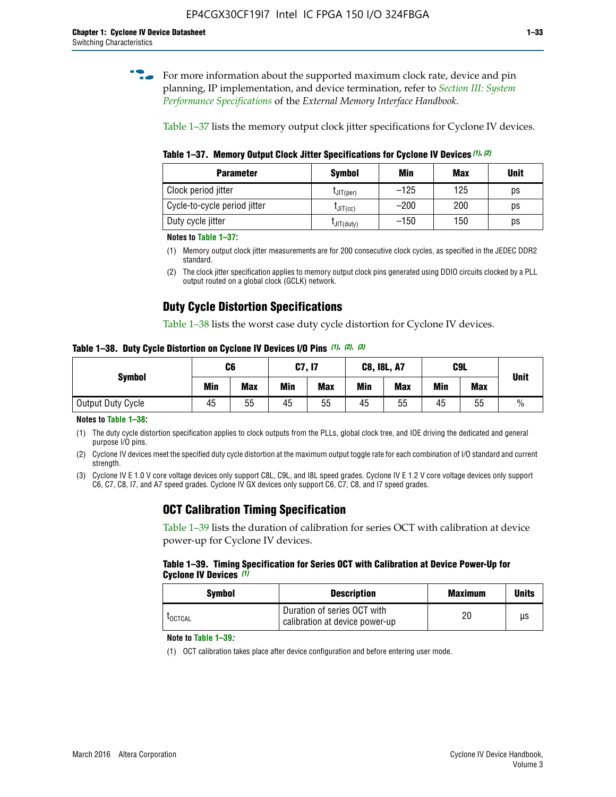**for more information about the supported maximum clock rate, device and pin** planning, IP implementation, and device termination, refer to *[Section III: System](http://www.altera.com/literature/hb/external-memory/emi_intro_specs.pdf)  [Performance Specifications](http://www.altera.com/literature/hb/external-memory/emi_intro_specs.pdf)* of the *External Memory Interface Handbook*.

Table 1–37 lists the memory output clock jitter specifications for Cyclone IV devices.

**Table 1–37. Memory Output Clock Jitter Specifications for Cyclone IV Devices** *(1)***,** *(2)*

| <b>Parameter</b>             | <b>Symbol</b>        | Min    | Max | <b>Unit</b> |
|------------------------------|----------------------|--------|-----|-------------|
| Clock period jitter          | $L$ JIT(per)         | $-125$ | 125 | ps          |
| Cycle-to-cycle period jitter | $L$ JIT $(cc)$       | $-200$ | 200 | ps          |
| Duty cycle jitter            | $L$ JIT $(du$ ty $)$ | $-150$ | 150 | ps          |

**Notes to Table 1–37:**

(1) Memory output clock jitter measurements are for 200 consecutive clock cycles, as specified in the JEDEC DDR2 standard.

## **Duty Cycle Distortion Specifications**

Table 1–38 lists the worst case duty cycle distortion for Cyclone IV devices.

**Table 1–38. Duty Cycle Distortion on Cyclone IV Devices I/O Pins** *(1)***,** *(2), (3)*

| <b>Symbol</b>     | C <sub>6</sub> |            | C7, I7     |            | <b>C8, I8L, A7</b> |            |            | C9L        | <b>Unit</b>   |  |
|-------------------|----------------|------------|------------|------------|--------------------|------------|------------|------------|---------------|--|
|                   | Min            | <b>Max</b> | <b>Min</b> | <b>Max</b> | Min                | <b>Max</b> | <b>Min</b> | <b>Max</b> |               |  |
| Output Duty Cycle | 45             | 55         | 45         | 55         | 45                 | 55         | 45         | 55         | $\frac{0}{0}$ |  |

**Notes to Table 1–38:**

(1) The duty cycle distortion specification applies to clock outputs from the PLLs, global clock tree, and IOE driving the dedicated and general purpose I/O pins.

(2) Cyclone IV devices meet the specified duty cycle distortion at the maximum output toggle rate for each combination of I/O standard and current strength.

(3) Cyclone IV E 1.0 V core voltage devices only support C8L, C9L, and I8L speed grades. Cyclone IV E 1.2 V core voltage devices only support C6, C7, C8, I7, and A7 speed grades. Cyclone IV GX devices only support C6, C7, C8, and I7 speed grades.

## **OCT Calibration Timing Specification**

Table 1–39 lists the duration of calibration for series OCT with calibration at device power-up for Cyclone IV devices.

#### **Table 1–39. Timing Specification for Series OCT with Calibration at Device Power-Up for Cyclone IV Devices** *(1)*

| Symbol  | <b>Description</b>                                            | <b>Maximum</b> | <b>Units</b> |
|---------|---------------------------------------------------------------|----------------|--------------|
| LOCTCAL | Duration of series OCT with<br>calibration at device power-up | 20             | μs           |

#### **Note to Table 1–39***:*

(1) OCT calibration takes place after device configuration and before entering user mode.

<sup>(2)</sup> The clock jitter specification applies to memory output clock pins generated using DDIO circuits clocked by a PLL output routed on a global clock (GCLK) network.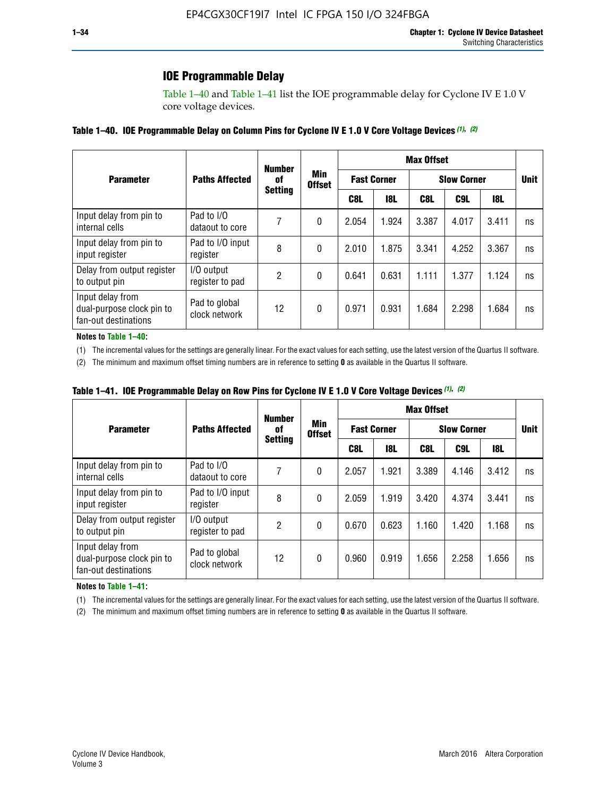## **IOE Programmable Delay**

Table 1–40 and Table 1–41 list the IOE programmable delay for Cyclone IV E 1.0 V core voltage devices.

#### **Table 1–40. IOE Programmable Delay on Column Pins for Cyclone IV E 1.0 V Core Voltage Devices** *(1)***,** *(2)*

|                                                                       |                                | <b>Number</b><br>0f | Min<br><b>Offset</b> | <b>Max Offset</b>  |            |                    |       |       |             |
|-----------------------------------------------------------------------|--------------------------------|---------------------|----------------------|--------------------|------------|--------------------|-------|-------|-------------|
| <b>Parameter</b>                                                      | <b>Paths Affected</b>          |                     |                      | <b>Fast Corner</b> |            | <b>Slow Corner</b> |       |       | <b>Unit</b> |
|                                                                       |                                | <b>Setting</b>      |                      | C8L                | <b>18L</b> | C8L                | C9L   | 18L   |             |
| Input delay from pin to<br>internal cells                             | Pad to I/O<br>dataout to core  |                     | 0                    | 2.054              | 1.924      | 3.387              | 4.017 | 3.411 | ns          |
| Input delay from pin to<br>input register                             | Pad to I/O input<br>register   | 8                   | 0                    | 2.010              | 1.875      | 3.341              | 4.252 | 3.367 | ns          |
| Delay from output register<br>to output pin                           | I/O output<br>register to pad  | 2                   | 0                    | 0.641              | 0.631      | 1.111              | 1.377 | 1.124 | ns          |
| Input delay from<br>dual-purpose clock pin to<br>fan-out destinations | Pad to global<br>clock network | 12                  | 0                    | 0.971              | 0.931      | 1.684              | 2.298 | 1.684 | ns          |

#### **Notes to Table 1–40:**

(1) The incremental values for the settings are generally linear. For the exact values for each setting, use the latest version of the Quartus II software.

(2) The minimum and maximum offset timing numbers are in reference to setting **0** as available in the Quartus II software.

| Table 1–41. IOE Programmable Delay on Row Pins for Cyclone IV E 1.0 V Core Voltage Devices (1), (2) |  |  |
|-----------------------------------------------------------------------------------------------------|--|--|
|-----------------------------------------------------------------------------------------------------|--|--|

|                                                                       |                                | <b>Number</b><br>Min<br>0f | <b>Max Offset</b> |       |                    |                    |             |       |    |
|-----------------------------------------------------------------------|--------------------------------|----------------------------|-------------------|-------|--------------------|--------------------|-------------|-------|----|
| <b>Parameter</b>                                                      | <b>Paths Affected</b>          |                            | <b>Offset</b>     |       | <b>Fast Corner</b> | <b>Slow Corner</b> | <b>Unit</b> |       |    |
|                                                                       |                                | <b>Setting</b>             |                   | C8L   | <b>18L</b>         | C8L                | C9L         | 18L   |    |
| Input delay from pin to<br>internal cells                             | Pad to I/O<br>dataout to core  |                            | 0                 | 2.057 | 1.921              | 3.389              | 4.146       | 3.412 | ns |
| Input delay from pin to<br>input register                             | Pad to I/O input<br>register   | 8                          | 0                 | 2.059 | 1.919              | 3.420              | 4.374       | 3.441 | ns |
| Delay from output register<br>to output pin                           | I/O output<br>register to pad  | 2                          | 0                 | 0.670 | 0.623              | 1.160              | 1.420       | 1.168 | ns |
| Input delay from<br>dual-purpose clock pin to<br>fan-out destinations | Pad to global<br>clock network | 12                         | 0                 | 0.960 | 0.919              | 1.656              | 2.258       | 1.656 | ns |

#### **Notes to Table 1–41:**

(1) The incremental values for the settings are generally linear. For the exact values for each setting, use the latest version of the Quartus II software.

(2) The minimum and maximum offset timing numbers are in reference to setting **0** as available in the Quartus II software.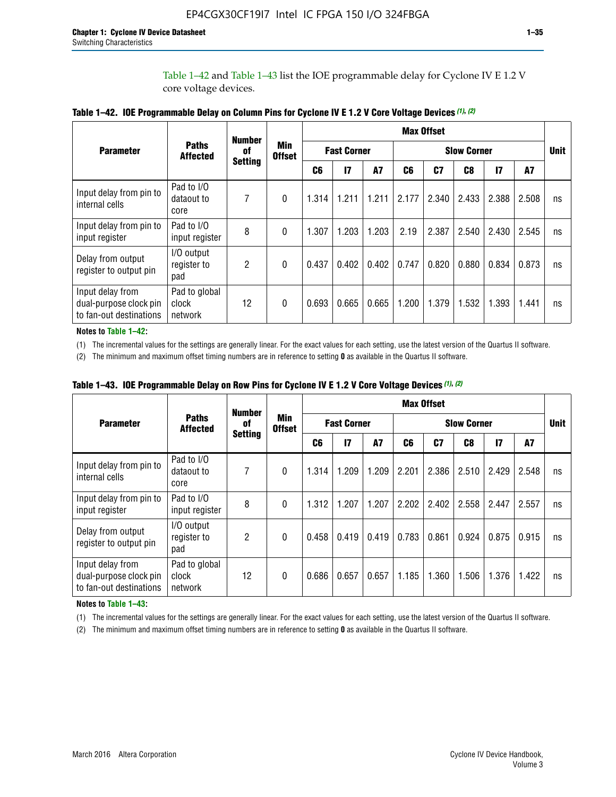Table 1–42 and Table 1–43 list the IOE programmable delay for Cyclone IV E 1.2 V core voltage devices.

|                                                                       |                                   | <b>Number</b>  | <b>Min</b><br><b>Offset</b> | <b>Max Offset</b> |                    |           |                    |       |       |               |       |             |
|-----------------------------------------------------------------------|-----------------------------------|----------------|-----------------------------|-------------------|--------------------|-----------|--------------------|-------|-------|---------------|-------|-------------|
| <b>Parameter</b>                                                      | <b>Paths</b><br><b>Affected</b>   | of             |                             |                   | <b>Fast Corner</b> |           | <b>Slow Corner</b> |       |       |               |       | <b>Unit</b> |
|                                                                       |                                   | <b>Setting</b> |                             | C <sub>6</sub>    | $\mathbf{I}$       | <b>A7</b> | C6                 | C7    | C8    | $\mathsf{I}7$ | A7    |             |
| Input delay from pin to<br>internal cells                             | Pad to I/O<br>dataout to<br>core  | 7              | 0                           | 1.314             | 1.211              | 1.211     | 2.177              | 2.340 | 2.433 | 2.388         | 2.508 | ns          |
| Input delay from pin to<br>input register                             | Pad to I/O<br>input register      | 8              | $\Omega$                    | 1.307             | 1.203              | 1.203     | 2.19               | 2.387 | 2.540 | 2.430         | 2.545 | ns          |
| Delay from output<br>register to output pin                           | I/O output<br>register to<br>pad  | 2              | 0                           | 0.437             | 0.402              | 0.402     | 0.747              | 0.820 | 0.880 | 0.834         | 0.873 | ns          |
| Input delay from<br>dual-purpose clock pin<br>to fan-out destinations | Pad to global<br>clock<br>network | 12             | 0                           | 0.693             | 0.665              | 0.665     | 1.200              | 1.379 | 1.532 | 1.393         | 1.441 | ns          |

**Table 1–42. IOE Programmable Delay on Column Pins for Cyclone IV E 1.2 V Core Voltage Devices** *(1)***,** *(2)*

**Notes to Table 1–42:**

(1) The incremental values for the settings are generally linear. For the exact values for each setting, use the latest version of the Quartus II software.

(2) The minimum and maximum offset timing numbers are in reference to setting **0** as available in the Quartus II software.

|                                                                       |                                   | <b>Number</b>  | <b>Min</b><br><b>Offset</b> | <b>Max Offset</b> |                    |           |                    |       |       |               |       |             |
|-----------------------------------------------------------------------|-----------------------------------|----------------|-----------------------------|-------------------|--------------------|-----------|--------------------|-------|-------|---------------|-------|-------------|
| <b>Parameter</b>                                                      | <b>Paths</b><br><b>Affected</b>   | 0f             |                             |                   | <b>Fast Corner</b> |           | <b>Slow Corner</b> |       |       |               |       | <b>Unit</b> |
|                                                                       |                                   | <b>Setting</b> |                             | C6                | $\mathbf{I}$       | <b>A7</b> | C6                 | C7    | C8    | $\mathsf{I}7$ | A7    |             |
| Input delay from pin to<br>internal cells                             | Pad to I/O<br>dataout to<br>core  | 7              | $\Omega$                    | 1.314             | 1.209              | 1.209     | 2.201              | 2.386 | 2.510 | 2.429         | 2.548 | ns          |
| Input delay from pin to<br>input register                             | Pad to I/O<br>input register      | 8              | $\Omega$                    | 1.312             | 1.207              | 1.207     | 2.202              | 2.402 | 2.558 | 2.447         | 2.557 | ns          |
| Delay from output<br>register to output pin                           | I/O output<br>register to<br>pad  | 2              | $\Omega$                    | 0.458             | 0.419              | 0.419     | 0.783              | 0.861 | 0.924 | 0.875         | 0.915 | ns          |
| Input delay from<br>dual-purpose clock pin<br>to fan-out destinations | Pad to global<br>clock<br>network | 12             | $\Omega$                    | 0.686             | 0.657              | 0.657     | 1.185              | 1.360 | 1.506 | 1.376         | 1.422 | ns          |

**Table 1–43. IOE Programmable Delay on Row Pins for Cyclone IV E 1.2 V Core Voltage Devices** *(1)***,** *(2)*

#### **Notes to Table 1–43:**

(1) The incremental values for the settings are generally linear. For the exact values for each setting, use the latest version of the Quartus II software.

(2) The minimum and maximum offset timing numbers are in reference to setting **0** as available in the Quartus II software.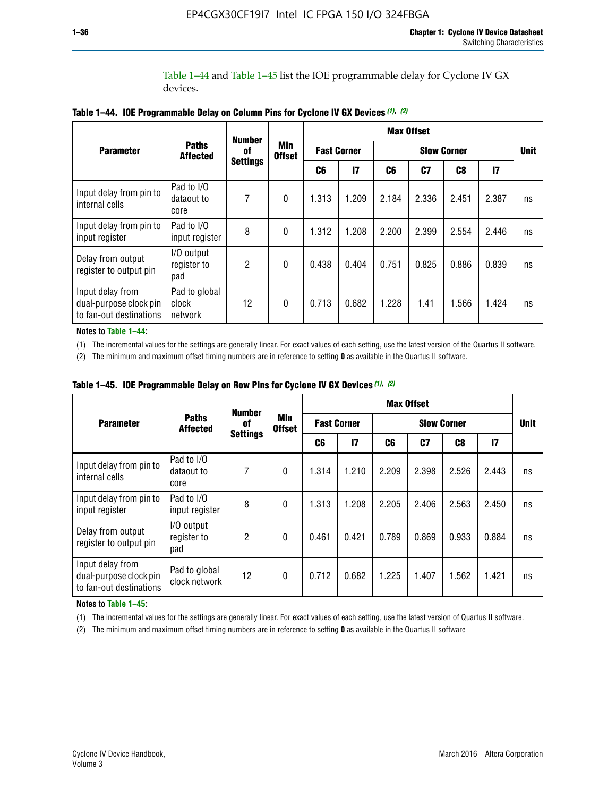Table 1–44 and Table 1–45 list the IOE programmable delay for Cyclone IV GX devices.

|                                                                       |                                   | <b>Number</b><br>0f<br><b>Settings</b> | <b>Min</b><br><b>Offset</b> | <b>Max Offset</b>  |              |       |                |                |               |    |
|-----------------------------------------------------------------------|-----------------------------------|----------------------------------------|-----------------------------|--------------------|--------------|-------|----------------|----------------|---------------|----|
| <b>Parameter</b>                                                      | <b>Paths</b><br><b>Affected</b>   |                                        |                             | <b>Fast Corner</b> |              |       | <b>Unit</b>    |                |               |    |
|                                                                       |                                   |                                        |                             | C6                 | $\mathbf{I}$ | C6    | C <sub>7</sub> | C <sub>8</sub> | $\mathsf{I}7$ |    |
| Input delay from pin to<br>internal cells                             | Pad to I/O<br>dataout to<br>core  | 7                                      | $\boldsymbol{0}$            | 1.313              | 1.209        | 2.184 | 2.336          | 2.451          | 2.387         | ns |
| Input delay from pin to<br>input register                             | Pad to I/O<br>input register      | 8                                      | $\Omega$                    | 1.312              | 1.208        | 2.200 | 2.399          | 2.554          | 2.446         | ns |
| Delay from output<br>register to output pin                           | I/O output<br>register to<br>pad  | 2                                      | $\mathbf{0}$                | 0.438              | 0.404        | 0.751 | 0.825          | 0.886          | 0.839         | ns |
| Input delay from<br>dual-purpose clock pin<br>to fan-out destinations | Pad to global<br>clock<br>network | 12                                     | 0                           | 0.713              | 0.682        | 1.228 | 1.41           | 1.566          | 1.424         | ns |

**Table 1–44. IOE Programmable Delay on Column Pins for Cyclone IV GX Devices** *(1)***,** *(2)*

**Notes to Table 1–44:**

(1) The incremental values for the settings are generally linear. For exact values of each setting, use the latest version of the Quartus II software.

(2) The minimum and maximum offset timing numbers are in reference to setting **0** as available in the Quartus II software.

|                                                                       |                                  | <b>Number</b>         | <b>Min</b><br><b>Offset</b> | <b>Max Offset</b>  |       |       |       |             |              |    |
|-----------------------------------------------------------------------|----------------------------------|-----------------------|-----------------------------|--------------------|-------|-------|-------|-------------|--------------|----|
| <b>Parameter</b>                                                      | <b>Paths</b><br><b>Affected</b>  | 0f<br><b>Settings</b> |                             | <b>Fast Corner</b> |       |       |       | <b>Unit</b> |              |    |
|                                                                       |                                  |                       |                             | C6                 | 17    | C6    | C7    | C8          | $\mathbf{I}$ |    |
| Input delay from pin to<br>internal cells                             | Pad to I/O<br>dataout to<br>core | 7                     | $\mathbf{0}$                | 1.314              | 1.210 | 2.209 | 2.398 | 2.526       | 2.443        | ns |
| Input delay from pin to<br>input register                             | Pad to I/O<br>input register     | 8                     | $\mathbf{0}$                | 1.313              | 1.208 | 2.205 | 2.406 | 2.563       | 2.450        | ns |
| Delay from output<br>register to output pin                           | I/O output<br>register to<br>pad | $\overline{2}$        | $\mathbf{0}$                | 0.461              | 0.421 | 0.789 | 0.869 | 0.933       | 0.884        | ns |
| Input delay from<br>dual-purpose clock pin<br>to fan-out destinations | Pad to global<br>clock network   | 12                    | $\mathbf{0}$                | 0.712              | 0.682 | 1.225 | 1.407 | 1.562       | 1.421        | ns |

**Table 1–45. IOE Programmable Delay on Row Pins for Cyclone IV GX Devices** *(1)***,** *(2)*

#### **Notes to Table 1–45:**

(1) The incremental values for the settings are generally linear. For exact values of each setting, use the latest version of Quartus II software.

(2) The minimum and maximum offset timing numbers are in reference to setting **0** as available in the Quartus II software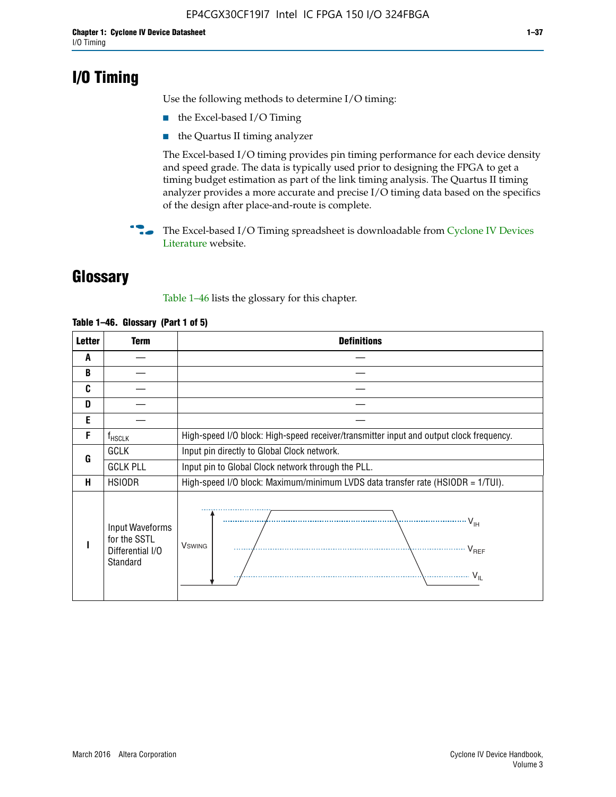## **I/O Timing**

Use the following methods to determine I/O timing:

- the Excel-based I/O Timing
- the Quartus II timing analyzer

The Excel-based I/O timing provides pin timing performance for each device density and speed grade. The data is typically used prior to designing the FPGA to get a timing budget estimation as part of the link timing analysis. The Quartus II timing analyzer provides a more accurate and precise I/O timing data based on the specifics of the design after place-and-route is complete.

**For The Excel-based I/O Timing spreadsheet is downloadable from Cyclone IV Devices** [Literature](http://www.altera.com/literature/lit-cyclone-iv.jsp) website.

## **Glossary**

Table 1–46 lists the glossary for this chapter.

| <b>Letter</b> | <b>Term</b>                                                     | <b>Definitions</b>                                                                                                                               |  |  |  |  |  |  |  |
|---------------|-----------------------------------------------------------------|--------------------------------------------------------------------------------------------------------------------------------------------------|--|--|--|--|--|--|--|
| A             |                                                                 |                                                                                                                                                  |  |  |  |  |  |  |  |
| B             |                                                                 |                                                                                                                                                  |  |  |  |  |  |  |  |
| C             |                                                                 |                                                                                                                                                  |  |  |  |  |  |  |  |
| D             |                                                                 |                                                                                                                                                  |  |  |  |  |  |  |  |
| E             |                                                                 |                                                                                                                                                  |  |  |  |  |  |  |  |
| F             | $f_{\sf HSCLK}$                                                 | High-speed I/O block: High-speed receiver/transmitter input and output clock frequency.                                                          |  |  |  |  |  |  |  |
| G             | <b>GCLK</b>                                                     | Input pin directly to Global Clock network.                                                                                                      |  |  |  |  |  |  |  |
|               | <b>GCLK PLL</b>                                                 | Input pin to Global Clock network through the PLL.                                                                                               |  |  |  |  |  |  |  |
| н             | <b>HSIODR</b>                                                   | High-speed I/O block: Maximum/minimum LVDS data transfer rate (HSIODR = 1/TUI).                                                                  |  |  |  |  |  |  |  |
|               | Input Waveforms<br>for the SSTL<br>Differential I/O<br>Standard | $\frac{1}{\sqrt{1+\frac{1}{2}}}\left\{ \frac{1}{\sqrt{1+\frac{1}{2}}}\right\}$<br><b>V</b> swing<br>$\cdots$ $V_{REF}$<br>\<br>$\sim V_{\rm IL}$ |  |  |  |  |  |  |  |

#### **Table 1–46. Glossary (Part 1 of 5)**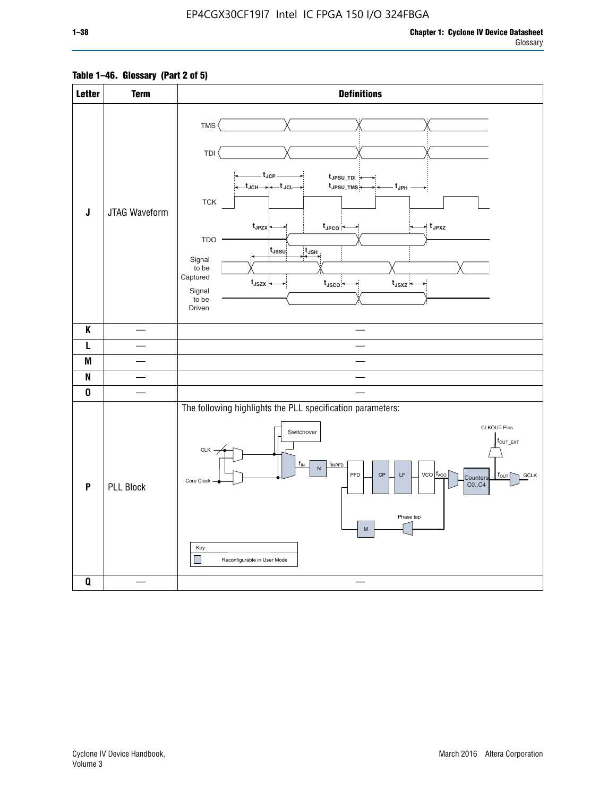### **Table 1–46. Glossary (Part 2 of 5)**

| <b>Letter</b> | <b>Term</b>      | <b>Definitions</b>                                                                                                                                                                                                                                                                                                                                                                                                                                                                                |
|---------------|------------------|---------------------------------------------------------------------------------------------------------------------------------------------------------------------------------------------------------------------------------------------------------------------------------------------------------------------------------------------------------------------------------------------------------------------------------------------------------------------------------------------------|
| J             | JTAG Waveform    | TMS <sup></sup><br>TDI<br>– t <sub>JCP</sub> .<br>t JPSU_TDI:<br>t <sub>JPSU_TMS</sub><br>– t <sub>JPH</sub> .<br>${\sf TCK}$<br>t <sub>JPZX</sub><br>$t_{\text{JPCO}}$<br>∗ t <sub>JPXZ</sub><br><b>TDO</b><br>t <sub>JSSU</sub><br>$t_{\sf JSH}$<br>Signal<br>to be<br>Captured<br>$t_{\text{JSZX}}$<br>$t_{\text{JSCO}}$<br>$t_{JSXZ}$<br>Signal<br>to be<br>Driven                                                                                                                            |
| K             |                  |                                                                                                                                                                                                                                                                                                                                                                                                                                                                                                   |
| L             |                  |                                                                                                                                                                                                                                                                                                                                                                                                                                                                                                   |
| M             |                  |                                                                                                                                                                                                                                                                                                                                                                                                                                                                                                   |
| N             |                  |                                                                                                                                                                                                                                                                                                                                                                                                                                                                                                   |
| $\pmb{0}$     |                  |                                                                                                                                                                                                                                                                                                                                                                                                                                                                                                   |
| P             | <b>PLL Block</b> | The following highlights the PLL specification parameters:<br><b>CLKOUT Pins</b><br>Switchover<br>$f_{OUT\_EXT}$<br>CLK -<br>$f_{IN}$<br>finpfd<br>$\mathsf{N}\xspace$<br>PFD<br>$\mathsf{LF}% _{\mathsf{L}}$<br>$vco$ $ f_{VCO} $<br>$\mathsf{CP}$<br><b>GCLK</b><br>$f_{\text{OUT}}$<br>Counters<br>Core Clock<br>CO., C4<br>Phase tap<br>$\mathsf{M}% _{T}=\mathsf{M}_{T}\!\left( a,b\right) ,\ \mathsf{M}_{T}=\mathsf{M}_{T}\!\left( a,b\right) ,$<br>Key<br>H<br>Reconfigurable in User Mode |
| Q             |                  |                                                                                                                                                                                                                                                                                                                                                                                                                                                                                                   |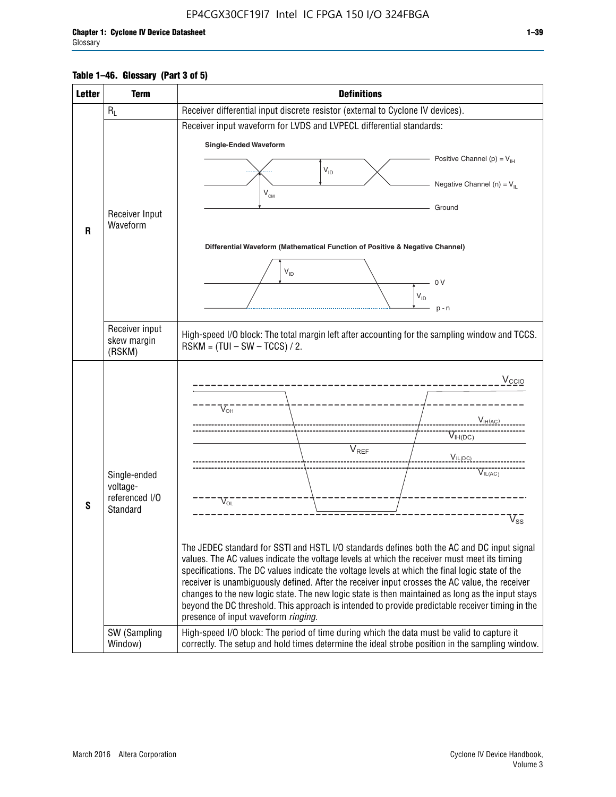#### **Table 1–46. Glossary (Part 3 of 5)**

| <b>Letter</b> | <b>Term</b>                                                            | <b>Definitions</b>                                                                                                                                                                                                                                                                                                                                                                                                                                                                                                                                                                                                                                                                                                                                                                                                                                                                                                                        |
|---------------|------------------------------------------------------------------------|-------------------------------------------------------------------------------------------------------------------------------------------------------------------------------------------------------------------------------------------------------------------------------------------------------------------------------------------------------------------------------------------------------------------------------------------------------------------------------------------------------------------------------------------------------------------------------------------------------------------------------------------------------------------------------------------------------------------------------------------------------------------------------------------------------------------------------------------------------------------------------------------------------------------------------------------|
|               | $R_L$                                                                  | Receiver differential input discrete resistor (external to Cyclone IV devices).                                                                                                                                                                                                                                                                                                                                                                                                                                                                                                                                                                                                                                                                                                                                                                                                                                                           |
|               |                                                                        | Receiver input waveform for LVDS and LVPECL differential standards:                                                                                                                                                                                                                                                                                                                                                                                                                                                                                                                                                                                                                                                                                                                                                                                                                                                                       |
|               |                                                                        | <b>Single-Ended Waveform</b>                                                                                                                                                                                                                                                                                                                                                                                                                                                                                                                                                                                                                                                                                                                                                                                                                                                                                                              |
|               |                                                                        | Positive Channel (p) = $V_{\text{H}}$                                                                                                                                                                                                                                                                                                                                                                                                                                                                                                                                                                                                                                                                                                                                                                                                                                                                                                     |
|               |                                                                        | $V_{ID}$                                                                                                                                                                                                                                                                                                                                                                                                                                                                                                                                                                                                                                                                                                                                                                                                                                                                                                                                  |
|               |                                                                        | Negative Channel (n) = $V_{\parallel}$<br>$V_{CM}$                                                                                                                                                                                                                                                                                                                                                                                                                                                                                                                                                                                                                                                                                                                                                                                                                                                                                        |
|               | Receiver Input                                                         | Ground                                                                                                                                                                                                                                                                                                                                                                                                                                                                                                                                                                                                                                                                                                                                                                                                                                                                                                                                    |
| $\mathbf{R}$  | Waveform                                                               |                                                                                                                                                                                                                                                                                                                                                                                                                                                                                                                                                                                                                                                                                                                                                                                                                                                                                                                                           |
|               |                                                                        | Differential Waveform (Mathematical Function of Positive & Negative Channel)                                                                                                                                                                                                                                                                                                                                                                                                                                                                                                                                                                                                                                                                                                                                                                                                                                                              |
|               |                                                                        |                                                                                                                                                                                                                                                                                                                                                                                                                                                                                                                                                                                                                                                                                                                                                                                                                                                                                                                                           |
|               |                                                                        | $V_{ID}$<br>0 <sup>V</sup>                                                                                                                                                                                                                                                                                                                                                                                                                                                                                                                                                                                                                                                                                                                                                                                                                                                                                                                |
|               |                                                                        | $V_{ID}$                                                                                                                                                                                                                                                                                                                                                                                                                                                                                                                                                                                                                                                                                                                                                                                                                                                                                                                                  |
|               |                                                                        | $p - n$                                                                                                                                                                                                                                                                                                                                                                                                                                                                                                                                                                                                                                                                                                                                                                                                                                                                                                                                   |
|               | Receiver input<br>skew margin                                          | High-speed I/O block: The total margin left after accounting for the sampling window and TCCS.                                                                                                                                                                                                                                                                                                                                                                                                                                                                                                                                                                                                                                                                                                                                                                                                                                            |
|               | (RSKM)                                                                 | $RSKM = (TUI - SW - TCCS) / 2.$                                                                                                                                                                                                                                                                                                                                                                                                                                                                                                                                                                                                                                                                                                                                                                                                                                                                                                           |
| S             | Single-ended<br>voltage-<br>referenced I/O<br>Standard<br>SW (Sampling | $V_{CCIO}$<br>$V_{\text{\tiny OH}}^-$<br>V <sub>IH</sub> (AC)<br>$V_{IH(DC)}$<br>V <sub>REF</sub><br>$V_{I L (DC)}$<br>$\overline{V}_{IL(AC)}$<br>$V_{OL}$<br>$\overline{V}_{\text{SS}}$<br>The JEDEC standard for SSTI and HSTL I/O standards defines both the AC and DC input signal<br>values. The AC values indicate the voltage levels at which the receiver must meet its timing<br>specifications. The DC values indicate the voltage levels at which the final logic state of the<br>receiver is unambiguously defined. After the receiver input crosses the AC value, the receiver<br>changes to the new logic state. The new logic state is then maintained as long as the input stays<br>beyond the DC threshold. This approach is intended to provide predictable receiver timing in the<br>presence of input waveform ringing.<br>High-speed I/O block: The period of time during which the data must be valid to capture it |
|               | Window)                                                                | correctly. The setup and hold times determine the ideal strobe position in the sampling window.                                                                                                                                                                                                                                                                                                                                                                                                                                                                                                                                                                                                                                                                                                                                                                                                                                           |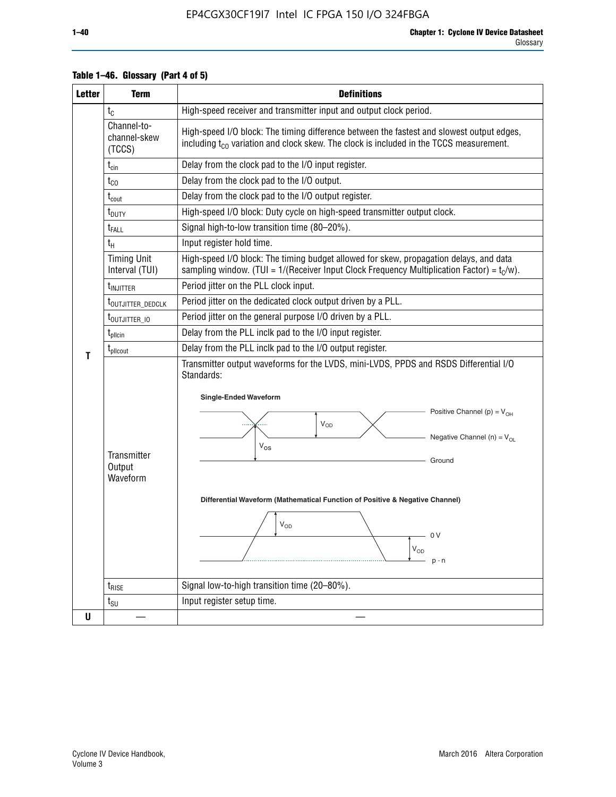| <b>Letter</b> | <b>Term</b>                           | <b>Definitions</b>                                                                                                                                                                                                                                                                                                                                                                  |  |  |  |  |  |  |
|---------------|---------------------------------------|-------------------------------------------------------------------------------------------------------------------------------------------------------------------------------------------------------------------------------------------------------------------------------------------------------------------------------------------------------------------------------------|--|--|--|--|--|--|
|               | $t_c$                                 | High-speed receiver and transmitter input and output clock period.                                                                                                                                                                                                                                                                                                                  |  |  |  |  |  |  |
|               | Channel-to-<br>channel-skew<br>(TCCS) | High-speed I/O block: The timing difference between the fastest and slowest output edges,<br>including t <sub>co</sub> variation and clock skew. The clock is included in the TCCS measurement.                                                                                                                                                                                     |  |  |  |  |  |  |
|               | $t_{\text{cin}}$                      | Delay from the clock pad to the I/O input register.                                                                                                                                                                                                                                                                                                                                 |  |  |  |  |  |  |
|               | $t_{CO}$                              | Delay from the clock pad to the I/O output.                                                                                                                                                                                                                                                                                                                                         |  |  |  |  |  |  |
|               | $\rm t_{\rm cout}$                    | Delay from the clock pad to the I/O output register.                                                                                                                                                                                                                                                                                                                                |  |  |  |  |  |  |
|               | t <sub>DUTY</sub>                     | High-speed I/O block: Duty cycle on high-speed transmitter output clock.                                                                                                                                                                                                                                                                                                            |  |  |  |  |  |  |
|               | t <sub>FALL</sub>                     | Signal high-to-low transition time (80-20%).                                                                                                                                                                                                                                                                                                                                        |  |  |  |  |  |  |
|               | $t_H$                                 | Input register hold time.                                                                                                                                                                                                                                                                                                                                                           |  |  |  |  |  |  |
|               | <b>Timing Unit</b><br>Interval (TUI)  | High-speed I/O block: The timing budget allowed for skew, propagation delays, and data<br>sampling window. (TUI = $1/($ Receiver Input Clock Frequency Multiplication Factor) = $t_c/w$ ).                                                                                                                                                                                          |  |  |  |  |  |  |
|               | t <sub>INJITTER</sub>                 | Period jitter on the PLL clock input.                                                                                                                                                                                                                                                                                                                                               |  |  |  |  |  |  |
|               | t <sub>outjitter_dedclk</sub>         | Period jitter on the dedicated clock output driven by a PLL.                                                                                                                                                                                                                                                                                                                        |  |  |  |  |  |  |
|               | t <sub>outjitter_io</sub>             | Period jitter on the general purpose I/O driven by a PLL.                                                                                                                                                                                                                                                                                                                           |  |  |  |  |  |  |
|               | t <sub>pllcin</sub>                   | Delay from the PLL inclk pad to the I/O input register.                                                                                                                                                                                                                                                                                                                             |  |  |  |  |  |  |
| Т             | $t_{\rm pllcourt}$                    | Delay from the PLL inclk pad to the I/O output register.                                                                                                                                                                                                                                                                                                                            |  |  |  |  |  |  |
|               | Transmitter<br>Output<br>Waveform     | Transmitter output waveforms for the LVDS, mini-LVDS, PPDS and RSDS Differential I/O<br>Standards:<br><b>Single-Ended Waveform</b><br>Positive Channel (p) = $V_{OH}$<br>Vop<br>Negative Channel (n) = $V_{OL}$<br>$V_{OS}$<br>Ground<br>Differential Waveform (Mathematical Function of Positive & Negative Channel)<br>$V_{OD}$<br>— 0 V<br>$\mathsf{V}_{\mathsf{OD}}$<br>$p - n$ |  |  |  |  |  |  |
|               | $t_{\text{RISE}}$                     | Signal low-to-high transition time (20-80%).                                                                                                                                                                                                                                                                                                                                        |  |  |  |  |  |  |
|               | $t_{\text{SU}}$                       | Input register setup time.                                                                                                                                                                                                                                                                                                                                                          |  |  |  |  |  |  |
| U             |                                       |                                                                                                                                                                                                                                                                                                                                                                                     |  |  |  |  |  |  |

#### **Table 1–46. Glossary (Part 4 of 5)**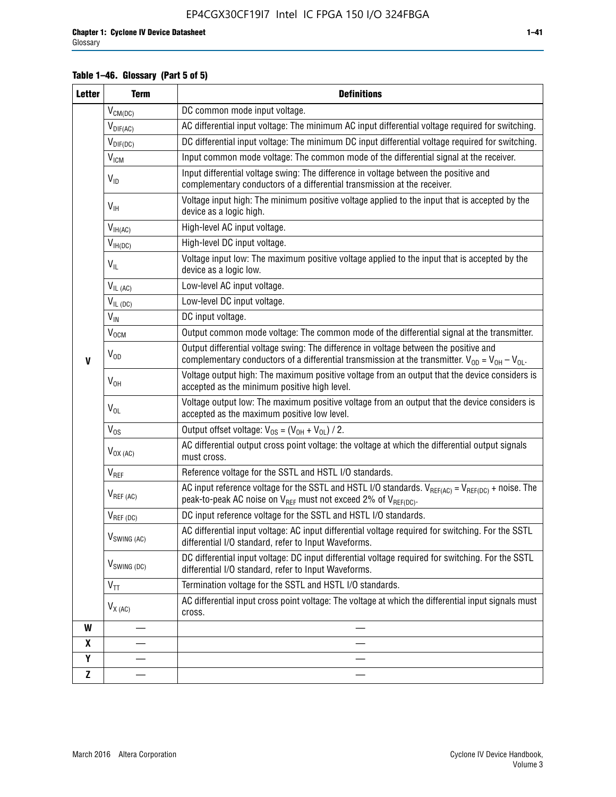#### **Table 1–46. Glossary (Part 5 of 5)**

| <b>Letter</b> | <b>Term</b>                             | <b>Definitions</b>                                                                                                                                                                                |
|---------------|-----------------------------------------|---------------------------------------------------------------------------------------------------------------------------------------------------------------------------------------------------|
|               | $V_{CM(DC)}$                            | DC common mode input voltage.                                                                                                                                                                     |
|               | $V_{DIF(AC)}$                           | AC differential input voltage: The minimum AC input differential voltage required for switching.                                                                                                  |
|               | $V_{DIF(DC)}$                           | DC differential input voltage: The minimum DC input differential voltage required for switching.                                                                                                  |
|               | V <sub>ICM</sub>                        | Input common mode voltage: The common mode of the differential signal at the receiver.                                                                                                            |
|               | $V_{ID}$                                | Input differential voltage swing: The difference in voltage between the positive and<br>complementary conductors of a differential transmission at the receiver.                                  |
|               | $V_{\text{IH}}$                         | Voltage input high: The minimum positive voltage applied to the input that is accepted by the<br>device as a logic high.                                                                          |
|               | $\mathsf{V}_{\mathsf{IH}(\mathsf{AC})}$ | High-level AC input voltage.                                                                                                                                                                      |
|               | $V_{IH(DC)}$                            | High-level DC input voltage.                                                                                                                                                                      |
|               | $V_{IL}$                                | Voltage input low: The maximum positive voltage applied to the input that is accepted by the<br>device as a logic low.                                                                            |
|               | $V_{IL(AC)}$                            | Low-level AC input voltage.                                                                                                                                                                       |
|               | $V_{IL(DC)}$                            | Low-level DC input voltage.                                                                                                                                                                       |
|               | $V_{\text{IN}}$                         | DC input voltage.                                                                                                                                                                                 |
|               | $\rm V_{\rm OCM}$                       | Output common mode voltage: The common mode of the differential signal at the transmitter.                                                                                                        |
| $\mathbf{V}$  | $V_{OD}$                                | Output differential voltage swing: The difference in voltage between the positive and<br>complementary conductors of a differential transmission at the transmitter. $V_{OD} = V_{OH} - V_{OL}$ . |
|               | $V_{OH}$                                | Voltage output high: The maximum positive voltage from an output that the device considers is<br>accepted as the minimum positive high level.                                                     |
|               | $V_{OL}$                                | Voltage output low: The maximum positive voltage from an output that the device considers is<br>accepted as the maximum positive low level.                                                       |
|               | $V_{OS}$                                | Output offset voltage: $V_{OS} = (V_{OH} + V_{OL}) / 2$ .                                                                                                                                         |
|               | $V_{OX (AC)}$                           | AC differential output cross point voltage: the voltage at which the differential output signals<br>must cross.                                                                                   |
|               | V <sub>REF</sub>                        | Reference voltage for the SSTL and HSTL I/O standards.                                                                                                                                            |
|               | $V_{REF\,(AC)}$                         | AC input reference voltage for the SSTL and HSTL I/O standards. $V_{REF(AC)} = V_{REF(DC)} +$ noise. The<br>peak-to-peak AC noise on $V_{REF}$ must not exceed 2% of $V_{REF(DC)}$ .              |
|               | $V_{REF(DC)}$                           | DC input reference voltage for the SSTL and HSTL I/O standards.                                                                                                                                   |
|               | $V_{\text{SWING (AC)}}$                 | AC differential input voltage: AC input differential voltage required for switching. For the SSTL<br>differential I/O standard, refer to Input Waveforms.                                         |
|               | $V_{SWING (DC)}$                        | DC differential input voltage: DC input differential voltage required for switching. For the SSTL<br>differential I/O standard, refer to Input Waveforms.                                         |
|               | $\text{V}_{\text{TT}}$                  | Termination voltage for the SSTL and HSTL I/O standards.                                                                                                                                          |
|               | $V_{X(AC)}$                             | AC differential input cross point voltage: The voltage at which the differential input signals must<br>cross.                                                                                     |
| W             |                                         |                                                                                                                                                                                                   |
| X             |                                         |                                                                                                                                                                                                   |
| Y             |                                         |                                                                                                                                                                                                   |
| Z             |                                         |                                                                                                                                                                                                   |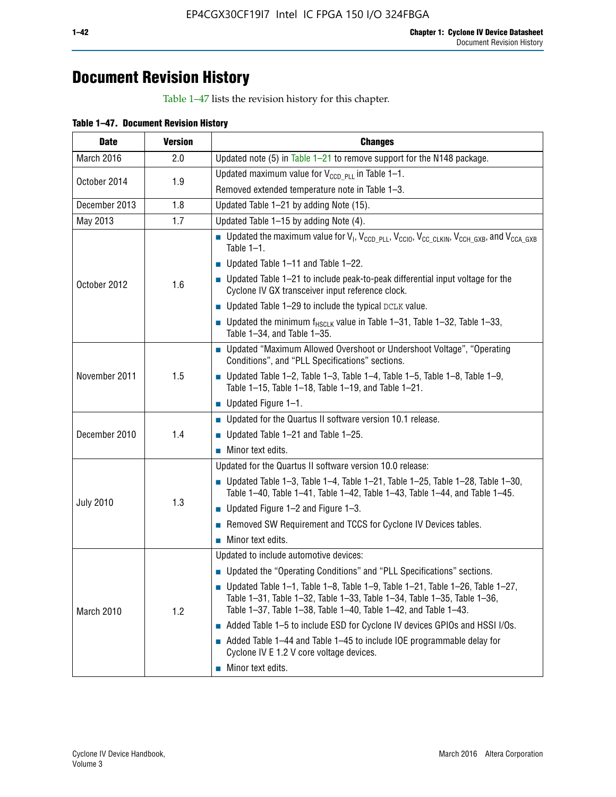## **Document Revision History**

Table 1–47 lists the revision history for this chapter.

| <b>Date</b>      | <b>Version</b> | <b>Changes</b>                                                                                                                                                                                                                            |
|------------------|----------------|-------------------------------------------------------------------------------------------------------------------------------------------------------------------------------------------------------------------------------------------|
| March 2016       | 2.0            | Updated note (5) in Table $1-21$ to remove support for the N148 package.                                                                                                                                                                  |
| October 2014     | 1.9            | Updated maximum value for $V_{CCD, PL}$ in Table 1-1.                                                                                                                                                                                     |
|                  |                | Removed extended temperature note in Table 1-3.                                                                                                                                                                                           |
| December 2013    | 1.8            | Updated Table 1-21 by adding Note (15).                                                                                                                                                                                                   |
| May 2013         | 1.7            | Updated Table 1-15 by adding Note (4).                                                                                                                                                                                                    |
| October 2012     | 1.6            | Dpdated the maximum value for $V_1$ , $V_{CCD\_PLL}$ , $V_{CC10}$ , $V_{CC\_CLKIN}$ , $V_{CCH\_GXB}$ , and $V_{CCA\_GXB}$<br>Table $1-1$ .                                                                                                |
|                  |                | $\blacksquare$ Updated Table 1-11 and Table 1-22.                                                                                                                                                                                         |
|                  |                | $\blacksquare$ Updated Table 1-21 to include peak-to-peak differential input voltage for the<br>Cyclone IV GX transceiver input reference clock.                                                                                          |
|                  |                | $\blacksquare$ Updated Table 1-29 to include the typical DCLK value.                                                                                                                                                                      |
|                  |                | <b>Updated the minimum f<sub>HSCLK</sub></b> value in Table 1-31, Table 1-32, Table 1-33,<br>Table 1-34, and Table 1-35.                                                                                                                  |
| November 2011    | 1.5            | • Updated "Maximum Allowed Overshoot or Undershoot Voltage", "Operating<br>Conditions", and "PLL Specifications" sections.                                                                                                                |
|                  |                | Updated Table 1-2, Table 1-3, Table 1-4, Table 1-5, Table 1-8, Table 1-9,<br>Table 1-15, Table 1-18, Table 1-19, and Table 1-21.                                                                                                          |
|                  |                | ■ Updated Figure $1-1$ .                                                                                                                                                                                                                  |
| December 2010    | 1.4            | • Updated for the Quartus II software version 10.1 release.                                                                                                                                                                               |
|                  |                | $\blacksquare$ Updated Table 1-21 and Table 1-25.                                                                                                                                                                                         |
|                  |                | $\blacksquare$ Minor text edits.                                                                                                                                                                                                          |
|                  | 1.3            | Updated for the Quartus II software version 10.0 release:                                                                                                                                                                                 |
| <b>July 2010</b> |                | Updated Table 1-3, Table 1-4, Table 1-21, Table 1-25, Table 1-28, Table 1-30,<br>Table 1-40, Table 1-41, Table 1-42, Table 1-43, Table 1-44, and Table 1-45.                                                                              |
|                  |                | ■ Updated Figure $1-2$ and Figure $1-3$ .                                                                                                                                                                                                 |
|                  |                | Removed SW Requirement and TCCS for Cyclone IV Devices tables.                                                                                                                                                                            |
|                  |                | $\blacksquare$ Minor text edits.                                                                                                                                                                                                          |
|                  | 1.2            | Updated to include automotive devices:                                                                                                                                                                                                    |
| March 2010       |                | • Updated the "Operating Conditions" and "PLL Specifications" sections.                                                                                                                                                                   |
|                  |                | $\blacksquare$ Updated Table 1-1, Table 1-8, Table 1-9, Table 1-21, Table 1-26, Table 1-27,<br>Table 1-31, Table 1-32, Table 1-33, Table 1-34, Table 1-35, Table 1-36,<br>Table 1-37, Table 1-38, Table 1-40, Table 1-42, and Table 1-43. |
|                  |                | Added Table 1-5 to include ESD for Cyclone IV devices GPIOs and HSSI I/Os.                                                                                                                                                                |
|                  |                | Added Table 1-44 and Table 1-45 to include IOE programmable delay for<br>Cyclone IV E 1.2 V core voltage devices.                                                                                                                         |
|                  |                | Minor text edits.                                                                                                                                                                                                                         |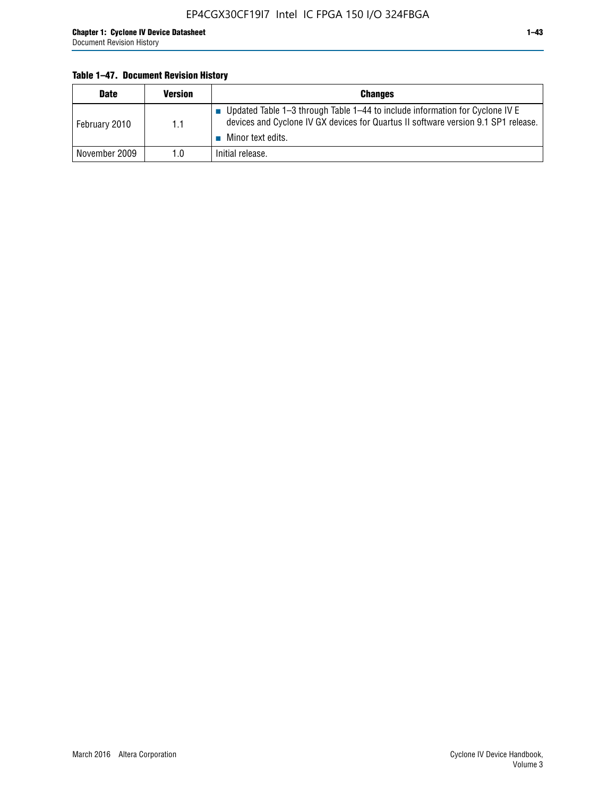#### **Table 1–47. Document Revision History**

| <b>Date</b>   | <b>Version</b> | <b>Changes</b>                                                                                                                                                                          |
|---------------|----------------|-----------------------------------------------------------------------------------------------------------------------------------------------------------------------------------------|
| February 2010 | 1.1            | Updated Table 1-3 through Table 1-44 to include information for Cyclone IV E<br>devices and Cyclone IV GX devices for Quartus II software version 9.1 SP1 release.<br>Minor text edits. |
| November 2009 | 1.0            | Initial release.                                                                                                                                                                        |